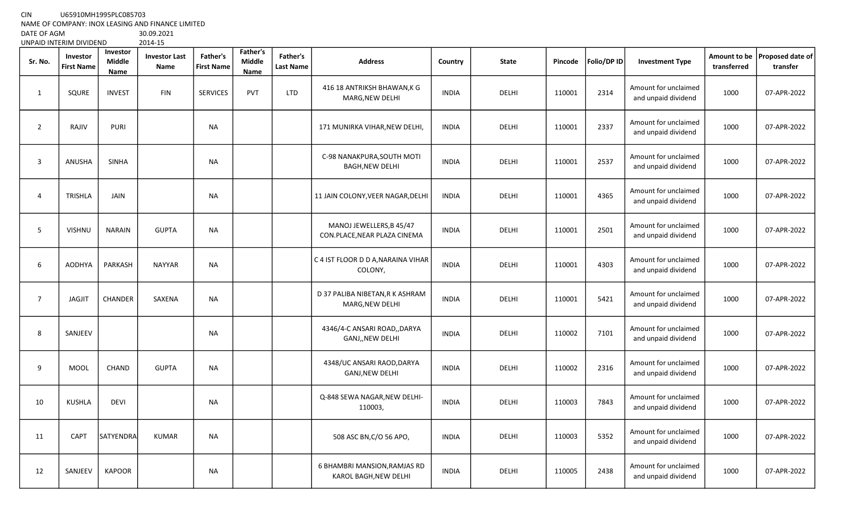CIN U65910MH1995PLC085703

NAME OF COMPANY: INOX LEASING AND FINANCE LIMITED<br>DATE OF AGM 005.2021

DATE OF AGM 30.09.202<br>UNPAID INTERIM DIVIDEND 2014-15 UNPAID INTERIM DIVIDEND

| Sr. No.        | Investor<br><b>First Name</b> | Investor<br><b>Middle</b><br>Name | <b>Investor Last</b><br>Name | Father's<br><b>First Name</b> | Father's<br>Middle<br>Name | Father's<br><b>Last Name</b> | <b>Address</b>                                           | Country      | <b>State</b> | Pincode | Folio/DP ID | <b>Investment Type</b>                      | <b>Amount to be</b><br>transferred | Proposed date of<br>transfer |
|----------------|-------------------------------|-----------------------------------|------------------------------|-------------------------------|----------------------------|------------------------------|----------------------------------------------------------|--------------|--------------|---------|-------------|---------------------------------------------|------------------------------------|------------------------------|
| 1              | SQURE                         | <b>INVEST</b>                     | <b>FIN</b>                   | <b>SERVICES</b>               | <b>PVT</b>                 | <b>LTD</b>                   | 416 18 ANTRIKSH BHAWAN, K G<br>MARG, NEW DELHI           | <b>INDIA</b> | <b>DELHI</b> | 110001  | 2314        | Amount for unclaimed<br>and unpaid dividend | 1000                               | 07-APR-2022                  |
| $\overline{2}$ | RAJIV                         | <b>PURI</b>                       |                              | NA                            |                            |                              | 171 MUNIRKA VIHAR, NEW DELHI,                            | <b>INDIA</b> | DELHI        | 110001  | 2337        | Amount for unclaimed<br>and unpaid dividend | 1000                               | 07-APR-2022                  |
| $\overline{3}$ | <b>ANUSHA</b>                 | <b>SINHA</b>                      |                              | <b>NA</b>                     |                            |                              | C-98 NANAKPURA, SOUTH MOTI<br><b>BAGH, NEW DELHI</b>     | <b>INDIA</b> | <b>DELHI</b> | 110001  | 2537        | Amount for unclaimed<br>and unpaid dividend | 1000                               | 07-APR-2022                  |
| 4              | TRISHLA                       | JAIN                              |                              | <b>NA</b>                     |                            |                              | 11 JAIN COLONY, VEER NAGAR, DELHI                        | <b>INDIA</b> | DELHI        | 110001  | 4365        | Amount for unclaimed<br>and unpaid dividend | 1000                               | 07-APR-2022                  |
| 5              | <b>VISHNU</b>                 | <b>NARAIN</b>                     | <b>GUPTA</b>                 | NA                            |                            |                              | MANOJ JEWELLERS, B 45/47<br>CON.PLACE, NEAR PLAZA CINEMA | <b>INDIA</b> | <b>DELHI</b> | 110001  | 2501        | Amount for unclaimed<br>and unpaid dividend | 1000                               | 07-APR-2022                  |
| 6              | <b>AODHYA</b>                 | PARKASH                           | <b>NAYYAR</b>                | NA                            |                            |                              | C 4 IST FLOOR D D A, NARAINA VIHAR<br>COLONY,            | <b>INDIA</b> | DELHI        | 110001  | 4303        | Amount for unclaimed<br>and unpaid dividend | 1000                               | 07-APR-2022                  |
| $\overline{7}$ | <b>JAGJIT</b>                 | CHANDER                           | SAXENA                       | <b>NA</b>                     |                            |                              | D 37 PALIBA NIBETAN, R K ASHRAM<br>MARG, NEW DELHI       | <b>INDIA</b> | DELHI        | 110001  | 5421        | Amount for unclaimed<br>and unpaid dividend | 1000                               | 07-APR-2022                  |
| 8              | SANJEEV                       |                                   |                              | <b>NA</b>                     |                            |                              | 4346/4-C ANSARI ROAD,, DARYA<br>GANJ,, NEW DELHI         | <b>INDIA</b> | DELHI        | 110002  | 7101        | Amount for unclaimed<br>and unpaid dividend | 1000                               | 07-APR-2022                  |
| 9              | <b>MOOL</b>                   | <b>CHAND</b>                      | <b>GUPTA</b>                 | NA                            |                            |                              | 4348/UC ANSARI RAOD, DARYA<br>GANJ, NEW DELHI            | <b>INDIA</b> | <b>DELHI</b> | 110002  | 2316        | Amount for unclaimed<br>and unpaid dividend | 1000                               | 07-APR-2022                  |
| 10             | <b>KUSHLA</b>                 | <b>DEVI</b>                       |                              | <b>NA</b>                     |                            |                              | Q-848 SEWA NAGAR, NEW DELHI-<br>110003,                  | <b>INDIA</b> | DELHI        | 110003  | 7843        | Amount for unclaimed<br>and unpaid dividend | 1000                               | 07-APR-2022                  |
| 11             | CAPT                          | SATYENDRA                         | <b>KUMAR</b>                 | <b>NA</b>                     |                            |                              | 508 ASC BN, C/O 56 APO,                                  | <b>INDIA</b> | <b>DELHI</b> | 110003  | 5352        | Amount for unclaimed<br>and unpaid dividend | 1000                               | 07-APR-2022                  |
| 12             | SANJEEV                       | <b>KAPOOR</b>                     |                              | <b>NA</b>                     |                            |                              | 6 BHAMBRI MANSION, RAMJAS RD<br>KAROL BAGH, NEW DELHI    | <b>INDIA</b> | DELHI        | 110005  | 2438        | Amount for unclaimed<br>and unpaid dividend | 1000                               | 07-APR-2022                  |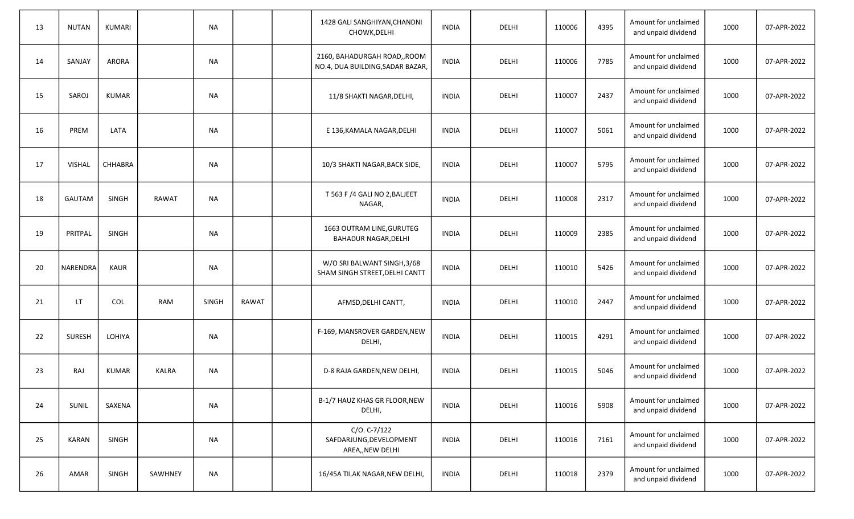| 13 | <b>NUTAN</b>  | <b>KUMARI</b> |              | <b>NA</b>    |              | 1428 GALI SANGHIYAN, CHANDNI<br>CHOWK, DELHI                     | <b>INDIA</b> | DELHI | 110006 | 4395 | Amount for unclaimed<br>and unpaid dividend | 1000 | 07-APR-2022 |
|----|---------------|---------------|--------------|--------------|--------------|------------------------------------------------------------------|--------------|-------|--------|------|---------------------------------------------|------|-------------|
| 14 | SANJAY        | <b>ARORA</b>  |              | <b>NA</b>    |              | 2160, BAHADURGAH ROAD,, ROOM<br>NO.4, DUA BUILDING, SADAR BAZAR, | <b>INDIA</b> | DELHI | 110006 | 7785 | Amount for unclaimed<br>and unpaid dividend | 1000 | 07-APR-2022 |
| 15 | SAROJ         | <b>KUMAR</b>  |              | <b>NA</b>    |              | 11/8 SHAKTI NAGAR, DELHI,                                        | <b>INDIA</b> | DELHI | 110007 | 2437 | Amount for unclaimed<br>and unpaid dividend | 1000 | 07-APR-2022 |
| 16 | PREM          | LATA          |              | <b>NA</b>    |              | E 136, KAMALA NAGAR, DELHI                                       | <b>INDIA</b> | DELHI | 110007 | 5061 | Amount for unclaimed<br>and unpaid dividend | 1000 | 07-APR-2022 |
| 17 | <b>VISHAL</b> | CHHABRA       |              | NA           |              | 10/3 SHAKTI NAGAR, BACK SIDE,                                    | <b>INDIA</b> | DELHI | 110007 | 5795 | Amount for unclaimed<br>and unpaid dividend | 1000 | 07-APR-2022 |
| 18 | GAUTAM        | SINGH         | RAWAT        | <b>NA</b>    |              | T 563 F /4 GALI NO 2, BALJEET<br>NAGAR,                          | <b>INDIA</b> | DELHI | 110008 | 2317 | Amount for unclaimed<br>and unpaid dividend | 1000 | 07-APR-2022 |
| 19 | PRITPAL       | SINGH         |              | <b>NA</b>    |              | 1663 OUTRAM LINE, GURUTEG<br><b>BAHADUR NAGAR, DELHI</b>         | <b>INDIA</b> | DELHI | 110009 | 2385 | Amount for unclaimed<br>and unpaid dividend | 1000 | 07-APR-2022 |
| 20 | NARENDRA      | KAUR          |              | <b>NA</b>    |              | W/O SRI BALWANT SINGH, 3/68<br>SHAM SINGH STREET, DELHI CANTT    | <b>INDIA</b> | DELHI | 110010 | 5426 | Amount for unclaimed<br>and unpaid dividend | 1000 | 07-APR-2022 |
| 21 | LT.           | COL           | <b>RAM</b>   | <b>SINGH</b> | <b>RAWAT</b> | AFMSD, DELHI CANTT,                                              | <b>INDIA</b> | DELHI | 110010 | 2447 | Amount for unclaimed<br>and unpaid dividend | 1000 | 07-APR-2022 |
| 22 | <b>SURESH</b> | LOHIYA        |              | <b>NA</b>    |              | F-169, MANSROVER GARDEN, NEW<br>DELHI,                           | <b>INDIA</b> | DELHI | 110015 | 4291 | Amount for unclaimed<br>and unpaid dividend | 1000 | 07-APR-2022 |
| 23 | RAJ           | <b>KUMAR</b>  | <b>KALRA</b> | <b>NA</b>    |              | D-8 RAJA GARDEN, NEW DELHI,                                      | INDIA        | DELHI | 110015 | 5046 | Amount for unclaimed<br>and unpaid dividend | 1000 | 07-APR-2022 |
| 24 | SUNIL         | SAXENA        |              | <b>NA</b>    |              | B-1/7 HAUZ KHAS GR FLOOR, NEW<br>DELHI,                          | <b>INDIA</b> | DELHI | 110016 | 5908 | Amount for unclaimed<br>and unpaid dividend | 1000 | 07-APR-2022 |
| 25 | KARAN         | SINGH         |              | <b>NA</b>    |              | $C/O. C-7/122$<br>SAFDARJUNG, DEVELOPMENT<br>AREA,, NEW DELHI    | <b>INDIA</b> | DELHI | 110016 | 7161 | Amount for unclaimed<br>and unpaid dividend | 1000 | 07-APR-2022 |
| 26 | AMAR          | SINGH         | SAWHNEY      | <b>NA</b>    |              | 16/45A TILAK NAGAR, NEW DELHI,                                   | <b>INDIA</b> | DELHI | 110018 | 2379 | Amount for unclaimed<br>and unpaid dividend | 1000 | 07-APR-2022 |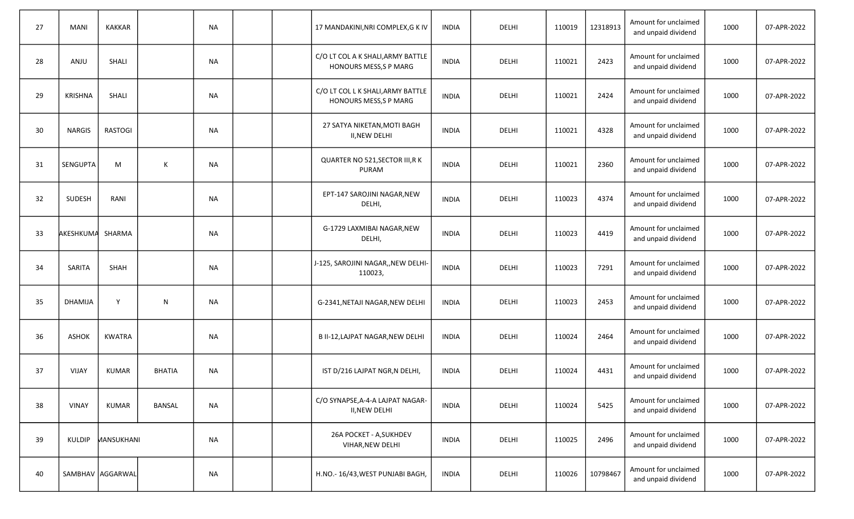| 27 | <b>MANI</b>    | <b>KAKKAR</b>     |               | <b>NA</b> |  | 17 MANDAKINI, NRI COMPLEX, GKIV                            | <b>INDIA</b> | DELHI | 110019 | 12318913 | Amount for unclaimed<br>and unpaid dividend | 1000 | 07-APR-2022 |
|----|----------------|-------------------|---------------|-----------|--|------------------------------------------------------------|--------------|-------|--------|----------|---------------------------------------------|------|-------------|
| 28 | ANJU           | SHALI             |               | <b>NA</b> |  | C/O LT COL A K SHALI, ARMY BATTLE<br>HONOURS MESS, SP MARG | <b>INDIA</b> | DELHI | 110021 | 2423     | Amount for unclaimed<br>and unpaid dividend | 1000 | 07-APR-2022 |
| 29 | <b>KRISHNA</b> | SHALI             |               | <b>NA</b> |  | C/O LT COL L K SHALI, ARMY BATTLE<br>HONOURS MESS, SP MARG | <b>INDIA</b> | DELHI | 110021 | 2424     | Amount for unclaimed<br>and unpaid dividend | 1000 | 07-APR-2022 |
| 30 | <b>NARGIS</b>  | <b>RASTOGI</b>    |               | NA        |  | 27 SATYA NIKETAN, MOTI BAGH<br><b>II, NEW DELHI</b>        | <b>INDIA</b> | DELHI | 110021 | 4328     | Amount for unclaimed<br>and unpaid dividend | 1000 | 07-APR-2022 |
| 31 | SENGUPTA       | M                 | К             | <b>NA</b> |  | QUARTER NO 521, SECTOR III, RK<br>PURAM                    | <b>INDIA</b> | DELHI | 110021 | 2360     | Amount for unclaimed<br>and unpaid dividend | 1000 | 07-APR-2022 |
| 32 | <b>SUDESH</b>  | RANI              |               | <b>NA</b> |  | EPT-147 SAROJINI NAGAR, NEW<br>DELHI,                      | <b>INDIA</b> | DELHI | 110023 | 4374     | Amount for unclaimed<br>and unpaid dividend | 1000 | 07-APR-2022 |
| 33 | AKESHKUMA      | SHARMA            |               | <b>NA</b> |  | G-1729 LAXMIBAI NAGAR, NEW<br>DELHI,                       | <b>INDIA</b> | DELHI | 110023 | 4419     | Amount for unclaimed<br>and unpaid dividend | 1000 | 07-APR-2022 |
| 34 | SARITA         | <b>SHAH</b>       |               | <b>NA</b> |  | J-125, SAROJINI NAGAR,, NEW DELHI-<br>110023,              | <b>INDIA</b> | DELHI | 110023 | 7291     | Amount for unclaimed<br>and unpaid dividend | 1000 | 07-APR-2022 |
| 35 | DHAMIJA        | Y                 | N             | <b>NA</b> |  | G-2341, NETAJI NAGAR, NEW DELHI                            | <b>INDIA</b> | DELHI | 110023 | 2453     | Amount for unclaimed<br>and unpaid dividend | 1000 | 07-APR-2022 |
| 36 | <b>ASHOK</b>   | <b>KWATRA</b>     |               | <b>NA</b> |  | B II-12, LAJPAT NAGAR, NEW DELHI                           | <b>INDIA</b> | DELHI | 110024 | 2464     | Amount for unclaimed<br>and unpaid dividend | 1000 | 07-APR-2022 |
| 37 | VIJAY          | <b>KUMAR</b>      | <b>BHATIA</b> | <b>NA</b> |  | IST D/216 LAJPAT NGR, N DELHI,                             | <b>INDIA</b> | DELHI | 110024 | 4431     | Amount for unclaimed<br>and unpaid dividend | 1000 | 07-APR-2022 |
| 38 | <b>VINAY</b>   | <b>KUMAR</b>      | <b>BANSAL</b> | $\sf NA$  |  | C/O SYNAPSE, A-4-A LAJPAT NAGAR-<br>II, NEW DELHI          | <b>INDIA</b> | DELHI | 110024 | 5425     | Amount for unclaimed<br>and unpaid dividend | 1000 | 07-APR-2022 |
| 39 |                | KULDIP MANSUKHANI |               | <b>NA</b> |  | 26A POCKET - A, SUKHDEV<br>VIHAR, NEW DELHI                | <b>INDIA</b> | DELHI | 110025 | 2496     | Amount for unclaimed<br>and unpaid dividend | 1000 | 07-APR-2022 |
| 40 |                | SAMBHAV AGGARWAL  |               | <b>NA</b> |  | H.NO.- 16/43, WEST PUNJABI BAGH,                           | <b>INDIA</b> | DELHI | 110026 | 10798467 | Amount for unclaimed<br>and unpaid dividend | 1000 | 07-APR-2022 |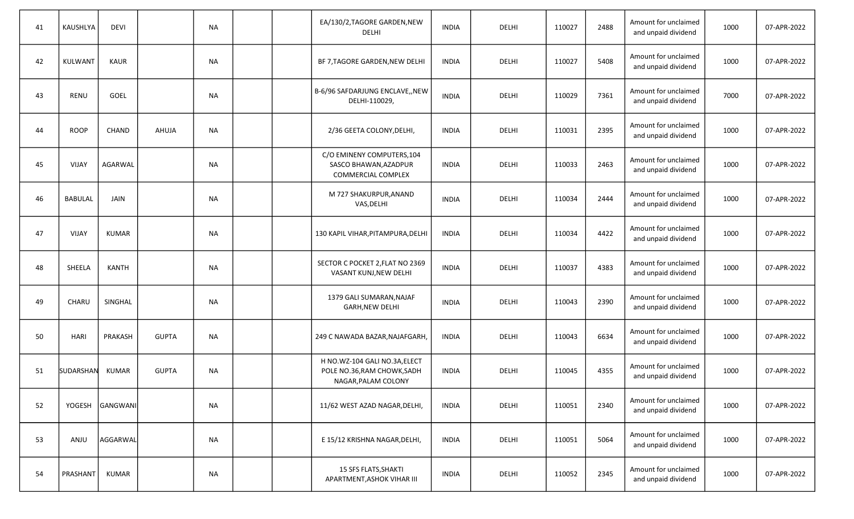| 41 | KAUSHLYA       | <b>DEVI</b>  |              | <b>NA</b> |  | EA/130/2, TAGORE GARDEN, NEW<br>DELHI                                               | <b>INDIA</b> | DELHI | 110027 | 2488 | Amount for unclaimed<br>and unpaid dividend | 1000 | 07-APR-2022 |
|----|----------------|--------------|--------------|-----------|--|-------------------------------------------------------------------------------------|--------------|-------|--------|------|---------------------------------------------|------|-------------|
| 42 | KULWANT        | KAUR         |              | <b>NA</b> |  | BF 7, TAGORE GARDEN, NEW DELHI                                                      | <b>INDIA</b> | DELHI | 110027 | 5408 | Amount for unclaimed<br>and unpaid dividend | 1000 | 07-APR-2022 |
| 43 | RENU           | GOEL         |              | <b>NA</b> |  | B-6/96 SAFDARJUNG ENCLAVE,, NEW<br>DELHI-110029,                                    | <b>INDIA</b> | DELHI | 110029 | 7361 | Amount for unclaimed<br>and unpaid dividend | 7000 | 07-APR-2022 |
| 44 | <b>ROOP</b>    | <b>CHAND</b> | AHUJA        | <b>NA</b> |  | 2/36 GEETA COLONY, DELHI,                                                           | <b>INDIA</b> | DELHI | 110031 | 2395 | Amount for unclaimed<br>and unpaid dividend | 1000 | 07-APR-2022 |
| 45 | VIJAY          | AGARWAL      |              | <b>NA</b> |  | C/O EMINENY COMPUTERS, 104<br>SASCO BHAWAN, AZADPUR<br><b>COMMERCIAL COMPLEX</b>    | <b>INDIA</b> | DELHI | 110033 | 2463 | Amount for unclaimed<br>and unpaid dividend | 1000 | 07-APR-2022 |
| 46 | <b>BABULAL</b> | <b>JAIN</b>  |              | <b>NA</b> |  | M 727 SHAKURPUR, ANAND<br>VAS, DELHI                                                | <b>INDIA</b> | DELHI | 110034 | 2444 | Amount for unclaimed<br>and unpaid dividend | 1000 | 07-APR-2022 |
| 47 | VIJAY          | <b>KUMAR</b> |              | <b>NA</b> |  | 130 KAPIL VIHAR, PITAMPURA, DELHI                                                   | <b>INDIA</b> | DELHI | 110034 | 4422 | Amount for unclaimed<br>and unpaid dividend | 1000 | 07-APR-2022 |
| 48 | SHEELA         | <b>KANTH</b> |              | <b>NA</b> |  | SECTOR C POCKET 2, FLAT NO 2369<br>VASANT KUNJ, NEW DELHI                           | <b>INDIA</b> | DELHI | 110037 | 4383 | Amount for unclaimed<br>and unpaid dividend | 1000 | 07-APR-2022 |
| 49 | CHARU          | SINGHAL      |              | <b>NA</b> |  | 1379 GALI SUMARAN, NAJAF<br><b>GARH, NEW DELHI</b>                                  | <b>INDIA</b> | DELHI | 110043 | 2390 | Amount for unclaimed<br>and unpaid dividend | 1000 | 07-APR-2022 |
| 50 | <b>HARI</b>    | PRAKASH      | <b>GUPTA</b> | <b>NA</b> |  | 249 C NAWADA BAZAR, NAJAFGARH,                                                      | <b>INDIA</b> | DELHI | 110043 | 6634 | Amount for unclaimed<br>and unpaid dividend | 1000 | 07-APR-2022 |
| 51 | SUDARSHAN      | KUMAR        | <b>GUPTA</b> | <b>NA</b> |  | H NO.WZ-104 GALI NO.3A, ELECT<br>POLE NO.36, RAM CHOWK, SADH<br>NAGAR, PALAM COLONY | <b>INDIA</b> | DELHI | 110045 | 4355 | Amount for unclaimed<br>and unpaid dividend | 1000 | 07-APR-2022 |
| 52 | YOGESH         | GANGWANI     |              | <b>NA</b> |  | 11/62 WEST AZAD NAGAR, DELHI,                                                       | <b>INDIA</b> | DELHI | 110051 | 2340 | Amount for unclaimed<br>and unpaid dividend | 1000 | 07-APR-2022 |
| 53 | ANJU           | AGGARWAL     |              | <b>NA</b> |  | E 15/12 KRISHNA NAGAR, DELHI,                                                       | <b>INDIA</b> | DELHI | 110051 | 5064 | Amount for unclaimed<br>and unpaid dividend | 1000 | 07-APR-2022 |
| 54 | PRASHANT       | KUMAR        |              | <b>NA</b> |  | 15 SFS FLATS, SHAKTI<br>APARTMENT, ASHOK VIHAR III                                  | <b>INDIA</b> | DELHI | 110052 | 2345 | Amount for unclaimed<br>and unpaid dividend | 1000 | 07-APR-2022 |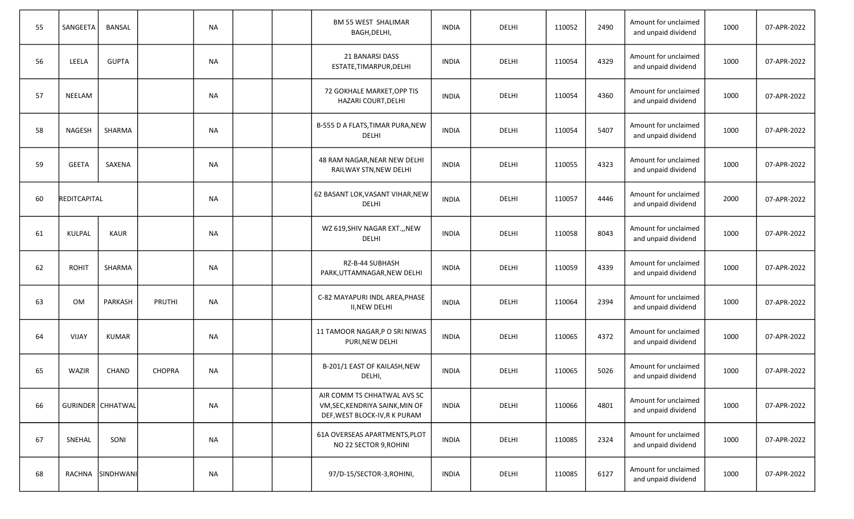| 55 | SANGEETA            | <b>BANSAL</b>     |               | <b>NA</b> |  | <b>BM 55 WEST SHALIMAR</b><br>BAGH, DELHI,                                                     | <b>INDIA</b> | DELHI | 110052 | 2490 | Amount for unclaimed<br>and unpaid dividend | 1000 | 07-APR-2022 |
|----|---------------------|-------------------|---------------|-----------|--|------------------------------------------------------------------------------------------------|--------------|-------|--------|------|---------------------------------------------|------|-------------|
| 56 | LEELA               | <b>GUPTA</b>      |               | NA        |  | 21 BANARSI DASS<br>ESTATE, TIMARPUR, DELHI                                                     | <b>INDIA</b> | DELHI | 110054 | 4329 | Amount for unclaimed<br>and unpaid dividend | 1000 | 07-APR-2022 |
| 57 | NEELAM              |                   |               | <b>NA</b> |  | 72 GOKHALE MARKET, OPP TIS<br>HAZARI COURT, DELHI                                              | <b>INDIA</b> | DELHI | 110054 | 4360 | Amount for unclaimed<br>and unpaid dividend | 1000 | 07-APR-2022 |
| 58 | <b>NAGESH</b>       | SHARMA            |               | <b>NA</b> |  | B-555 D A FLATS, TIMAR PURA, NEW<br>DELHI                                                      | <b>INDIA</b> | DELHI | 110054 | 5407 | Amount for unclaimed<br>and unpaid dividend | 1000 | 07-APR-2022 |
| 59 | <b>GEETA</b>        | SAXENA            |               | <b>NA</b> |  | 48 RAM NAGAR, NEAR NEW DELHI<br>RAILWAY STN, NEW DELHI                                         | <b>INDIA</b> | DELHI | 110055 | 4323 | Amount for unclaimed<br>and unpaid dividend | 1000 | 07-APR-2022 |
| 60 | <b>REDITCAPITAL</b> |                   |               | <b>NA</b> |  | 62 BASANT LOK, VASANT VIHAR, NEW<br><b>DELHI</b>                                               | <b>INDIA</b> | DELHI | 110057 | 4446 | Amount for unclaimed<br>and unpaid dividend | 2000 | 07-APR-2022 |
| 61 | KULPAL              | KAUR              |               | <b>NA</b> |  | WZ 619, SHIV NAGAR EXT., , NEW<br><b>DELHI</b>                                                 | <b>INDIA</b> | DELHI | 110058 | 8043 | Amount for unclaimed<br>and unpaid dividend | 1000 | 07-APR-2022 |
| 62 | <b>ROHIT</b>        | <b>SHARMA</b>     |               | <b>NA</b> |  | RZ-B-44 SUBHASH<br>PARK, UTTAMNAGAR, NEW DELHI                                                 | <b>INDIA</b> | DELHI | 110059 | 4339 | Amount for unclaimed<br>and unpaid dividend | 1000 | 07-APR-2022 |
| 63 | <b>OM</b>           | PARKASH           | PRUTHI        | <b>NA</b> |  | C-82 MAYAPURI INDL AREA, PHASE<br><b>II, NEW DELHI</b>                                         | <b>INDIA</b> | DELHI | 110064 | 2394 | Amount for unclaimed<br>and unpaid dividend | 1000 | 07-APR-2022 |
| 64 | <b>VIJAY</b>        | KUMAR             |               | <b>NA</b> |  | 11 TAMOOR NAGAR, P O SRI NIWAS<br>PURI, NEW DELHI                                              | <b>INDIA</b> | DELHI | 110065 | 4372 | Amount for unclaimed<br>and unpaid dividend | 1000 | 07-APR-2022 |
| 65 | WAZIR               | <b>CHAND</b>      | <b>CHOPRA</b> | <b>NA</b> |  | B-201/1 EAST OF KAILASH, NEW<br>DELHI,                                                         | <b>INDIA</b> | DELHI | 110065 | 5026 | Amount for unclaimed<br>and unpaid dividend | 1000 | 07-APR-2022 |
| 66 |                     | GURINDER CHHATWAL |               | <b>NA</b> |  | AIR COMM TS CHHATWAL AVS SC<br>VM, SEC, KENDRIYA SAINK, MIN OF<br>DEF, WEST BLOCK-IV, RK PURAM | <b>INDIA</b> | DELHI | 110066 | 4801 | Amount for unclaimed<br>and unpaid dividend | 1000 | 07-APR-2022 |
| 67 | SNEHAL              | SONI              |               | <b>NA</b> |  | 61A OVERSEAS APARTMENTS, PLOT<br>NO 22 SECTOR 9, ROHINI                                        | <b>INDIA</b> | DELHI | 110085 | 2324 | Amount for unclaimed<br>and unpaid dividend | 1000 | 07-APR-2022 |
| 68 |                     | RACHNA SINDHWANI  |               | <b>NA</b> |  | 97/D-15/SECTOR-3, ROHINI,                                                                      | <b>INDIA</b> | DELHI | 110085 | 6127 | Amount for unclaimed<br>and unpaid dividend | 1000 | 07-APR-2022 |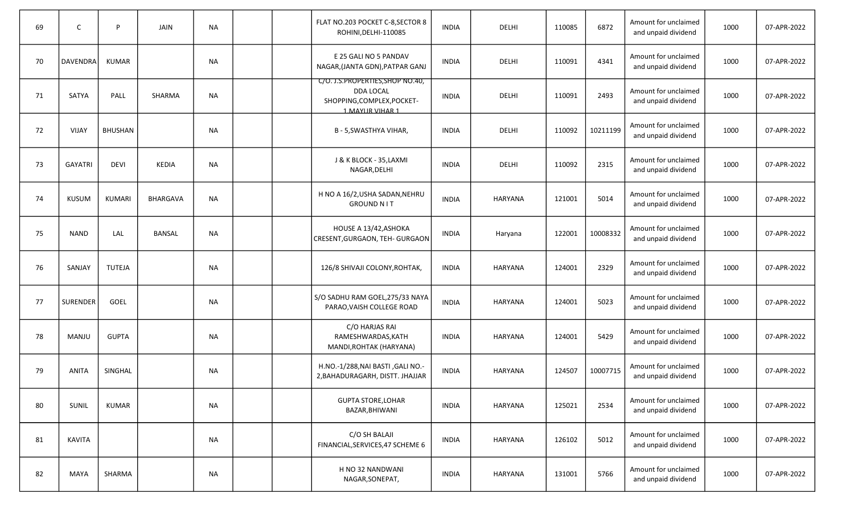| 69 | $\mathsf{C}$    | P              | JAIN          | <b>NA</b> |  | FLAT NO.203 POCKET C-8, SECTOR 8<br>ROHINI, DELHI-110085                                               | <b>INDIA</b> | DELHI          | 110085 | 6872     | Amount for unclaimed<br>and unpaid dividend | 1000 | 07-APR-2022 |
|----|-----------------|----------------|---------------|-----------|--|--------------------------------------------------------------------------------------------------------|--------------|----------------|--------|----------|---------------------------------------------|------|-------------|
| 70 | <b>DAVENDRA</b> | KUMAR          |               | <b>NA</b> |  | E 25 GALI NO 5 PANDAV<br>NAGAR, (JANTA GDN), PATPAR GANJ                                               | <b>INDIA</b> | DELHI          | 110091 | 4341     | Amount for unclaimed<br>and unpaid dividend | 1000 | 07-APR-2022 |
| 71 | SATYA           | PALL           | <b>SHARMA</b> | <b>NA</b> |  | C/O. J.S.PROPERTIES, SHOP NO.40,<br><b>DDA LOCAL</b><br>SHOPPING, COMPLEX, POCKET-<br>1. MAYUR VIHAR 1 | <b>INDIA</b> | DELHI          | 110091 | 2493     | Amount for unclaimed<br>and unpaid dividend | 1000 | 07-APR-2022 |
| 72 | VIJAY           | <b>BHUSHAN</b> |               | <b>NA</b> |  | B - 5, SWASTHYA VIHAR,                                                                                 | <b>INDIA</b> | DELHI          | 110092 | 10211199 | Amount for unclaimed<br>and unpaid dividend | 1000 | 07-APR-2022 |
| 73 | <b>GAYATRI</b>  | <b>DEVI</b>    | KEDIA         | <b>NA</b> |  | J & K BLOCK - 35, LAXMI<br>NAGAR, DELHI                                                                | <b>INDIA</b> | DELHI          | 110092 | 2315     | Amount for unclaimed<br>and unpaid dividend | 1000 | 07-APR-2022 |
| 74 | <b>KUSUM</b>    | <b>KUMARI</b>  | BHARGAVA      | <b>NA</b> |  | H NO A 16/2, USHA SADAN, NEHRU<br><b>GROUND NIT</b>                                                    | <b>INDIA</b> | HARYANA        | 121001 | 5014     | Amount for unclaimed<br>and unpaid dividend | 1000 | 07-APR-2022 |
| 75 | <b>NAND</b>     | LAL            | <b>BANSAL</b> | <b>NA</b> |  | HOUSE A 13/42, ASHOKA<br>CRESENT, GURGAON, TEH- GURGAON                                                | <b>INDIA</b> | Haryana        | 122001 | 10008332 | Amount for unclaimed<br>and unpaid dividend | 1000 | 07-APR-2022 |
| 76 | SANJAY          | TUTEJA         |               | <b>NA</b> |  | 126/8 SHIVAJI COLONY, ROHTAK,                                                                          | <b>INDIA</b> | <b>HARYANA</b> | 124001 | 2329     | Amount for unclaimed<br>and unpaid dividend | 1000 | 07-APR-2022 |
| 77 | <b>SURENDER</b> | GOEL           |               | <b>NA</b> |  | S/O SADHU RAM GOEL, 275/33 NAYA<br>PARAO, VAISH COLLEGE ROAD                                           | <b>INDIA</b> | <b>HARYANA</b> | 124001 | 5023     | Amount for unclaimed<br>and unpaid dividend | 1000 | 07-APR-2022 |
| 78 | MANJU           | <b>GUPTA</b>   |               | <b>NA</b> |  | C/O HARJAS RAI<br>RAMESHWARDAS, KATH<br>MANDI, ROHTAK (HARYANA)                                        | <b>INDIA</b> | HARYANA        | 124001 | 5429     | Amount for unclaimed<br>and unpaid dividend | 1000 | 07-APR-2022 |
| 79 | <b>ANITA</b>    | SINGHAL        |               | <b>NA</b> |  | H.NO.-1/288, NAI BASTI, GALI NO.-<br>2, BAHADURAGARH, DISTT. JHAJJAR                                   | <b>INDIA</b> | <b>HARYANA</b> | 124507 | 10007715 | Amount for unclaimed<br>and unpaid dividend | 1000 | 07-APR-2022 |
| 80 | SUNIL           | <b>KUMAR</b>   |               | <b>NA</b> |  | <b>GUPTA STORE, LOHAR</b><br>BAZAR, BHIWANI                                                            | <b>INDIA</b> | HARYANA        | 125021 | 2534     | Amount for unclaimed<br>and unpaid dividend | 1000 | 07-APR-2022 |
| 81 | <b>KAVITA</b>   |                |               | <b>NA</b> |  | C/O SH BALAJI<br>FINANCIAL, SERVICES, 47 SCHEME 6                                                      | <b>INDIA</b> | HARYANA        | 126102 | 5012     | Amount for unclaimed<br>and unpaid dividend | 1000 | 07-APR-2022 |
| 82 | MAYA            | SHARMA         |               | <b>NA</b> |  | H NO 32 NANDWANI<br>NAGAR, SONEPAT,                                                                    | <b>INDIA</b> | HARYANA        | 131001 | 5766     | Amount for unclaimed<br>and unpaid dividend | 1000 | 07-APR-2022 |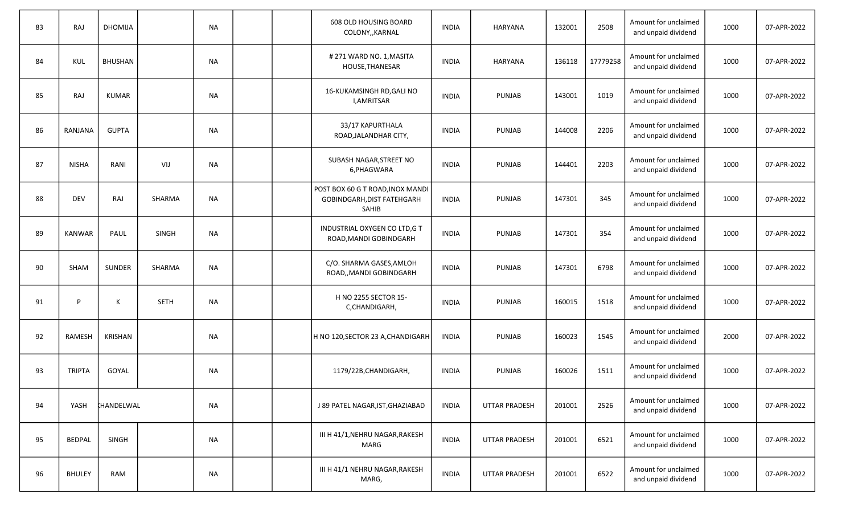| 83 | RAJ           | <b>DHOMIJA</b>    |              | NA        |  | 608 OLD HOUSING BOARD<br>COLONY,, KARNAL                                | <b>INDIA</b> | HARYANA              | 132001 | 2508     | Amount for unclaimed<br>and unpaid dividend | 1000 | 07-APR-2022 |
|----|---------------|-------------------|--------------|-----------|--|-------------------------------------------------------------------------|--------------|----------------------|--------|----------|---------------------------------------------|------|-------------|
| 84 | KUL           | <b>BHUSHAN</b>    |              | NA        |  | #271 WARD NO. 1, MASITA<br>HOUSE, THANESAR                              | <b>INDIA</b> | <b>HARYANA</b>       | 136118 | 17779258 | Amount for unclaimed<br>and unpaid dividend | 1000 | 07-APR-2022 |
| 85 | RAJ           | KUMAR             |              | <b>NA</b> |  | 16-KUKAMSINGH RD, GALI NO<br>I, AMRITSAR                                | <b>INDIA</b> | PUNJAB               | 143001 | 1019     | Amount for unclaimed<br>and unpaid dividend | 1000 | 07-APR-2022 |
| 86 | RANJANA       | <b>GUPTA</b>      |              | <b>NA</b> |  | 33/17 KAPURTHALA<br>ROAD, JALANDHAR CITY,                               | <b>INDIA</b> | PUNJAB               | 144008 | 2206     | Amount for unclaimed<br>and unpaid dividend | 1000 | 07-APR-2022 |
| 87 | <b>NISHA</b>  | RANI              | VIJ          | <b>NA</b> |  | SUBASH NAGAR, STREET NO<br>6, PHAGWARA                                  | <b>INDIA</b> | PUNJAB               | 144401 | 2203     | Amount for unclaimed<br>and unpaid dividend | 1000 | 07-APR-2022 |
| 88 | <b>DEV</b>    | <b>RAJ</b>        | SHARMA       | <b>NA</b> |  | POST BOX 60 G T ROAD, INOX MANDI<br>GOBINDGARH, DIST FATEHGARH<br>SAHIB | <b>INDIA</b> | PUNJAB               | 147301 | 345      | Amount for unclaimed<br>and unpaid dividend | 1000 | 07-APR-2022 |
| 89 | <b>KANWAR</b> | PAUL              | <b>SINGH</b> | <b>NA</b> |  | INDUSTRIAL OXYGEN CO LTD, G T<br>ROAD, MANDI GOBINDGARH                 | <b>INDIA</b> | <b>PUNJAB</b>        | 147301 | 354      | Amount for unclaimed<br>and unpaid dividend | 1000 | 07-APR-2022 |
| 90 | <b>SHAM</b>   | <b>SUNDER</b>     | SHARMA       | <b>NA</b> |  | C/O. SHARMA GASES, AMLOH<br>ROAD,, MANDI GOBINDGARH                     | <b>INDIA</b> | <b>PUNJAB</b>        | 147301 | 6798     | Amount for unclaimed<br>and unpaid dividend | 1000 | 07-APR-2022 |
| 91 | D             | К                 | <b>SETH</b>  | <b>NA</b> |  | H NO 2255 SECTOR 15-<br>C,CHANDIGARH,                                   | <b>INDIA</b> | PUNJAB               | 160015 | 1518     | Amount for unclaimed<br>and unpaid dividend | 1000 | 07-APR-2022 |
| 92 | <b>RAMESH</b> | <b>KRISHAN</b>    |              | <b>NA</b> |  | H NO 120,SECTOR 23 A,CHANDIGARH                                         | <b>INDIA</b> | PUNJAB               | 160023 | 1545     | Amount for unclaimed<br>and unpaid dividend | 2000 | 07-APR-2022 |
| 93 | <b>TRIPTA</b> | GOYAL             |              | <b>NA</b> |  | 1179/22B, CHANDIGARH,                                                   | <b>INDIA</b> | PUNJAB               | 160026 | 1511     | Amount for unclaimed<br>and unpaid dividend | 1000 | 07-APR-2022 |
| 94 | YASH          | <b>KHANDELWAL</b> |              | <b>NA</b> |  | J 89 PATEL NAGAR, IST, GHAZIABAD                                        | <b>INDIA</b> | <b>UTTAR PRADESH</b> | 201001 | 2526     | Amount for unclaimed<br>and unpaid dividend | 1000 | 07-APR-2022 |
| 95 | <b>BEDPAL</b> | SINGH             |              | <b>NA</b> |  | III H 41/1, NEHRU NAGAR, RAKESH<br>MARG                                 | <b>INDIA</b> | <b>UTTAR PRADESH</b> | 201001 | 6521     | Amount for unclaimed<br>and unpaid dividend | 1000 | 07-APR-2022 |
| 96 | <b>BHULEY</b> | RAM               |              | <b>NA</b> |  | III H 41/1 NEHRU NAGAR, RAKESH<br>MARG,                                 | <b>INDIA</b> | <b>UTTAR PRADESH</b> | 201001 | 6522     | Amount for unclaimed<br>and unpaid dividend | 1000 | 07-APR-2022 |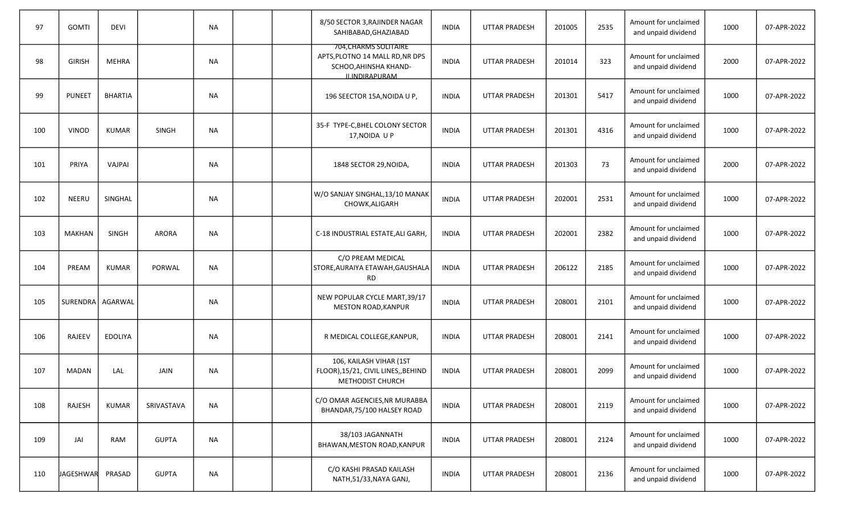| 97  | <b>GOMTI</b>       | <b>DEVI</b>    |               | <b>NA</b> |  | 8/50 SECTOR 3, RAJINDER NAGAR<br>SAHIBABAD, GHAZIABAD                                                      | <b>INDIA</b> | <b>UTTAR PRADESH</b> | 201005 | 2535 | Amount for unclaimed<br>and unpaid dividend | 1000 | 07-APR-2022 |
|-----|--------------------|----------------|---------------|-----------|--|------------------------------------------------------------------------------------------------------------|--------------|----------------------|--------|------|---------------------------------------------|------|-------------|
| 98  | <b>GIRISH</b>      | MEHRA          |               | NA        |  | 704, CHARMS SOLITAIRE<br>APTS, PLOTNO 14 MALL RD, NR DPS<br>SCHOO, AHINSHA KHAND-<br><b>ILINDIRAPLIRAM</b> | <b>INDIA</b> | <b>UTTAR PRADESH</b> | 201014 | 323  | Amount for unclaimed<br>and unpaid dividend | 2000 | 07-APR-2022 |
| 99  | <b>PUNEET</b>      | <b>BHARTIA</b> |               | <b>NA</b> |  | 196 SEECTOR 15A, NOIDA U P,                                                                                | <b>INDIA</b> | UTTAR PRADESH        | 201301 | 5417 | Amount for unclaimed<br>and unpaid dividend | 1000 | 07-APR-2022 |
| 100 | <b>VINOD</b>       | KUMAR          | <b>SINGH</b>  | <b>NA</b> |  | 35-F TYPE-C, BHEL COLONY SECTOR<br>17, NOIDA U P                                                           | <b>INDIA</b> | <b>UTTAR PRADESH</b> | 201301 | 4316 | Amount for unclaimed<br>and unpaid dividend | 1000 | 07-APR-2022 |
| 101 | PRIYA              | VAJPAI         |               | <b>NA</b> |  | 1848 SECTOR 29, NOIDA,                                                                                     | <b>INDIA</b> | <b>UTTAR PRADESH</b> | 201303 | 73   | Amount for unclaimed<br>and unpaid dividend | 2000 | 07-APR-2022 |
| 102 | <b>NEERU</b>       | SINGHAL        |               | <b>NA</b> |  | W/O SANJAY SINGHAL,13/10 MANAK<br>CHOWK, ALIGARH                                                           | <b>INDIA</b> | UTTAR PRADESH        | 202001 | 2531 | Amount for unclaimed<br>and unpaid dividend | 1000 | 07-APR-2022 |
| 103 | <b>MAKHAN</b>      | SINGH          | <b>ARORA</b>  | <b>NA</b> |  | C-18 INDUSTRIAL ESTATE, ALI GARH,                                                                          | <b>INDIA</b> | <b>UTTAR PRADESH</b> | 202001 | 2382 | Amount for unclaimed<br>and unpaid dividend | 1000 | 07-APR-2022 |
| 104 | PREAM              | KUMAR          | <b>PORWAL</b> | <b>NA</b> |  | C/O PREAM MEDICAL<br>STORE, AURAIYA ETAWAH, GAUSHALA<br>RD                                                 | <b>INDIA</b> | <b>UTTAR PRADESH</b> | 206122 | 2185 | Amount for unclaimed<br>and unpaid dividend | 1000 | 07-APR-2022 |
| 105 | SURENDRA   AGARWAL |                |               | <b>NA</b> |  | NEW POPULAR CYCLE MART, 39/17<br><b>MESTON ROAD, KANPUR</b>                                                | <b>INDIA</b> | <b>UTTAR PRADESH</b> | 208001 | 2101 | Amount for unclaimed<br>and unpaid dividend | 1000 | 07-APR-2022 |
| 106 | <b>RAJEEV</b>      | <b>EDOLIYA</b> |               | <b>NA</b> |  | R MEDICAL COLLEGE, KANPUR,                                                                                 | <b>INDIA</b> | <b>UTTAR PRADESH</b> | 208001 | 2141 | Amount for unclaimed<br>and unpaid dividend | 1000 | 07-APR-2022 |
| 107 | MADAN              | LAL            | JAIN          | NA        |  | 106, KAILASH VIHAR (1ST<br>FLOOR), 15/21, CIVIL LINES,, BEHIND<br>METHODIST CHURCH                         | <b>INDIA</b> | UTTAR PRADESH        | 208001 | 2099 | Amount for unclaimed<br>and unpaid dividend | 1000 | 07-APR-2022 |
| 108 | RAJESH             | <b>KUMAR</b>   | SRIVASTAVA    | $\sf NA$  |  | C/O OMAR AGENCIES, NR MURABBA<br>BHANDAR, 75/100 HALSEY ROAD                                               | <b>INDIA</b> | <b>UTTAR PRADESH</b> | 208001 | 2119 | Amount for unclaimed<br>and unpaid dividend | 1000 | 07-APR-2022 |
| 109 | JAI                | RAM            | <b>GUPTA</b>  | <b>NA</b> |  | 38/103 JAGANNATH<br>BHAWAN, MESTON ROAD, KANPUR                                                            | <b>INDIA</b> | UTTAR PRADESH        | 208001 | 2124 | Amount for unclaimed<br>and unpaid dividend | 1000 | 07-APR-2022 |
| 110 | <b>JAGESHWAR</b>   | PRASAD         | <b>GUPTA</b>  | <b>NA</b> |  | C/O KASHI PRASAD KAILASH<br>NATH, 51/33, NAYA GANJ,                                                        | <b>INDIA</b> | <b>UTTAR PRADESH</b> | 208001 | 2136 | Amount for unclaimed<br>and unpaid dividend | 1000 | 07-APR-2022 |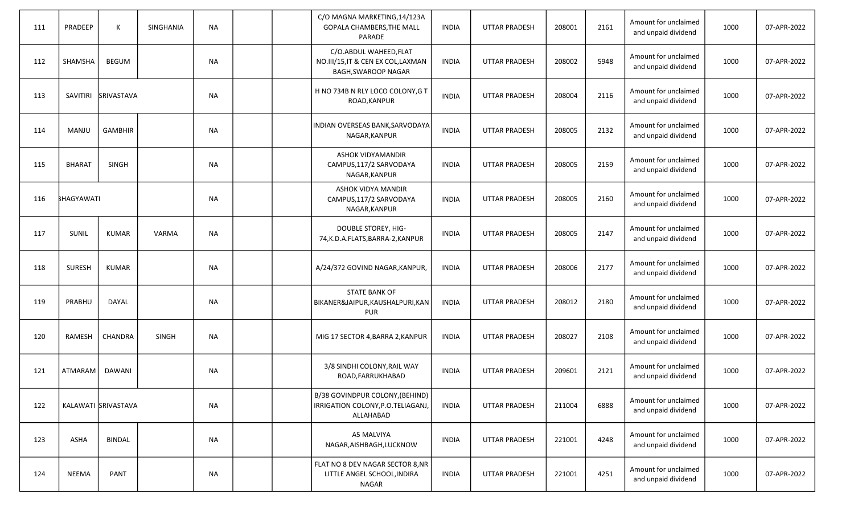| 111 | PRADEEP       | К                   | SINGHANIA    | <b>NA</b> |  | C/O MAGNA MARKETING, 14/123A<br>GOPALA CHAMBERS, THE MALL<br>PARADE                 | <b>INDIA</b> | <b>UTTAR PRADESH</b> | 208001 | 2161 | Amount for unclaimed<br>and unpaid dividend | 1000 | 07-APR-2022 |
|-----|---------------|---------------------|--------------|-----------|--|-------------------------------------------------------------------------------------|--------------|----------------------|--------|------|---------------------------------------------|------|-------------|
| 112 | SHAMSHA       | <b>BEGUM</b>        |              | <b>NA</b> |  | C/O.ABDUL WAHEED, FLAT<br>NO.III/15, IT & CEN EX COL, LAXMAN<br>BAGH, SWAROOP NAGAR | <b>INDIA</b> | <b>UTTAR PRADESH</b> | 208002 | 5948 | Amount for unclaimed<br>and unpaid dividend | 1000 | 07-APR-2022 |
| 113 | SAVITIRI      | SRIVASTAVA          |              | <b>NA</b> |  | H NO 734B N RLY LOCO COLONY, G T<br>ROAD, KANPUR                                    | <b>INDIA</b> | <b>UTTAR PRADESH</b> | 208004 | 2116 | Amount for unclaimed<br>and unpaid dividend | 1000 | 07-APR-2022 |
| 114 | MANJU         | <b>GAMBHIR</b>      |              | <b>NA</b> |  | INDIAN OVERSEAS BANK, SARVODAYA<br>NAGAR, KANPUR                                    | <b>INDIA</b> | <b>UTTAR PRADESH</b> | 208005 | 2132 | Amount for unclaimed<br>and unpaid dividend | 1000 | 07-APR-2022 |
| 115 | <b>BHARAT</b> | <b>SINGH</b>        |              | <b>NA</b> |  | <b>ASHOK VIDYAMANDIR</b><br>CAMPUS, 117/2 SARVODAYA<br>NAGAR, KANPUR                | <b>INDIA</b> | <b>UTTAR PRADESH</b> | 208005 | 2159 | Amount for unclaimed<br>and unpaid dividend | 1000 | 07-APR-2022 |
| 116 | BHAGYAWATI    |                     |              | NA        |  | ASHOK VIDYA MANDIR<br>CAMPUS, 117/2 SARVODAYA<br>NAGAR, KANPUR                      | <b>INDIA</b> | <b>UTTAR PRADESH</b> | 208005 | 2160 | Amount for unclaimed<br>and unpaid dividend | 1000 | 07-APR-2022 |
| 117 | SUNIL         | <b>KUMAR</b>        | <b>VARMA</b> | <b>NA</b> |  | <b>DOUBLE STOREY, HIG-</b><br>74, K.D.A.FLATS, BARRA-2, KANPUR                      | <b>INDIA</b> | <b>UTTAR PRADESH</b> | 208005 | 2147 | Amount for unclaimed<br>and unpaid dividend | 1000 | 07-APR-2022 |
| 118 | <b>SURESH</b> | <b>KUMAR</b>        |              | <b>NA</b> |  | A/24/372 GOVIND NAGAR, KANPUR,                                                      | <b>INDIA</b> | <b>UTTAR PRADESH</b> | 208006 | 2177 | Amount for unclaimed<br>and unpaid dividend | 1000 | 07-APR-2022 |
| 119 | <b>PRABHU</b> | <b>DAYAL</b>        |              | <b>NA</b> |  | <b>STATE BANK OF</b><br>BIKANER&JAIPUR, KAUSHALPURI, KAN<br><b>PUR</b>              | <b>INDIA</b> | <b>UTTAR PRADESH</b> | 208012 | 2180 | Amount for unclaimed<br>and unpaid dividend | 1000 | 07-APR-2022 |
| 120 | RAMESH        | CHANDRA             | <b>SINGH</b> | <b>NA</b> |  | MIG 17 SECTOR 4, BARRA 2, KANPUR                                                    | <b>INDIA</b> | <b>UTTAR PRADESH</b> | 208027 | 2108 | Amount for unclaimed<br>and unpaid dividend | 1000 | 07-APR-2022 |
| 121 | ATMARAM       | DAWANI              |              | <b>NA</b> |  | 3/8 SINDHI COLONY, RAIL WAY<br>ROAD, FARRUKHABAD                                    | <b>INDIA</b> | <b>UTTAR PRADESH</b> | 209601 | 2121 | Amount for unclaimed<br>and unpaid dividend | 1000 | 07-APR-2022 |
| 122 |               | KALAWATI SRIVASTAVA |              | <b>NA</b> |  | B/38 GOVINDPUR COLONY, (BEHIND)<br>IRRIGATION COLONY, P.O. TELIAGANJ,<br>ALLAHABAD  | <b>INDIA</b> | <b>UTTAR PRADESH</b> | 211004 | 6888 | Amount for unclaimed<br>and unpaid dividend | 1000 | 07-APR-2022 |
| 123 | ASHA          | <b>BINDAL</b>       |              | <b>NA</b> |  | A5 MALVIYA<br>NAGAR, AISHBAGH, LUCKNOW                                              | <b>INDIA</b> | <b>UTTAR PRADESH</b> | 221001 | 4248 | Amount for unclaimed<br>and unpaid dividend | 1000 | 07-APR-2022 |
| 124 | NEEMA         | PANT                |              | <b>NA</b> |  | FLAT NO 8 DEV NAGAR SECTOR 8, NR<br>LITTLE ANGEL SCHOOL, INDIRA<br>NAGAR            | <b>INDIA</b> | UTTAR PRADESH        | 221001 | 4251 | Amount for unclaimed<br>and unpaid dividend | 1000 | 07-APR-2022 |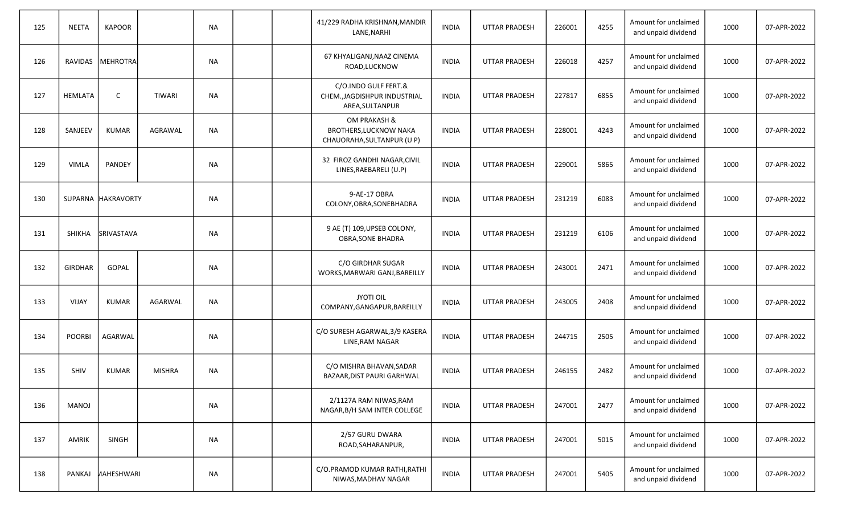| 125 | <b>NEETA</b>   | <b>KAPOOR</b>      |                | <b>NA</b> |  | 41/229 RADHA KRISHNAN, MANDIR<br>LANE, NARHI                                | <b>INDIA</b> | <b>UTTAR PRADESH</b> | 226001 | 4255 | Amount for unclaimed<br>and unpaid dividend | 1000 | 07-APR-2022 |
|-----|----------------|--------------------|----------------|-----------|--|-----------------------------------------------------------------------------|--------------|----------------------|--------|------|---------------------------------------------|------|-------------|
| 126 | RAVIDAS        | MEHROTRA           |                | <b>NA</b> |  | 67 KHYALIGANJ, NAAZ CINEMA<br>ROAD,LUCKNOW                                  | <b>INDIA</b> | <b>UTTAR PRADESH</b> | 226018 | 4257 | Amount for unclaimed<br>and unpaid dividend | 1000 | 07-APR-2022 |
| 127 | HEMLATA        | C                  | <b>TIWARI</b>  | <b>NA</b> |  | C/O.INDO GULF FERT.&<br>CHEM., JAGDISHPUR INDUSTRIAL<br>AREA, SULTANPUR     | <b>INDIA</b> | <b>UTTAR PRADESH</b> | 227817 | 6855 | Amount for unclaimed<br>and unpaid dividend | 1000 | 07-APR-2022 |
| 128 | SANJEEV        | <b>KUMAR</b>       | AGRAWAL        | <b>NA</b> |  | OM PRAKASH &<br><b>BROTHERS, LUCKNOW NAKA</b><br>CHAUORAHA, SULTANPUR (U P) | <b>INDIA</b> | <b>UTTAR PRADESH</b> | 228001 | 4243 | Amount for unclaimed<br>and unpaid dividend | 1000 | 07-APR-2022 |
| 129 | <b>VIMLA</b>   | <b>PANDEY</b>      |                | NА        |  | 32 FIROZ GANDHI NAGAR, CIVIL<br>LINES, RAEBARELI (U.P)                      | INDIA        | <b>UTTAR PRADESH</b> | 229001 | 5865 | Amount for unclaimed<br>and unpaid dividend | 1000 | 07-APR-2022 |
| 130 |                | SUPARNA HAKRAVORTY |                | <b>NA</b> |  | 9-AE-17 OBRA<br>COLONY, OBRA, SONEBHADRA                                    | <b>INDIA</b> | <b>UTTAR PRADESH</b> | 231219 | 6083 | Amount for unclaimed<br>and unpaid dividend | 1000 | 07-APR-2022 |
| 131 | <b>SHIKHA</b>  | SRIVASTAVA         |                | NА        |  | 9 AE (T) 109, UPSEB COLONY,<br><b>OBRA, SONE BHADRA</b>                     | <b>INDIA</b> | <b>UTTAR PRADESH</b> | 231219 | 6106 | Amount for unclaimed<br>and unpaid dividend | 1000 | 07-APR-2022 |
| 132 | <b>GIRDHAR</b> | GOPAL              |                | <b>NA</b> |  | C/O GIRDHAR SUGAR<br>WORKS, MARWARI GANJ, BAREILLY                          | <b>INDIA</b> | <b>UTTAR PRADESH</b> | 243001 | 2471 | Amount for unclaimed<br>and unpaid dividend | 1000 | 07-APR-2022 |
| 133 | <b>VIJAY</b>   | <b>KUMAR</b>       | <b>AGARWAL</b> | <b>NA</b> |  | <b>JYOTI OIL</b><br>COMPANY, GANGAPUR, BAREILLY                             | <b>INDIA</b> | <b>UTTAR PRADESH</b> | 243005 | 2408 | Amount for unclaimed<br>and unpaid dividend | 1000 | 07-APR-2022 |
| 134 | <b>POORBI</b>  | AGARWAL            |                | <b>NA</b> |  | C/O SURESH AGARWAL, 3/9 KASERA<br>LINE, RAM NAGAR                           | <b>INDIA</b> | <b>UTTAR PRADESH</b> | 244715 | 2505 | Amount for unclaimed<br>and unpaid dividend | 1000 | 07-APR-2022 |
| 135 | <b>SHIV</b>    | <b>KUMAR</b>       | <b>MISHRA</b>  | <b>NA</b> |  | C/O MISHRA BHAVAN, SADAR<br>BAZAAR, DIST PAURI GARHWAL                      | <b>INDIA</b> | <b>UTTAR PRADESH</b> | 246155 | 2482 | Amount for unclaimed<br>and unpaid dividend | 1000 | 07-APR-2022 |
| 136 | MANOJ          |                    |                | <b>NA</b> |  | 2/1127A RAM NIWAS, RAM<br>NAGAR, B/H SAM INTER COLLEGE                      | <b>INDIA</b> | <b>UTTAR PRADESH</b> | 247001 | 2477 | Amount for unclaimed<br>and unpaid dividend | 1000 | 07-APR-2022 |
| 137 | AMRIK          | SINGH              |                | <b>NA</b> |  | 2/57 GURU DWARA<br>ROAD, SAHARANPUR,                                        | <b>INDIA</b> | <b>UTTAR PRADESH</b> | 247001 | 5015 | Amount for unclaimed<br>and unpaid dividend | 1000 | 07-APR-2022 |
| 138 | PANKAJ         | <b>HAHESHWARI</b>  |                | <b>NA</b> |  | C/O.PRAMOD KUMAR RATHI, RATHI<br>NIWAS, MADHAV NAGAR                        | <b>INDIA</b> | <b>UTTAR PRADESH</b> | 247001 | 5405 | Amount for unclaimed<br>and unpaid dividend | 1000 | 07-APR-2022 |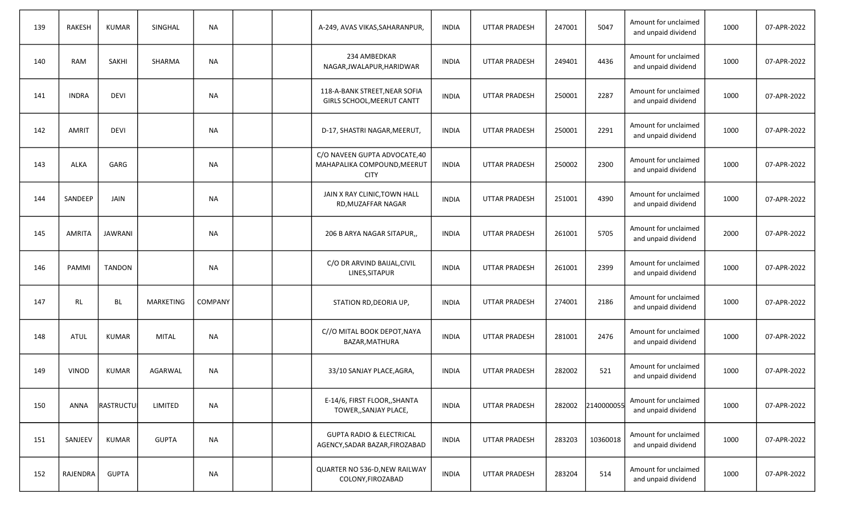| 139 | <b>RAKESH</b> | <b>KUMAR</b>   | SINGHAL      | NА             |  | A-249, AVAS VIKAS, SAHARANPUR,                                             | <b>INDIA</b> | <b>UTTAR PRADESH</b> | 247001 | 5047       | Amount for unclaimed<br>and unpaid dividend | 1000 | 07-APR-2022 |
|-----|---------------|----------------|--------------|----------------|--|----------------------------------------------------------------------------|--------------|----------------------|--------|------------|---------------------------------------------|------|-------------|
| 140 | <b>RAM</b>    | <b>SAKHI</b>   | SHARMA       | <b>NA</b>      |  | 234 AMBEDKAR<br>NAGAR, JWALAPUR, HARIDWAR                                  | <b>INDIA</b> | <b>UTTAR PRADESH</b> | 249401 | 4436       | Amount for unclaimed<br>and unpaid dividend | 1000 | 07-APR-2022 |
| 141 | <b>INDRA</b>  | <b>DEVI</b>    |              | <b>NA</b>      |  | 118-A-BANK STREET, NEAR SOFIA<br>GIRLS SCHOOL, MEERUT CANTT                | <b>INDIA</b> | <b>UTTAR PRADESH</b> | 250001 | 2287       | Amount for unclaimed<br>and unpaid dividend | 1000 | 07-APR-2022 |
| 142 | <b>AMRIT</b>  | <b>DEVI</b>    |              | <b>NA</b>      |  | D-17, SHASTRI NAGAR, MEERUT,                                               | <b>INDIA</b> | <b>UTTAR PRADESH</b> | 250001 | 2291       | Amount for unclaimed<br>and unpaid dividend | 1000 | 07-APR-2022 |
| 143 | <b>ALKA</b>   | GARG           |              | NА             |  | C/O NAVEEN GUPTA ADVOCATE,40<br>MAHAPALIKA COMPOUND, MEERUT<br><b>CITY</b> | <b>INDIA</b> | <b>UTTAR PRADESH</b> | 250002 | 2300       | Amount for unclaimed<br>and unpaid dividend | 1000 | 07-APR-2022 |
| 144 | SANDEEP       | JAIN           |              | <b>NA</b>      |  | JAIN X RAY CLINIC, TOWN HALL<br>RD, MUZAFFAR NAGAR                         | <b>INDIA</b> | <b>UTTAR PRADESH</b> | 251001 | 4390       | Amount for unclaimed<br>and unpaid dividend | 1000 | 07-APR-2022 |
| 145 | <b>AMRITA</b> | <b>JAWRANI</b> |              | <b>NA</b>      |  | 206 B ARYA NAGAR SITAPUR,,                                                 | <b>INDIA</b> | <b>UTTAR PRADESH</b> | 261001 | 5705       | Amount for unclaimed<br>and unpaid dividend | 2000 | 07-APR-2022 |
| 146 | PAMMI         | <b>TANDON</b>  |              | NA             |  | C/O DR ARVIND BAIJAL, CIVIL<br>LINES, SITAPUR                              | <b>INDIA</b> | <b>UTTAR PRADESH</b> | 261001 | 2399       | Amount for unclaimed<br>and unpaid dividend | 1000 | 07-APR-2022 |
| 147 | RL            | BL             | MARKETING    | <b>COMPANY</b> |  | STATION RD, DEORIA UP,                                                     | <b>INDIA</b> | <b>UTTAR PRADESH</b> | 274001 | 2186       | Amount for unclaimed<br>and unpaid dividend | 1000 | 07-APR-2022 |
| 148 | <b>ATUL</b>   | <b>KUMAR</b>   | <b>MITAL</b> | <b>NA</b>      |  | C//O MITAL BOOK DEPOT, NAYA<br>BAZAR, MATHURA                              | <b>INDIA</b> | <b>UTTAR PRADESH</b> | 281001 | 2476       | Amount for unclaimed<br>and unpaid dividend | 1000 | 07-APR-2022 |
| 149 | <b>VINOD</b>  | <b>KUMAR</b>   | AGARWAL      | NА             |  | 33/10 SANJAY PLACE, AGRA,                                                  | <b>INDIA</b> | <b>UTTAR PRADESH</b> | 282002 | 521        | Amount for unclaimed<br>and unpaid dividend | 1000 | 07-APR-2022 |
| 150 | ANNA          | RASTRUCTU      | LIMITED      | <b>NA</b>      |  | E-14/6, FIRST FLOOR,, SHANTA<br>TOWER,, SANJAY PLACE,                      | <b>INDIA</b> | UTTAR PRADESH        | 282002 | 2140000055 | Amount for unclaimed<br>and unpaid dividend | 1000 | 07-APR-2022 |
| 151 | SANJEEV       | <b>KUMAR</b>   | <b>GUPTA</b> | <b>NA</b>      |  | <b>GUPTA RADIO &amp; ELECTRICAL</b><br>AGENCY, SADAR BAZAR, FIROZABAD      | <b>INDIA</b> | UTTAR PRADESH        | 283203 | 10360018   | Amount for unclaimed<br>and unpaid dividend | 1000 | 07-APR-2022 |
| 152 | RAJENDRA      | <b>GUPTA</b>   |              | $\sf NA$       |  | QUARTER NO 536-D, NEW RAILWAY<br>COLONY, FIROZABAD                         | <b>INDIA</b> | UTTAR PRADESH        | 283204 | 514        | Amount for unclaimed<br>and unpaid dividend | 1000 | 07-APR-2022 |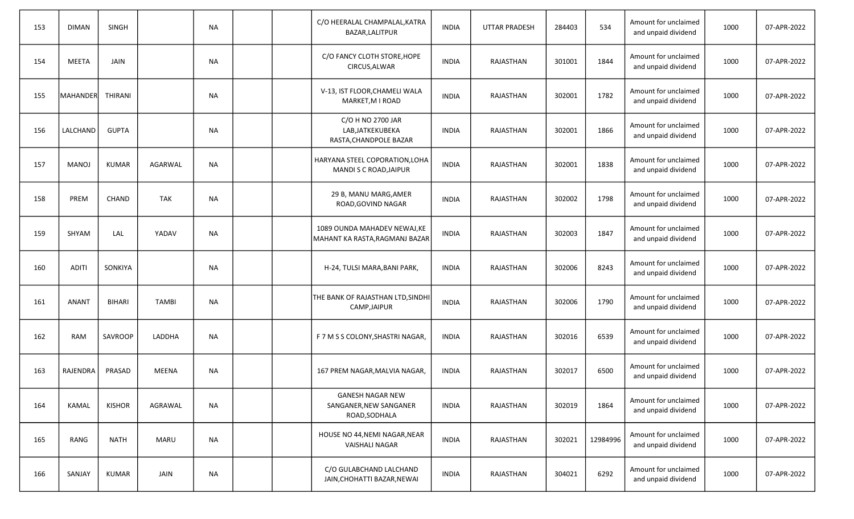| 153 | <b>DIMAN</b>     | <b>SINGH</b>  |                | <b>NA</b> |  | C/O HEERALAL CHAMPALAL, KATRA<br>BAZAR, LALITPUR                   | <b>INDIA</b> | <b>UTTAR PRADESH</b> | 284403 | 534      | Amount for unclaimed<br>and unpaid dividend | 1000 | 07-APR-2022 |
|-----|------------------|---------------|----------------|-----------|--|--------------------------------------------------------------------|--------------|----------------------|--------|----------|---------------------------------------------|------|-------------|
| 154 | MEETA            | JAIN          |                | <b>NA</b> |  | C/O FANCY CLOTH STORE, HOPE<br>CIRCUS, ALWAR                       | <b>INDIA</b> | RAJASTHAN            | 301001 | 1844     | Amount for unclaimed<br>and unpaid dividend | 1000 | 07-APR-2022 |
| 155 | MAHANDER THIRANI |               |                | <b>NA</b> |  | V-13, IST FLOOR, CHAMELI WALA<br>MARKET, M I ROAD                  | <b>INDIA</b> | RAJASTHAN            | 302001 | 1782     | Amount for unclaimed<br>and unpaid dividend | 1000 | 07-APR-2022 |
| 156 | LALCHAND         | <b>GUPTA</b>  |                | <b>NA</b> |  | C/O H NO 2700 JAR<br>LAB, JATKEKUBEKA<br>RASTA, CHANDPOLE BAZAR    | <b>INDIA</b> | RAJASTHAN            | 302001 | 1866     | Amount for unclaimed<br>and unpaid dividend | 1000 | 07-APR-2022 |
| 157 | <b>MANOJ</b>     | <b>KUMAR</b>  | <b>AGARWAL</b> | <b>NA</b> |  | HARYANA STEEL COPORATION, LOHA<br>MANDI S C ROAD, JAIPUR           | <b>INDIA</b> | RAJASTHAN            | 302001 | 1838     | Amount for unclaimed<br>and unpaid dividend | 1000 | 07-APR-2022 |
| 158 | PREM             | <b>CHAND</b>  | <b>TAK</b>     | <b>NA</b> |  | 29 B, MANU MARG, AMER<br>ROAD, GOVIND NAGAR                        | <b>INDIA</b> | RAJASTHAN            | 302002 | 1798     | Amount for unclaimed<br>and unpaid dividend | 1000 | 07-APR-2022 |
| 159 | SHYAM            | LAL           | YADAV          | <b>NA</b> |  | 1089 OUNDA MAHADEV NEWAJ, KE<br>MAHANT KA RASTA, RAGMANJ BAZAR     | <b>INDIA</b> | RAJASTHAN            | 302003 | 1847     | Amount for unclaimed<br>and unpaid dividend | 1000 | 07-APR-2022 |
| 160 | <b>ADITI</b>     | SONKIYA       |                | <b>NA</b> |  | H-24, TULSI MARA, BANI PARK,                                       | <b>INDIA</b> | RAJASTHAN            | 302006 | 8243     | Amount for unclaimed<br>and unpaid dividend | 1000 | 07-APR-2022 |
| 161 | <b>ANANT</b>     | <b>BIHARI</b> | <b>TAMBI</b>   | <b>NA</b> |  | THE BANK OF RAJASTHAN LTD, SINDHI<br>CAMP, JAIPUR                  | <b>INDIA</b> | RAJASTHAN            | 302006 | 1790     | Amount for unclaimed<br>and unpaid dividend | 1000 | 07-APR-2022 |
| 162 | <b>RAM</b>       | SAVROOP       | LADDHA         | <b>NA</b> |  | F 7 M S S COLONY, SHASTRI NAGAR,                                   | <b>INDIA</b> | RAJASTHAN            | 302016 | 6539     | Amount for unclaimed<br>and unpaid dividend | 1000 | 07-APR-2022 |
| 163 | RAJENDRA         | PRASAD        | MEENA          | <b>NA</b> |  | 167 PREM NAGAR, MALVIA NAGAR,                                      | <b>INDIA</b> | RAJASTHAN            | 302017 | 6500     | Amount for unclaimed<br>and unpaid dividend | 1000 | 07-APR-2022 |
| 164 | KAMAL            | <b>KISHOR</b> | AGRAWAL        | <b>NA</b> |  | <b>GANESH NAGAR NEW</b><br>SANGANER, NEW SANGANER<br>ROAD, SODHALA | <b>INDIA</b> | <b>RAJASTHAN</b>     | 302019 | 1864     | Amount for unclaimed<br>and unpaid dividend | 1000 | 07-APR-2022 |
| 165 | RANG             | <b>NATH</b>   | MARU           | <b>NA</b> |  | HOUSE NO 44, NEMI NAGAR, NEAR<br><b>VAISHALI NAGAR</b>             | <b>INDIA</b> | RAJASTHAN            | 302021 | 12984996 | Amount for unclaimed<br>and unpaid dividend | 1000 | 07-APR-2022 |
| 166 | SANJAY           | KUMAR         | JAIN           | <b>NA</b> |  | C/O GULABCHAND LALCHAND<br>JAIN, CHOHATTI BAZAR, NEWAI             | <b>INDIA</b> | RAJASTHAN            | 304021 | 6292     | Amount for unclaimed<br>and unpaid dividend | 1000 | 07-APR-2022 |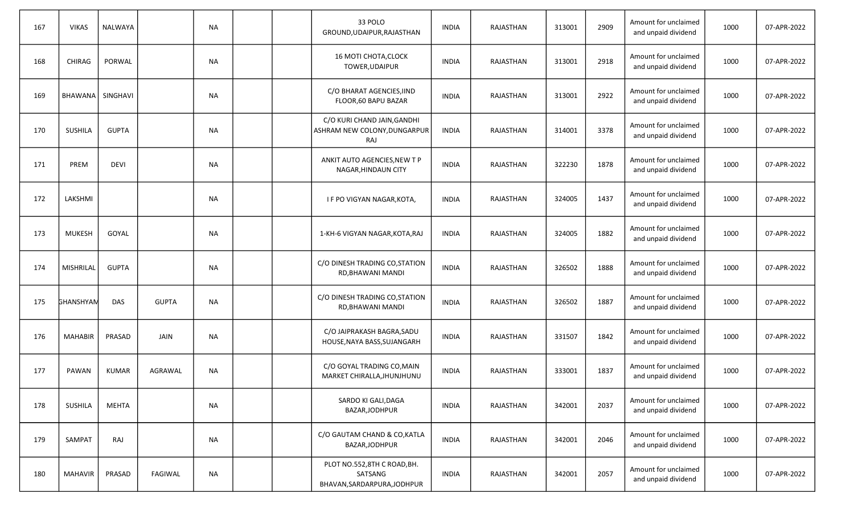| 167 | <b>VIKAS</b>     | NALWAYA      |                | <b>NA</b> |  | 33 POLO<br>GROUND, UDAIPUR, RAJASTHAN                                 | <b>INDIA</b> | RAJASTHAN | 313001 | 2909 | Amount for unclaimed<br>and unpaid dividend | 1000 | 07-APR-2022 |
|-----|------------------|--------------|----------------|-----------|--|-----------------------------------------------------------------------|--------------|-----------|--------|------|---------------------------------------------|------|-------------|
| 168 | CHIRAG           | PORWAL       |                | <b>NA</b> |  | <b>16 MOTI CHOTA, CLOCK</b><br>TOWER, UDAIPUR                         | <b>INDIA</b> | RAJASTHAN | 313001 | 2918 | Amount for unclaimed<br>and unpaid dividend | 1000 | 07-APR-2022 |
| 169 | <b>BHAWANA</b>   | SINGHAVI     |                | <b>NA</b> |  | C/O BHARAT AGENCIES, IIND<br>FLOOR, 60 BAPU BAZAR                     | <b>INDIA</b> | RAJASTHAN | 313001 | 2922 | Amount for unclaimed<br>and unpaid dividend | 1000 | 07-APR-2022 |
| 170 | <b>SUSHILA</b>   | <b>GUPTA</b> |                | <b>NA</b> |  | C/O KURI CHAND JAIN, GANDHI<br>ASHRAM NEW COLONY, DUNGARPUR<br>RAJ    | <b>INDIA</b> | RAJASTHAN | 314001 | 3378 | Amount for unclaimed<br>and unpaid dividend | 1000 | 07-APR-2022 |
| 171 | PREM             | <b>DEVI</b>  |                | <b>NA</b> |  | ANKIT AUTO AGENCIES, NEW T P<br>NAGAR, HINDAUN CITY                   | <b>INDIA</b> | RAJASTHAN | 322230 | 1878 | Amount for unclaimed<br>and unpaid dividend | 1000 | 07-APR-2022 |
| 172 | LAKSHMI          |              |                | <b>NA</b> |  | I F PO VIGYAN NAGAR, KOTA,                                            | <b>INDIA</b> | RAJASTHAN | 324005 | 1437 | Amount for unclaimed<br>and unpaid dividend | 1000 | 07-APR-2022 |
| 173 | <b>MUKESH</b>    | GOYAL        |                | <b>NA</b> |  | 1-KH-6 VIGYAN NAGAR, KOTA, RAJ                                        | <b>INDIA</b> | RAJASTHAN | 324005 | 1882 | Amount for unclaimed<br>and unpaid dividend | 1000 | 07-APR-2022 |
| 174 | MISHRILAL        | <b>GUPTA</b> |                | <b>NA</b> |  | C/O DINESH TRADING CO, STATION<br>RD, BHAWANI MANDI                   | <b>INDIA</b> | RAJASTHAN | 326502 | 1888 | Amount for unclaimed<br>and unpaid dividend | 1000 | 07-APR-2022 |
| 175 | <b>GHANSHYAM</b> | <b>DAS</b>   | <b>GUPTA</b>   | <b>NA</b> |  | C/O DINESH TRADING CO, STATION<br>RD, BHAWANI MANDI                   | <b>INDIA</b> | RAJASTHAN | 326502 | 1887 | Amount for unclaimed<br>and unpaid dividend | 1000 | 07-APR-2022 |
| 176 | <b>MAHABIR</b>   | PRASAD       | <b>JAIN</b>    | <b>NA</b> |  | C/O JAIPRAKASH BAGRA, SADU<br>HOUSE, NAYA BASS, SUJANGARH             | <b>INDIA</b> | RAJASTHAN | 331507 | 1842 | Amount for unclaimed<br>and unpaid dividend | 1000 | 07-APR-2022 |
| 177 | PAWAN            | <b>KUMAR</b> | AGRAWAL        | <b>NA</b> |  | C/O GOYAL TRADING CO, MAIN<br>MARKET CHIRALLA, JHUNJHUNU              | <b>INDIA</b> | RAJASTHAN | 333001 | 1837 | Amount for unclaimed<br>and unpaid dividend | 1000 | 07-APR-2022 |
| 178 | SUSHILA          | MEHTA        |                | <b>NA</b> |  | SARDO KI GALI, DAGA<br>BAZAR, JODHPUR                                 | <b>INDIA</b> | RAJASTHAN | 342001 | 2037 | Amount for unclaimed<br>and unpaid dividend | 1000 | 07-APR-2022 |
| 179 | SAMPAT           | RAJ          |                | <b>NA</b> |  | C/O GAUTAM CHAND & CO, KATLA<br>BAZAR, JODHPUR                        | <b>INDIA</b> | RAJASTHAN | 342001 | 2046 | Amount for unclaimed<br>and unpaid dividend | 1000 | 07-APR-2022 |
| 180 | MAHAVIR          | PRASAD       | <b>FAGIWAL</b> | NA        |  | PLOT NO.552,8TH C ROAD, BH.<br>SATSANG<br>BHAVAN, SARDARPURA, JODHPUR | <b>INDIA</b> | RAJASTHAN | 342001 | 2057 | Amount for unclaimed<br>and unpaid dividend | 1000 | 07-APR-2022 |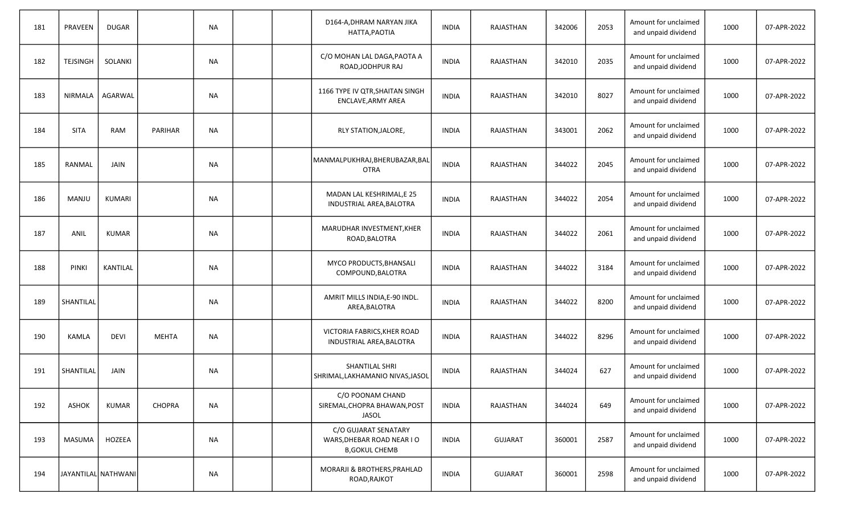| 181 | PRAVEEN              | <b>DUGAR</b>    |                | <b>NA</b> |  | D164-A, DHRAM NARYAN JIKA<br>HATTA, PAOTIA                                 | <b>INDIA</b> | RAJASTHAN      | 342006 | 2053 | Amount for unclaimed<br>and unpaid dividend | 1000 | 07-APR-2022 |
|-----|----------------------|-----------------|----------------|-----------|--|----------------------------------------------------------------------------|--------------|----------------|--------|------|---------------------------------------------|------|-------------|
| 182 | <b>TEJSINGH</b>      | SOLANKI         |                | <b>NA</b> |  | C/O MOHAN LAL DAGA, PAOTA A<br>ROAD, JODHPUR RAJ                           | <b>INDIA</b> | RAJASTHAN      | 342010 | 2035 | Amount for unclaimed<br>and unpaid dividend | 1000 | 07-APR-2022 |
| 183 | NIRMALA              | AGARWAL         |                | <b>NA</b> |  | 1166 TYPE IV QTR, SHAITAN SINGH<br>ENCLAVE, ARMY AREA                      | <b>INDIA</b> | RAJASTHAN      | 342010 | 8027 | Amount for unclaimed<br>and unpaid dividend | 1000 | 07-APR-2022 |
| 184 | <b>SITA</b>          | <b>RAM</b>      | <b>PARIHAR</b> | <b>NA</b> |  | RLY STATION, JALORE,                                                       | <b>INDIA</b> | RAJASTHAN      | 343001 | 2062 | Amount for unclaimed<br>and unpaid dividend | 1000 | 07-APR-2022 |
| 185 | RANMAL               | <b>JAIN</b>     |                | <b>NA</b> |  | MANMALPUKHRAJ, BHERUBAZAR, BAL<br><b>OTRA</b>                              | <b>INDIA</b> | RAJASTHAN      | 344022 | 2045 | Amount for unclaimed<br>and unpaid dividend | 1000 | 07-APR-2022 |
| 186 | MANJU                | KUMARI          |                | NA        |  | MADAN LAL KESHRIMAL, E 25<br>INDUSTRIAL AREA, BALOTRA                      | <b>INDIA</b> | RAJASTHAN      | 344022 | 2054 | Amount for unclaimed<br>and unpaid dividend | 1000 | 07-APR-2022 |
| 187 | ANIL                 | <b>KUMAR</b>    |                | <b>NA</b> |  | MARUDHAR INVESTMENT, KHER<br>ROAD, BALOTRA                                 | <b>INDIA</b> | RAJASTHAN      | 344022 | 2061 | Amount for unclaimed<br>and unpaid dividend | 1000 | 07-APR-2022 |
| 188 | <b>PINKI</b>         | <b>KANTILAL</b> |                | <b>NA</b> |  | MYCO PRODUCTS, BHANSALI<br>COMPOUND, BALOTRA                               | <b>INDIA</b> | RAJASTHAN      | 344022 | 3184 | Amount for unclaimed<br>and unpaid dividend | 1000 | 07-APR-2022 |
| 189 | SHANTILAL            |                 |                | <b>NA</b> |  | AMRIT MILLS INDIA, E-90 INDL.<br>AREA, BALOTRA                             | <b>INDIA</b> | RAJASTHAN      | 344022 | 8200 | Amount for unclaimed<br>and unpaid dividend | 1000 | 07-APR-2022 |
| 190 | KAMLA                | <b>DEVI</b>     | <b>MEHTA</b>   | <b>NA</b> |  | VICTORIA FABRICS, KHER ROAD<br>INDUSTRIAL AREA, BALOTRA                    | <b>INDIA</b> | RAJASTHAN      | 344022 | 8296 | Amount for unclaimed<br>and unpaid dividend | 1000 | 07-APR-2022 |
| 191 | SHANTILAL            | <b>JAIN</b>     |                | <b>NA</b> |  | SHANTILAL SHRI<br>SHRIMAL, LAKHAMANIO NIVAS, JASOL                         | <b>INDIA</b> | RAJASTHAN      | 344024 | 627  | Amount for unclaimed<br>and unpaid dividend | 1000 | 07-APR-2022 |
| 192 | <b>ASHOK</b>         | <b>KUMAR</b>    | <b>CHOPRA</b>  | <b>NA</b> |  | C/O POONAM CHAND<br>SIREMAL, CHOPRA BHAWAN, POST<br><b>JASOL</b>           | <b>INDIA</b> | RAJASTHAN      | 344024 | 649  | Amount for unclaimed<br>and unpaid dividend | 1000 | 07-APR-2022 |
| 193 | MASUMA               | HOZEEA          |                | <b>NA</b> |  | C/O GUJARAT SENATARY<br>WARS, DHEBAR ROAD NEAR IO<br><b>B, GOKUL CHEMB</b> | <b>INDIA</b> | <b>GUJARAT</b> | 360001 | 2587 | Amount for unclaimed<br>and unpaid dividend | 1000 | 07-APR-2022 |
| 194 | JAYANTILAL  NATHWANI |                 |                | <b>NA</b> |  | MORARJI & BROTHERS, PRAHLAD<br>ROAD, RAJKOT                                | <b>INDIA</b> | <b>GUJARAT</b> | 360001 | 2598 | Amount for unclaimed<br>and unpaid dividend | 1000 | 07-APR-2022 |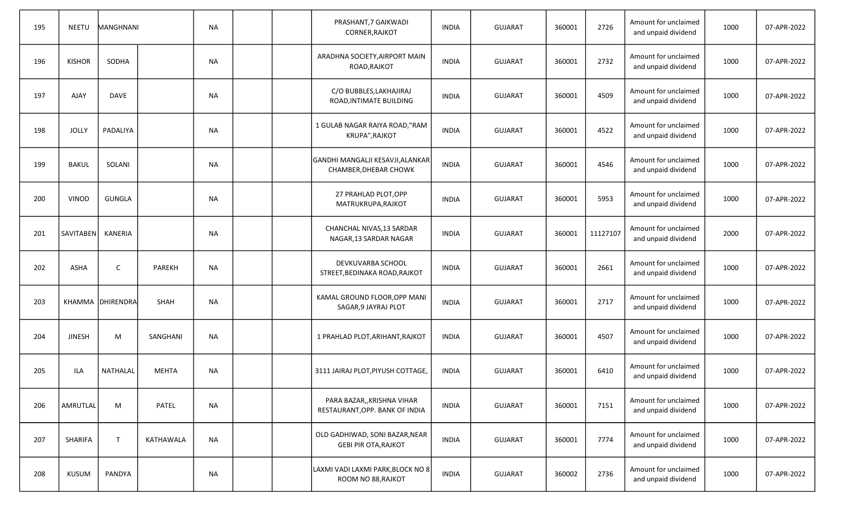| 195 | <b>NEETU</b>  | MANGHNANI        |               | <b>NA</b> |  | PRASHANT, 7 GAIKWADI<br>CORNER, RAJKOT                        | <b>INDIA</b> | <b>GUJARAT</b> | 360001 | 2726     | Amount for unclaimed<br>and unpaid dividend | 1000 | 07-APR-2022 |
|-----|---------------|------------------|---------------|-----------|--|---------------------------------------------------------------|--------------|----------------|--------|----------|---------------------------------------------|------|-------------|
| 196 | <b>KISHOR</b> | SODHA            |               | NA        |  | ARADHNA SOCIETY, AIRPORT MAIN<br>ROAD, RAJKOT                 | <b>INDIA</b> | <b>GUJARAT</b> | 360001 | 2732     | Amount for unclaimed<br>and unpaid dividend | 1000 | 07-APR-2022 |
| 197 | AJAY          | <b>DAVE</b>      |               | <b>NA</b> |  | C/O BUBBLES, LAKHAJIRAJ<br>ROAD, INTIMATE BUILDING            | <b>INDIA</b> | <b>GUJARAT</b> | 360001 | 4509     | Amount for unclaimed<br>and unpaid dividend | 1000 | 07-APR-2022 |
| 198 | <b>JOLLY</b>  | PADALIYA         |               | <b>NA</b> |  | 1 GULAB NAGAR RAIYA ROAD,"RAM<br>KRUPA", RAJKOT               | <b>INDIA</b> | <b>GUJARAT</b> | 360001 | 4522     | Amount for unclaimed<br>and unpaid dividend | 1000 | 07-APR-2022 |
| 199 | <b>BAKUL</b>  | SOLANI           |               | <b>NA</b> |  | GANDHI MANGALJI KESAVJI, ALANKAR<br>CHAMBER, DHEBAR CHOWK     | <b>INDIA</b> | <b>GUJARAT</b> | 360001 | 4546     | Amount for unclaimed<br>and unpaid dividend | 1000 | 07-APR-2022 |
| 200 | <b>VINOD</b>  | GUNGLA           |               | NA        |  | 27 PRAHLAD PLOT, OPP<br>MATRUKRUPA, RAJKOT                    | <b>INDIA</b> | <b>GUJARAT</b> | 360001 | 5953     | Amount for unclaimed<br>and unpaid dividend | 1000 | 07-APR-2022 |
| 201 | SAVITABEN     | KANERIA          |               | NA        |  | CHANCHAL NIVAS, 13 SARDAR<br>NAGAR, 13 SARDAR NAGAR           | <b>INDIA</b> | <b>GUJARAT</b> | 360001 | 11127107 | Amount for unclaimed<br>and unpaid dividend | 2000 | 07-APR-2022 |
| 202 | <b>ASHA</b>   | C                | <b>PAREKH</b> | <b>NA</b> |  | DEVKUVARBA SCHOOL<br>STREET, BEDINAKA ROAD, RAJKOT            | <b>INDIA</b> | <b>GUJARAT</b> | 360001 | 2661     | Amount for unclaimed<br>and unpaid dividend | 1000 | 07-APR-2022 |
| 203 |               | KHAMMA DHIRENDRA | <b>SHAH</b>   | <b>NA</b> |  | KAMAL GROUND FLOOR, OPP MANI<br>SAGAR, 9 JAYRAJ PLOT          | <b>INDIA</b> | <b>GUJARAT</b> | 360001 | 2717     | Amount for unclaimed<br>and unpaid dividend | 1000 | 07-APR-2022 |
| 204 | <b>JINESH</b> | M                | SANGHANI      | <b>NA</b> |  | 1 PRAHLAD PLOT, ARIHANT, RAJKOT                               | <b>INDIA</b> | <b>GUJARAT</b> | 360001 | 4507     | Amount for unclaimed<br>and unpaid dividend | 1000 | 07-APR-2022 |
| 205 | ILA           | <b>NATHALAL</b>  | <b>MEHTA</b>  | <b>NA</b> |  | 3111 JAIRAJ PLOT, PIYUSH COTTAGE,                             | <b>INDIA</b> | <b>GUJARAT</b> | 360001 | 6410     | Amount for unclaimed<br>and unpaid dividend | 1000 | 07-APR-2022 |
| 206 | AMRUTLAL      | M                | PATEL         | <b>NA</b> |  | PARA BAZAR,, KRISHNA VIHAR<br>RESTAURANT, OPP. BANK OF INDIA  | <b>INDIA</b> | <b>GUJARAT</b> | 360001 | 7151     | Amount for unclaimed<br>and unpaid dividend | 1000 | 07-APR-2022 |
| 207 | SHARIFA       | $\top$           | KATHAWALA     | NA        |  | OLD GADHIWAD, SONI BAZAR, NEAR<br><b>GEBI PIR OTA, RAJKOT</b> | <b>INDIA</b> | <b>GUJARAT</b> | 360001 | 7774     | Amount for unclaimed<br>and unpaid dividend | 1000 | 07-APR-2022 |
| 208 | <b>KUSUM</b>  | PANDYA           |               | <b>NA</b> |  | LAXMI VADI LAXMI PARK, BLOCK NO 8<br>ROOM NO 88, RAJKOT       | <b>INDIA</b> | <b>GUJARAT</b> | 360002 | 2736     | Amount for unclaimed<br>and unpaid dividend | 1000 | 07-APR-2022 |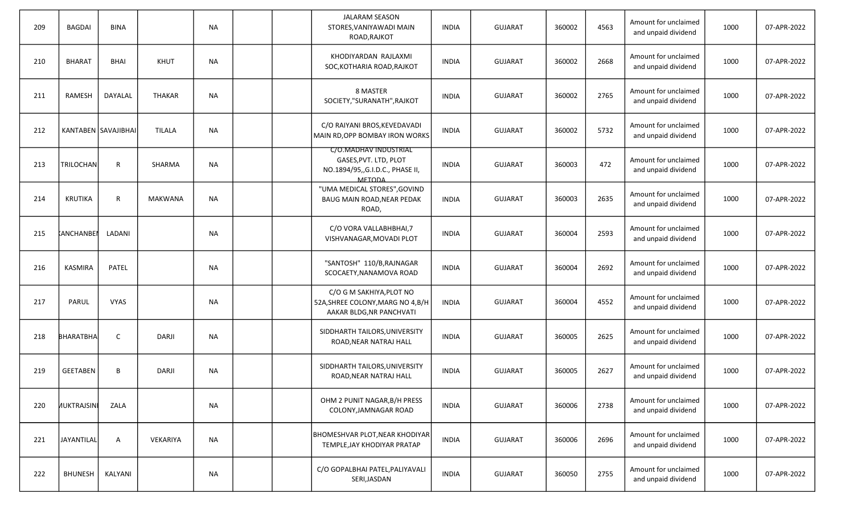| 209 | <b>BAGDAI</b>      | <b>BINA</b>         |                | <b>NA</b> |  | <b>JALARAM SEASON</b><br>STORES, VANIYAWADI MAIN<br>ROAD, RAJKOT                                   | <b>INDIA</b> | <b>GUJARAT</b> | 360002 | 4563 | Amount for unclaimed<br>and unpaid dividend | 1000 | 07-APR-2022 |
|-----|--------------------|---------------------|----------------|-----------|--|----------------------------------------------------------------------------------------------------|--------------|----------------|--------|------|---------------------------------------------|------|-------------|
| 210 | <b>BHARAT</b>      | <b>BHAI</b>         | <b>KHUT</b>    | <b>NA</b> |  | KHODIYARDAN RAJLAXMI<br>SOC, KOTHARIA ROAD, RAJKOT                                                 | <b>INDIA</b> | <b>GUJARAT</b> | 360002 | 2668 | Amount for unclaimed<br>and unpaid dividend | 1000 | 07-APR-2022 |
| 211 | <b>RAMESH</b>      | DAYALAL             | <b>THAKAR</b>  | <b>NA</b> |  | 8 MASTER<br>SOCIETY,"SURANATH", RAJKOT                                                             | <b>INDIA</b> | <b>GUJARAT</b> | 360002 | 2765 | Amount for unclaimed<br>and unpaid dividend | 1000 | 07-APR-2022 |
| 212 |                    | KANTABEN SAVAJIBHAI | TILALA         | <b>NA</b> |  | C/O RAIYANI BROS, KEVEDAVADI<br>MAIN RD,OPP BOMBAY IRON WORKS                                      | <b>INDIA</b> | <b>GUJARAT</b> | 360002 | 5732 | Amount for unclaimed<br>and unpaid dividend | 1000 | 07-APR-2022 |
| 213 | <b>TRILOCHAN</b>   | R                   | SHARMA         | <b>NA</b> |  | C/O.MADHAV INDUSTRIAL<br>GASES, PVT. LTD, PLOT<br>NO.1894/95,,G.I.D.C., PHASE II,<br><b>MFTODA</b> | <b>INDIA</b> | <b>GUJARAT</b> | 360003 | 472  | Amount for unclaimed<br>and unpaid dividend | 1000 | 07-APR-2022 |
| 214 | <b>KRUTIKA</b>     | R                   | <b>MAKWANA</b> | <b>NA</b> |  | "UMA MEDICAL STORES", GOVIND<br>BAUG MAIN ROAD, NEAR PEDAK<br>ROAD,                                | <b>INDIA</b> | <b>GUJARAT</b> | 360003 | 2635 | Amount for unclaimed<br>and unpaid dividend | 1000 | 07-APR-2022 |
| 215 | <b>KANCHANBEN</b>  | LADANI              |                | <b>NA</b> |  | C/O VORA VALLABHBHAI, 7<br>VISHVANAGAR, MOVADI PLOT                                                | INDIA        | <b>GUJARAT</b> | 360004 | 2593 | Amount for unclaimed<br>and unpaid dividend | 1000 | 07-APR-2022 |
| 216 | KASMIRA            | <b>PATEL</b>        |                | <b>NA</b> |  | "SANTOSH" 110/B, RAJNAGAR<br>SCOCAETY, NANAMOVA ROAD                                               | <b>INDIA</b> | <b>GUJARAT</b> | 360004 | 2692 | Amount for unclaimed<br>and unpaid dividend | 1000 | 07-APR-2022 |
| 217 | PARUL              | <b>VYAS</b>         |                | <b>NA</b> |  | C/O G M SAKHIYA, PLOT NO<br>52A, SHREE COLONY, MARG NO 4, B/H<br>AAKAR BLDG, NR PANCHVATI          | <b>INDIA</b> | <b>GUJARAT</b> | 360004 | 4552 | Amount for unclaimed<br>and unpaid dividend | 1000 | 07-APR-2022 |
| 218 | <b>BHARATBHA</b>   | C                   | DARJI          | <b>NA</b> |  | SIDDHARTH TAILORS, UNIVERSITY<br>ROAD, NEAR NATRAJ HALL                                            | INDIA        | <b>GUJARAT</b> | 360005 | 2625 | Amount for unclaimed<br>and unpaid dividend | 1000 | 07-APR-2022 |
| 219 | <b>GEETABEN</b>    | B                   | DARJI          | <b>NA</b> |  | SIDDHARTH TAILORS, UNIVERSITY<br>ROAD, NEAR NATRAJ HALL                                            | <b>INDIA</b> | <b>GUJARAT</b> | 360005 | 2627 | Amount for unclaimed<br>and unpaid dividend | 1000 | 07-APR-2022 |
| 220 | <b>NUKTRAJSINI</b> | ZALA                |                | <b>NA</b> |  | OHM 2 PUNIT NAGAR, B/H PRESS<br>COLONY, JAMNAGAR ROAD                                              | <b>INDIA</b> | <b>GUJARAT</b> | 360006 | 2738 | Amount for unclaimed<br>and unpaid dividend | 1000 | 07-APR-2022 |
| 221 | JAYANTILAL         | A                   | VEKARIYA       | <b>NA</b> |  | BHOMESHVAR PLOT, NEAR KHODIYAR<br>TEMPLE, JAY KHODIYAR PRATAP                                      | <b>INDIA</b> | <b>GUJARAT</b> | 360006 | 2696 | Amount for unclaimed<br>and unpaid dividend | 1000 | 07-APR-2022 |
| 222 | <b>BHUNESH</b>     | KALYANI             |                | NA        |  | C/O GOPALBHAI PATEL, PALIYAVALI<br>SERI, JASDAN                                                    | <b>INDIA</b> | GUJARAT        | 360050 | 2755 | Amount for unclaimed<br>and unpaid dividend | 1000 | 07-APR-2022 |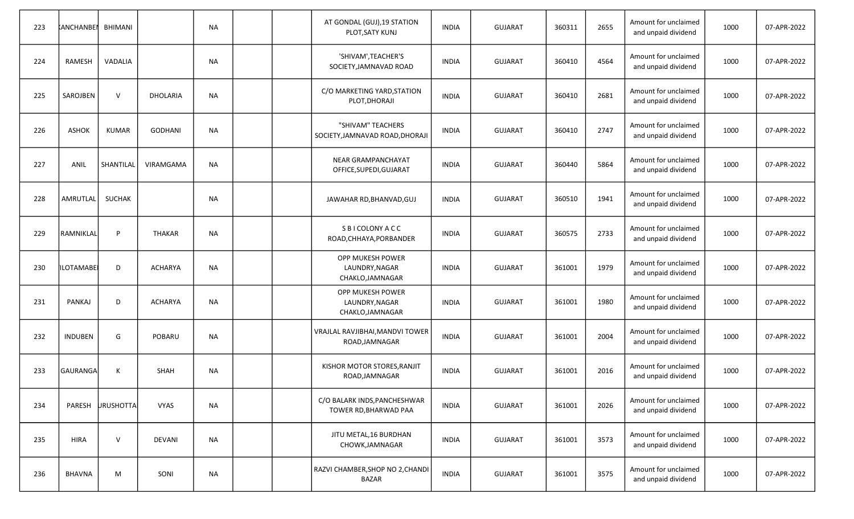| 223 | KANCHANBEL BHIMANI |               |                | <b>NA</b> |  | AT GONDAL (GUJ), 19 STATION<br>PLOT, SATY KUNJ                | <b>INDIA</b> | <b>GUJARAT</b> | 360311 | 2655 | Amount for unclaimed<br>and unpaid dividend | 1000 | 07-APR-2022 |
|-----|--------------------|---------------|----------------|-----------|--|---------------------------------------------------------------|--------------|----------------|--------|------|---------------------------------------------|------|-------------|
| 224 | RAMESH             | VADALIA       |                | <b>NA</b> |  | 'SHIVAM', TEACHER'S<br>SOCIETY, JAMNAVAD ROAD                 | <b>INDIA</b> | <b>GUJARAT</b> | 360410 | 4564 | Amount for unclaimed<br>and unpaid dividend | 1000 | 07-APR-2022 |
| 225 | SAROJBEN           | $\vee$        | DHOLARIA       | <b>NA</b> |  | C/O MARKETING YARD, STATION<br>PLOT, DHORAJI                  | <b>INDIA</b> | <b>GUJARAT</b> | 360410 | 2681 | Amount for unclaimed<br>and unpaid dividend | 1000 | 07-APR-2022 |
| 226 | <b>ASHOK</b>       | <b>KUMAR</b>  | <b>GODHANI</b> | <b>NA</b> |  | "SHIVAM" TEACHERS<br>SOCIETY, JAMNAVAD ROAD, DHORAJI          | <b>INDIA</b> | <b>GUJARAT</b> | 360410 | 2747 | Amount for unclaimed<br>and unpaid dividend | 1000 | 07-APR-2022 |
| 227 | ANIL               | SHANTILAL     | VIRAMGAMA      | <b>NA</b> |  | NEAR GRAMPANCHAYAT<br>OFFICE, SUPEDI, GUJARAT                 | <b>INDIA</b> | <b>GUJARAT</b> | 360440 | 5864 | Amount for unclaimed<br>and unpaid dividend | 1000 | 07-APR-2022 |
| 228 | AMRUTLAL           | <b>SUCHAK</b> |                | NA        |  | JAWAHAR RD, BHANVAD, GUJ                                      | <b>INDIA</b> | <b>GUJARAT</b> | 360510 | 1941 | Amount for unclaimed<br>and unpaid dividend | 1000 | 07-APR-2022 |
| 229 | RAMNIKLAL          | P             | <b>THAKAR</b>  | <b>NA</b> |  | S B I COLONY A C C<br>ROAD, CHHAYA, PORBANDER                 | <b>INDIA</b> | <b>GUJARAT</b> | 360575 | 2733 | Amount for unclaimed<br>and unpaid dividend | 1000 | 07-APR-2022 |
| 230 | ILOTAMABEI         | D             | <b>ACHARYA</b> | <b>NA</b> |  | OPP MUKESH POWER<br>LAUNDRY, NAGAR<br>CHAKLO, JAMNAGAR        | <b>INDIA</b> | <b>GUJARAT</b> | 361001 | 1979 | Amount for unclaimed<br>and unpaid dividend | 1000 | 07-APR-2022 |
| 231 | <b>PANKAJ</b>      | D             | <b>ACHARYA</b> | <b>NA</b> |  | <b>OPP MUKESH POWER</b><br>LAUNDRY, NAGAR<br>CHAKLO, JAMNAGAR | <b>INDIA</b> | <b>GUJARAT</b> | 361001 | 1980 | Amount for unclaimed<br>and unpaid dividend | 1000 | 07-APR-2022 |
| 232 | <b>INDUBEN</b>     | G             | POBARU         | <b>NA</b> |  | VRAJLAL RAVJIBHAI, MANDVI TOWER<br>ROAD, JAMNAGAR             | <b>INDIA</b> | <b>GUJARAT</b> | 361001 | 2004 | Amount for unclaimed<br>and unpaid dividend | 1000 | 07-APR-2022 |
| 233 | GAURANGA           | К             | <b>SHAH</b>    | <b>NA</b> |  | KISHOR MOTOR STORES, RANJIT<br>ROAD, JAMNAGAR                 | <b>INDIA</b> | <b>GUJARAT</b> | 361001 | 2016 | Amount for unclaimed<br>and unpaid dividend | 1000 | 07-APR-2022 |
| 234 | PARESH             | URUSHOTTA     | <b>VYAS</b>    | <b>NA</b> |  | C/O BALARK INDS, PANCHESHWAR<br>TOWER RD, BHARWAD PAA         | <b>INDIA</b> | <b>GUJARAT</b> | 361001 | 2026 | Amount for unclaimed<br>and unpaid dividend | 1000 | 07-APR-2022 |
| 235 | <b>HIRA</b>        | $\mathsf{V}$  | DEVANI         | NA        |  | JITU METAL, 16 BURDHAN<br>CHOWK, JAMNAGAR                     | <b>INDIA</b> | <b>GUJARAT</b> | 361001 | 3573 | Amount for unclaimed<br>and unpaid dividend | 1000 | 07-APR-2022 |
| 236 | BHAVNA             | M             | SONI           | <b>NA</b> |  | RAZVI CHAMBER, SHOP NO 2, CHANDI<br><b>BAZAR</b>              | <b>INDIA</b> | <b>GUJARAT</b> | 361001 | 3575 | Amount for unclaimed<br>and unpaid dividend | 1000 | 07-APR-2022 |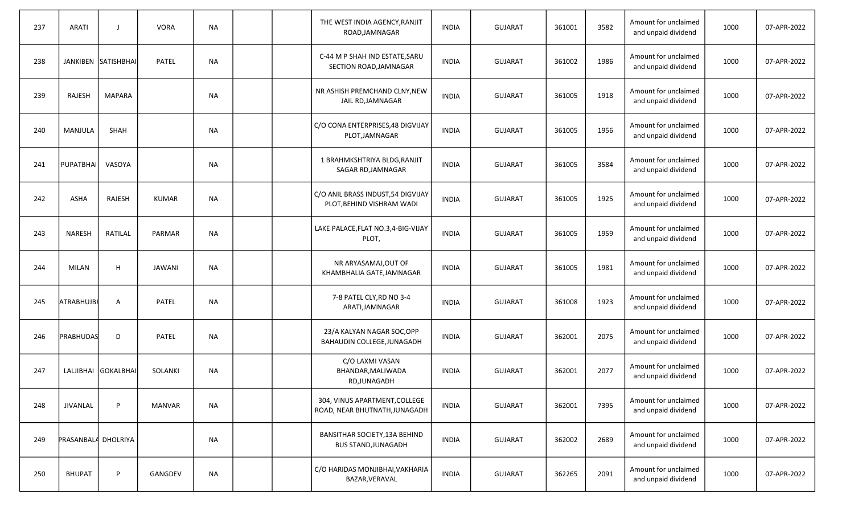| 237 | <b>ARATI</b>        | $\overline{\phantom{a}}$ | <b>VORA</b>   | <b>NA</b> |  | THE WEST INDIA AGENCY, RANJIT<br>ROAD, JAMNAGAR                | <b>INDIA</b> | <b>GUJARAT</b> | 361001 | 3582 | Amount for unclaimed<br>and unpaid dividend | 1000 | 07-APR-2022 |
|-----|---------------------|--------------------------|---------------|-----------|--|----------------------------------------------------------------|--------------|----------------|--------|------|---------------------------------------------|------|-------------|
| 238 |                     | JANKIBEN SATISHBHAI      | PATEL         | <b>NA</b> |  | C-44 M P SHAH IND ESTATE, SARU<br>SECTION ROAD, JAMNAGAR       | <b>INDIA</b> | <b>GUJARAT</b> | 361002 | 1986 | Amount for unclaimed<br>and unpaid dividend | 1000 | 07-APR-2022 |
| 239 | RAJESH              | <b>MAPARA</b>            |               | <b>NA</b> |  | NR ASHISH PREMCHAND CLNY, NEW<br>JAIL RD, JAMNAGAR             | <b>INDIA</b> | <b>GUJARAT</b> | 361005 | 1918 | Amount for unclaimed<br>and unpaid dividend | 1000 | 07-APR-2022 |
| 240 | MANJULA             | <b>SHAH</b>              |               | <b>NA</b> |  | C/O CONA ENTERPRISES, 48 DIGVIJAY<br>PLOT, JAMNAGAR            | <b>INDIA</b> | <b>GUJARAT</b> | 361005 | 1956 | Amount for unclaimed<br>and unpaid dividend | 1000 | 07-APR-2022 |
| 241 | PUPATBHAI           | VASOYA                   |               | <b>NA</b> |  | 1 BRAHMKSHTRIYA BLDG, RANJIT<br>SAGAR RD, JAMNAGAR             | <b>INDIA</b> | <b>GUJARAT</b> | 361005 | 3584 | Amount for unclaimed<br>and unpaid dividend | 1000 | 07-APR-2022 |
| 242 | <b>ASHA</b>         | RAJESH                   | <b>KUMAR</b>  | <b>NA</b> |  | C/O ANIL BRASS INDUST,54 DIGVIJAY<br>PLOT, BEHIND VISHRAM WADI | <b>INDIA</b> | <b>GUJARAT</b> | 361005 | 1925 | Amount for unclaimed<br>and unpaid dividend | 1000 | 07-APR-2022 |
| 243 | <b>NARESH</b>       | RATILAL                  | PARMAR        | NA        |  | LAKE PALACE, FLAT NO.3, 4-BIG-VIJAY<br>PLOT,                   | <b>INDIA</b> | <b>GUJARAT</b> | 361005 | 1959 | Amount for unclaimed<br>and unpaid dividend | 1000 | 07-APR-2022 |
| 244 | <b>MILAN</b>        | H                        | <b>JAWANI</b> | <b>NA</b> |  | NR ARYASAMAJ, OUT OF<br>KHAMBHALIA GATE, JAMNAGAR              | <b>INDIA</b> | <b>GUJARAT</b> | 361005 | 1981 | Amount for unclaimed<br>and unpaid dividend | 1000 | 07-APR-2022 |
| 245 | <b>ATRABHUJBI</b>   | $\mathsf{A}$             | <b>PATEL</b>  | <b>NA</b> |  | 7-8 PATEL CLY, RD NO 3-4<br>ARATI, JAMNAGAR                    | <b>INDIA</b> | <b>GUJARAT</b> | 361008 | 1923 | Amount for unclaimed<br>and unpaid dividend | 1000 | 07-APR-2022 |
| 246 | PRABHUDAS           | D                        | <b>PATEL</b>  | <b>NA</b> |  | 23/A KALYAN NAGAR SOC, OPP<br>BAHAUDIN COLLEGE, JUNAGADH       | <b>INDIA</b> | <b>GUJARAT</b> | 362001 | 2075 | Amount for unclaimed<br>and unpaid dividend | 1000 | 07-APR-2022 |
| 247 |                     | LALJIBHAI GOKALBHAI      | SOLANKI       | <b>NA</b> |  | C/O LAXMI VASAN<br>BHANDAR, MALIWADA<br>RD, JUNAGADH           | <b>INDIA</b> | <b>GUJARAT</b> | 362001 | 2077 | Amount for unclaimed<br>and unpaid dividend | 1000 | 07-APR-2022 |
| 248 | <b>JIVANLAL</b>     | P                        | <b>MANVAR</b> | <b>NA</b> |  | 304, VINUS APARTMENT, COLLEGE<br>ROAD, NEAR BHUTNATH, JUNAGADH | <b>INDIA</b> | <b>GUJARAT</b> | 362001 | 7395 | Amount for unclaimed<br>and unpaid dividend | 1000 | 07-APR-2022 |
| 249 | PRASANBALA DHOLRIYA |                          |               | <b>NA</b> |  | BANSITHAR SOCIETY, 13A BEHIND<br><b>BUS STAND, JUNAGADH</b>    | <b>INDIA</b> | <b>GUJARAT</b> | 362002 | 2689 | Amount for unclaimed<br>and unpaid dividend | 1000 | 07-APR-2022 |
| 250 | <b>BHUPAT</b>       | P                        | GANGDEV       | NA        |  | C/O HARIDAS MONJIBHAI, VAKHARIA<br>BAZAR, VERAVAL              | <b>INDIA</b> | <b>GUJARAT</b> | 362265 | 2091 | Amount for unclaimed<br>and unpaid dividend | 1000 | 07-APR-2022 |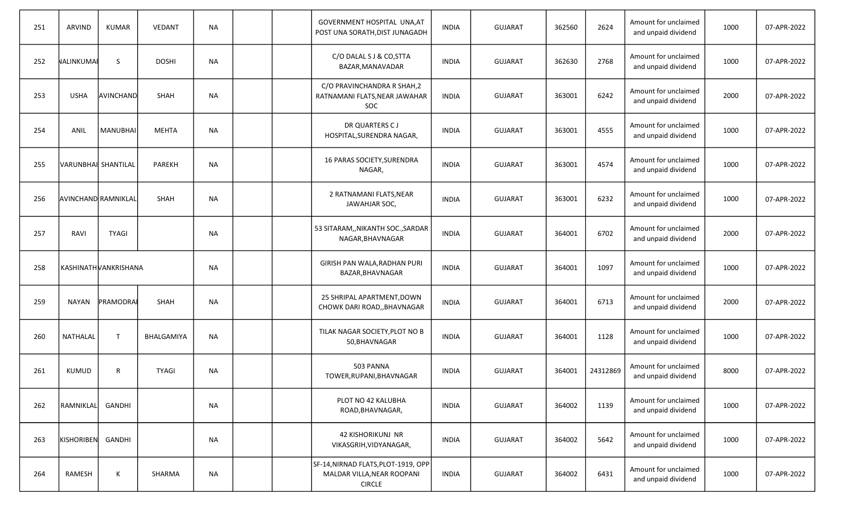| 251 | <b>ARVIND</b>       | <b>KUMAR</b>         | <b>VEDANT</b> | <b>NA</b> |  | GOVERNMENT HOSPITAL UNA, AT<br>POST UNA SORATH, DIST JUNAGADH                      | <b>INDIA</b> | <b>GUJARAT</b> | 362560 | 2624     | Amount for unclaimed<br>and unpaid dividend | 1000 | 07-APR-2022 |
|-----|---------------------|----------------------|---------------|-----------|--|------------------------------------------------------------------------------------|--------------|----------------|--------|----------|---------------------------------------------|------|-------------|
| 252 | NALINKUMAI          | <sub>S</sub>         | <b>DOSHI</b>  | <b>NA</b> |  | C/O DALAL S J & CO, STTA<br>BAZAR, MANAVADAR                                       | <b>INDIA</b> | <b>GUJARAT</b> | 362630 | 2768     | Amount for unclaimed<br>and unpaid dividend | 1000 | 07-APR-2022 |
| 253 | <b>USHA</b>         | AVINCHAND            | <b>SHAH</b>   | <b>NA</b> |  | C/O PRAVINCHANDRA R SHAH,2<br>RATNAMANI FLATS, NEAR JAWAHAR<br>SOC                 | <b>INDIA</b> | <b>GUJARAT</b> | 363001 | 6242     | Amount for unclaimed<br>and unpaid dividend | 2000 | 07-APR-2022 |
| 254 | ANIL                | MANUBHAI             | <b>MEHTA</b>  | <b>NA</b> |  | DR QUARTERS CJ<br>HOSPITAL, SURENDRA NAGAR,                                        | <b>INDIA</b> | <b>GUJARAT</b> | 363001 | 4555     | Amount for unclaimed<br>and unpaid dividend | 1000 | 07-APR-2022 |
| 255 | VARUNBHAI SHANTILAI |                      | <b>PAREKH</b> | <b>NA</b> |  | 16 PARAS SOCIETY, SURENDRA<br>NAGAR,                                               | <b>INDIA</b> | <b>GUJARAT</b> | 363001 | 4574     | Amount for unclaimed<br>and unpaid dividend | 1000 | 07-APR-2022 |
| 256 | AVINCHAND RAMNIKLAL |                      | <b>SHAH</b>   | <b>NA</b> |  | 2 RATNAMANI FLATS, NEAR<br>JAWAHJAR SOC,                                           | <b>INDIA</b> | <b>GUJARAT</b> | 363001 | 6232     | Amount for unclaimed<br>and unpaid dividend | 1000 | 07-APR-2022 |
| 257 | RAVI                | <b>TYAGI</b>         |               | NA        |  | 53 SITARAM,, NIKANTH SOC., SARDAR<br>NAGAR, BHAVNAGAR                              | <b>INDIA</b> | <b>GUJARAT</b> | 364001 | 6702     | Amount for unclaimed<br>and unpaid dividend | 2000 | 07-APR-2022 |
| 258 |                     | KASHINATHWANKRISHANA |               | <b>NA</b> |  | GIRISH PAN WALA, RADHAN PURI<br>BAZAR, BHAVNAGAR                                   | <b>INDIA</b> | <b>GUJARAT</b> | 364001 | 1097     | Amount for unclaimed<br>and unpaid dividend | 1000 | 07-APR-2022 |
| 259 | <b>NAYAN</b>        | PRAMODRAI            | <b>SHAH</b>   | NA        |  | 25 SHRIPAL APARTMENT, DOWN<br>CHOWK DARI ROAD,, BHAVNAGAR                          | <b>INDIA</b> | <b>GUJARAT</b> | 364001 | 6713     | Amount for unclaimed<br>and unpaid dividend | 2000 | 07-APR-2022 |
| 260 | NATHALAL            | $\mathsf{T}$         | BHALGAMIYA    | <b>NA</b> |  | TILAK NAGAR SOCIETY, PLOT NO B<br>50, BHAVNAGAR                                    | <b>INDIA</b> | <b>GUJARAT</b> | 364001 | 1128     | Amount for unclaimed<br>and unpaid dividend | 1000 | 07-APR-2022 |
| 261 | <b>KUMUD</b>        | R                    | <b>TYAGI</b>  | NA        |  | 503 PANNA<br>TOWER, RUPANI, BHAVNAGAR                                              | <b>INDIA</b> | <b>GUJARAT</b> | 364001 | 24312869 | Amount for unclaimed<br>and unpaid dividend | 8000 | 07-APR-2022 |
| 262 | RAMNIKLAL           | GANDHI               |               | <b>NA</b> |  | PLOT NO 42 KALUBHA<br>ROAD, BHAVNAGAR,                                             | <b>INDIA</b> | <b>GUJARAT</b> | 364002 | 1139     | Amount for unclaimed<br>and unpaid dividend | 1000 | 07-APR-2022 |
| 263 | KISHORIBEN          | <b>GANDHI</b>        |               | ΝA        |  | <b>42 KISHORIKUNJ NR</b><br>VIKASGRIH, VIDYANAGAR,                                 | <b>INDIA</b> | <b>GUJARAT</b> | 364002 | 5642     | Amount for unclaimed<br>and unpaid dividend | 1000 | 07-APR-2022 |
| 264 | RAMESH              | К                    | SHARMA        | <b>NA</b> |  | SF-14, NIRNAD FLATS, PLOT-1919, OPP<br>MALDAR VILLA, NEAR ROOPANI<br><b>CIRCLE</b> | <b>INDIA</b> | <b>GUJARAT</b> | 364002 | 6431     | Amount for unclaimed<br>and unpaid dividend | 1000 | 07-APR-2022 |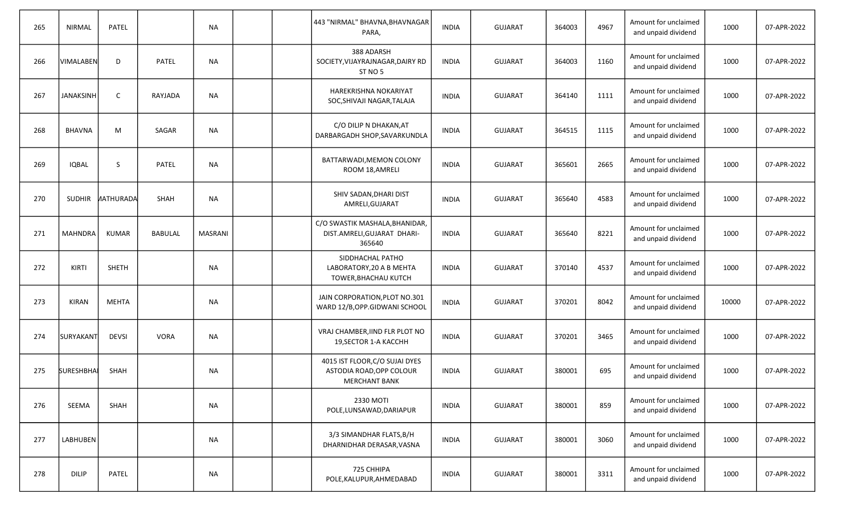| 265 | <b>NIRMAL</b>    | PATEL            |                | <b>NA</b>      |  | 443 "NIRMAL" BHAVNA, BHAVNAGAR<br>PARA,                                            | <b>INDIA</b> | <b>GUJARAT</b> | 364003 | 4967 | Amount for unclaimed<br>and unpaid dividend | 1000  | 07-APR-2022 |
|-----|------------------|------------------|----------------|----------------|--|------------------------------------------------------------------------------------|--------------|----------------|--------|------|---------------------------------------------|-------|-------------|
| 266 | VIMALABEN        | D                | PATEL          | <b>NA</b>      |  | 388 ADARSH<br>SOCIETY, VIJAYRAJNAGAR, DAIRY RD<br>ST NO 5                          | <b>INDIA</b> | <b>GUJARAT</b> | 364003 | 1160 | Amount for unclaimed<br>and unpaid dividend | 1000  | 07-APR-2022 |
| 267 | <b>JANAKSINH</b> | $\mathsf{C}$     | RAYJADA        | <b>NA</b>      |  | HAREKRISHNA NOKARIYAT<br>SOC, SHIVAJI NAGAR, TALAJA                                | <b>INDIA</b> | <b>GUJARAT</b> | 364140 | 1111 | Amount for unclaimed<br>and unpaid dividend | 1000  | 07-APR-2022 |
| 268 | <b>BHAVNA</b>    | M                | SAGAR          | <b>NA</b>      |  | C/O DILIP N DHAKAN, AT<br>DARBARGADH SHOP, SAVARKUNDLA                             | <b>INDIA</b> | <b>GUJARAT</b> | 364515 | 1115 | Amount for unclaimed<br>and unpaid dividend | 1000  | 07-APR-2022 |
| 269 | <b>IQBAL</b>     | <sub>S</sub>     | PATEL          | <b>NA</b>      |  | BATTARWADI, MEMON COLONY<br>ROOM 18, AMRELI                                        | <b>INDIA</b> | <b>GUJARAT</b> | 365601 | 2665 | Amount for unclaimed<br>and unpaid dividend | 1000  | 07-APR-2022 |
| 270 | <b>SUDHIR</b>    | <b>NATHURADA</b> | <b>SHAH</b>    | <b>NA</b>      |  | SHIV SADAN, DHARI DIST<br>AMRELI, GUJARAT                                          | <b>INDIA</b> | <b>GUJARAT</b> | 365640 | 4583 | Amount for unclaimed<br>and unpaid dividend | 1000  | 07-APR-2022 |
| 271 | <b>MAHNDRA</b>   | <b>KUMAR</b>     | <b>BABULAL</b> | <b>MASRANI</b> |  | C/O SWASTIK MASHALA, BHANIDAR,<br>DIST.AMRELI, GUJARAT DHARI-<br>365640            | <b>INDIA</b> | <b>GUJARAT</b> | 365640 | 8221 | Amount for unclaimed<br>and unpaid dividend | 1000  | 07-APR-2022 |
| 272 | KIRTI            | SHETH            |                | <b>NA</b>      |  | SIDDHACHAL PATHO<br>LABORATORY, 20 A B MEHTA<br>TOWER, BHACHAU KUTCH               | <b>INDIA</b> | <b>GUJARAT</b> | 370140 | 4537 | Amount for unclaimed<br>and unpaid dividend | 1000  | 07-APR-2022 |
| 273 | <b>KIRAN</b>     | <b>MEHTA</b>     |                | <b>NA</b>      |  | JAIN CORPORATION, PLOT NO.301<br>WARD 12/B, OPP. GIDWANI SCHOOL                    | <b>INDIA</b> | <b>GUJARAT</b> | 370201 | 8042 | Amount for unclaimed<br>and unpaid dividend | 10000 | 07-APR-2022 |
| 274 | <b>SURYAKANT</b> | <b>DEVSI</b>     | <b>VORA</b>    | <b>NA</b>      |  | VRAJ CHAMBER, IIND FLR PLOT NO<br>19, SECTOR 1-A KACCHH                            | <b>INDIA</b> | <b>GUJARAT</b> | 370201 | 3465 | Amount for unclaimed<br>and unpaid dividend | 1000  | 07-APR-2022 |
| 275 | SURESHBHAI       | SHAH             |                | <b>NA</b>      |  | 4015 IST FLOOR, C/O SUJAI DYES<br>ASTODIA ROAD, OPP COLOUR<br><b>MERCHANT BANK</b> | <b>INDIA</b> | <b>GUJARAT</b> | 380001 | 695  | Amount for unclaimed<br>and unpaid dividend | 1000  | 07-APR-2022 |
| 276 | SEEMA            | SHAH             |                | <b>NA</b>      |  | 2330 MOTI<br>POLE, LUNSAWAD, DARIAPUR                                              | <b>INDIA</b> | <b>GUJARAT</b> | 380001 | 859  | Amount for unclaimed<br>and unpaid dividend | 1000  | 07-APR-2022 |
| 277 | <b>LABHUBEN</b>  |                  |                | <b>NA</b>      |  | 3/3 SIMANDHAR FLATS, B/H<br>DHARNIDHAR DERASAR, VASNA                              | <b>INDIA</b> | <b>GUJARAT</b> | 380001 | 3060 | Amount for unclaimed<br>and unpaid dividend | 1000  | 07-APR-2022 |
| 278 | <b>DILIP</b>     | PATEL            |                | <b>NA</b>      |  | 725 CHHIPA<br>POLE, KALUPUR, AHMEDABAD                                             | <b>INDIA</b> | <b>GUJARAT</b> | 380001 | 3311 | Amount for unclaimed<br>and unpaid dividend | 1000  | 07-APR-2022 |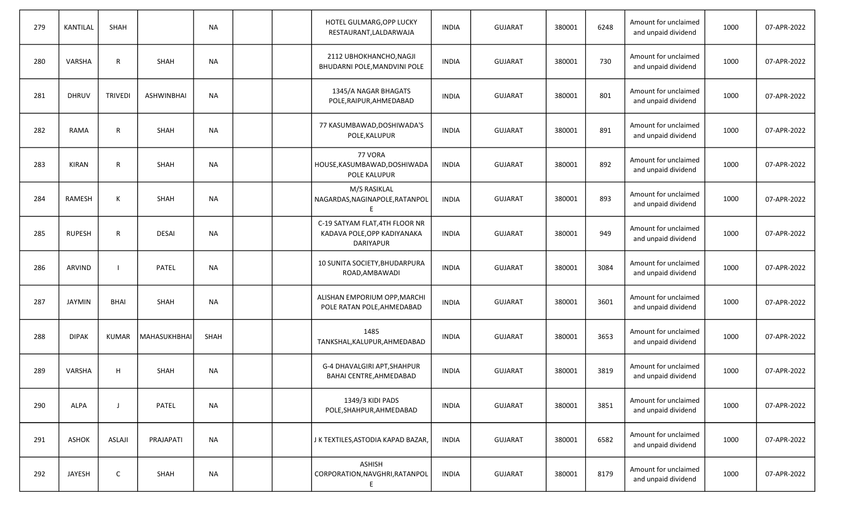| 279 | <b>KANTILAL</b> | SHAH           |                   | <b>NA</b> |  | HOTEL GULMARG, OPP LUCKY<br>RESTAURANT, LALDARWAJA                                | <b>INDIA</b> | <b>GUJARAT</b> | 380001 | 6248 | Amount for unclaimed<br>and unpaid dividend | 1000 | 07-APR-2022 |
|-----|-----------------|----------------|-------------------|-----------|--|-----------------------------------------------------------------------------------|--------------|----------------|--------|------|---------------------------------------------|------|-------------|
| 280 | VARSHA          | $\mathsf{R}$   | <b>SHAH</b>       | <b>NA</b> |  | 2112 UBHOKHANCHO, NAGJI<br>BHUDARNI POLE, MANDVINI POLE                           | <b>INDIA</b> | <b>GUJARAT</b> | 380001 | 730  | Amount for unclaimed<br>and unpaid dividend | 1000 | 07-APR-2022 |
| 281 | <b>DHRUV</b>    | <b>TRIVEDI</b> | <b>ASHWINBHAI</b> | <b>NA</b> |  | 1345/A NAGAR BHAGATS<br>POLE, RAIPUR, AHMEDABAD                                   | <b>INDIA</b> | <b>GUJARAT</b> | 380001 | 801  | Amount for unclaimed<br>and unpaid dividend | 1000 | 07-APR-2022 |
| 282 | RAMA            | $\mathsf{R}$   | <b>SHAH</b>       | <b>NA</b> |  | 77 KASUMBAWAD, DOSHIWADA'S<br>POLE, KALUPUR                                       | <b>INDIA</b> | <b>GUJARAT</b> | 380001 | 891  | Amount for unclaimed<br>and unpaid dividend | 1000 | 07-APR-2022 |
| 283 | <b>KIRAN</b>    | $\mathsf{R}$   | <b>SHAH</b>       | <b>NA</b> |  | 77 VORA<br>HOUSE, KASUMBAWAD, DOSHIWADA<br>POLE KALUPUR                           | <b>INDIA</b> | <b>GUJARAT</b> | 380001 | 892  | Amount for unclaimed<br>and unpaid dividend | 1000 | 07-APR-2022 |
| 284 | RAMESH          | K              | <b>SHAH</b>       | <b>NA</b> |  | M/S RASIKLAL<br>NAGARDAS, NAGINAPOLE, RATANPOL<br>E.                              | <b>INDIA</b> | <b>GUJARAT</b> | 380001 | 893  | Amount for unclaimed<br>and unpaid dividend | 1000 | 07-APR-2022 |
| 285 | <b>RUPESH</b>   | $\mathsf{R}$   | <b>DESAI</b>      | <b>NA</b> |  | C-19 SATYAM FLAT, 4TH FLOOR NR<br>KADAVA POLE, OPP KADIYANAKA<br><b>DARIYAPUR</b> | <b>INDIA</b> | <b>GUJARAT</b> | 380001 | 949  | Amount for unclaimed<br>and unpaid dividend | 1000 | 07-APR-2022 |
| 286 | ARVIND          | -1             | <b>PATEL</b>      | <b>NA</b> |  | 10 SUNITA SOCIETY, BHUDARPURA<br>ROAD, AMBAWADI                                   | <b>INDIA</b> | <b>GUJARAT</b> | 380001 | 3084 | Amount for unclaimed<br>and unpaid dividend | 1000 | 07-APR-2022 |
| 287 | <b>JAYMIN</b>   | <b>BHAI</b>    | <b>SHAH</b>       | <b>NA</b> |  | ALISHAN EMPORIUM OPP, MARCHI<br>POLE RATAN POLE, AHMEDABAD                        | <b>INDIA</b> | <b>GUJARAT</b> | 380001 | 3601 | Amount for unclaimed<br>and unpaid dividend | 1000 | 07-APR-2022 |
| 288 | <b>DIPAK</b>    | <b>KUMAR</b>   | MAHASUKHBHAI      | SHAH      |  | 1485<br>TANKSHAL, KALUPUR, AHMEDABAD                                              | <b>INDIA</b> | <b>GUJARAT</b> | 380001 | 3653 | Amount for unclaimed<br>and unpaid dividend | 1000 | 07-APR-2022 |
| 289 | VARSHA          | H              | <b>SHAH</b>       | NА        |  | G-4 DHAVALGIRI APT, SHAHPUR<br>BAHAI CENTRE, AHMEDABAD                            | <b>INDIA</b> | <b>GUJARAT</b> | 380001 | 3819 | Amount for unclaimed<br>and unpaid dividend | 1000 | 07-APR-2022 |
| 290 | ALPA            | $\mathbf{I}$   | PATEL             | <b>NA</b> |  | 1349/3 KIDI PADS<br>POLE, SHAHPUR, AHMEDABAD                                      | <b>INDIA</b> | <b>GUJARAT</b> | 380001 | 3851 | Amount for unclaimed<br>and unpaid dividend | 1000 | 07-APR-2022 |
| 291 | ASHOK           | <b>ASLAJI</b>  | PRAJAPATI         | <b>NA</b> |  | J K TEXTILES, ASTODIA KAPAD BAZAR,                                                | <b>INDIA</b> | <b>GUJARAT</b> | 380001 | 6582 | Amount for unclaimed<br>and unpaid dividend | 1000 | 07-APR-2022 |
| 292 | JAYESH          | C              | SHAH              | <b>NA</b> |  | <b>ASHISH</b><br>CORPORATION, NAVGHRI, RATANPOL<br>Ε.                             | <b>INDIA</b> | <b>GUJARAT</b> | 380001 | 8179 | Amount for unclaimed<br>and unpaid dividend | 1000 | 07-APR-2022 |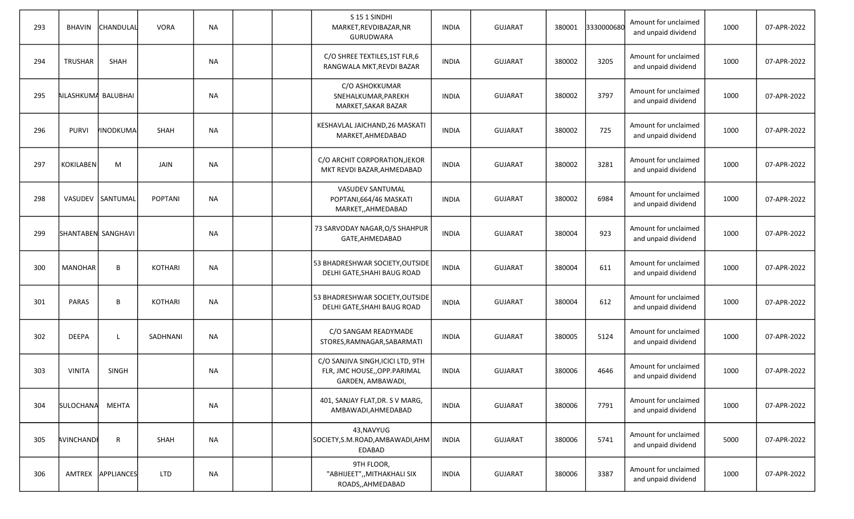| 293 | <b>BHAVIN</b>       | CHANDULAL         | <b>VORA</b>    | <b>NA</b> |  | S151 SINDHI<br>MARKET, REVDIBAZAR, NR<br><b>GURUDWARA</b>                                | <b>INDIA</b> | <b>GUJARAT</b> | 380001 | 3330000680 | Amount for unclaimed<br>and unpaid dividend | 1000 | 07-APR-2022 |
|-----|---------------------|-------------------|----------------|-----------|--|------------------------------------------------------------------------------------------|--------------|----------------|--------|------------|---------------------------------------------|------|-------------|
| 294 | <b>TRUSHAR</b>      | SHAH              |                | <b>NA</b> |  | C/O SHREE TEXTILES, 1ST FLR, 6<br>RANGWALA MKT, REVDI BAZAR                              | <b>INDIA</b> | <b>GUJARAT</b> | 380002 | 3205       | Amount for unclaimed<br>and unpaid dividend | 1000 | 07-APR-2022 |
| 295 | AILASHKUMA BALUBHAI |                   |                | ΝA        |  | C/O ASHOKKUMAR<br>SNEHALKUMAR, PAREKH<br>MARKET, SAKAR BAZAR                             | <b>INDIA</b> | <b>GUJARAT</b> | 380002 | 3797       | Amount for unclaimed<br>and unpaid dividend | 1000 | 07-APR-2022 |
| 296 | <b>PURVI</b>        | <b>INODKUMA</b>   | <b>SHAH</b>    | <b>NA</b> |  | KESHAVLAL JAICHAND, 26 MASKATI<br>MARKET, AHMEDABAD                                      | <b>INDIA</b> | <b>GUJARAT</b> | 380002 | 725        | Amount for unclaimed<br>and unpaid dividend | 1000 | 07-APR-2022 |
| 297 | <b>KOKILABEN</b>    | M                 | JAIN           | ΝA        |  | C/O ARCHIT CORPORATION, JEKOR<br>MKT REVDI BAZAR, AHMEDABAD                              | <b>INDIA</b> | <b>GUJARAT</b> | 380002 | 3281       | Amount for unclaimed<br>and unpaid dividend | 1000 | 07-APR-2022 |
| 298 | VASUDEV             | SANTUMAL          | <b>POPTANI</b> | <b>NA</b> |  | <b>VASUDEV SANTUMAL</b><br>POPTANI, 664/46 MASKATI<br>MARKET,, AHMEDABAD                 | <b>INDIA</b> | <b>GUJARAT</b> | 380002 | 6984       | Amount for unclaimed<br>and unpaid dividend | 1000 | 07-APR-2022 |
| 299 | SHANTABEN SANGHAVI  |                   |                | ΝA        |  | 73 SARVODAY NAGAR, O/S SHAHPUR<br>GATE, AHMEDABAD                                        | <b>INDIA</b> | <b>GUJARAT</b> | 380004 | 923        | Amount for unclaimed<br>and unpaid dividend | 1000 | 07-APR-2022 |
| 300 | <b>MANOHAR</b>      | B                 | <b>KOTHARI</b> | <b>NA</b> |  | 53 BHADRESHWAR SOCIETY, OUTSIDE<br>DELHI GATE, SHAHI BAUG ROAD                           | <b>INDIA</b> | <b>GUJARAT</b> | 380004 | 611        | Amount for unclaimed<br>and unpaid dividend | 1000 | 07-APR-2022 |
| 301 | <b>PARAS</b>        | B                 | <b>KOTHARI</b> | NA        |  | 53 BHADRESHWAR SOCIETY, OUTSIDE<br>DELHI GATE, SHAHI BAUG ROAD                           | <b>INDIA</b> | <b>GUJARAT</b> | 380004 | 612        | Amount for unclaimed<br>and unpaid dividend | 1000 | 07-APR-2022 |
| 302 | <b>DEEPA</b>        |                   | SADHNANI       | <b>NA</b> |  | C/O SANGAM READYMADE<br>STORES, RAMNAGAR, SABARMATI                                      | <b>INDIA</b> | <b>GUJARAT</b> | 380005 | 5124       | Amount for unclaimed<br>and unpaid dividend | 1000 | 07-APR-2022 |
| 303 | <b>VINITA</b>       | SINGH             |                | NA        |  | C/O SANJIVA SINGH, ICICI LTD, 9TH<br>FLR, JMC HOUSE, , OPP. PARIMAL<br>GARDEN, AMBAWADI, | <b>INDIA</b> | <b>GUJARAT</b> | 380006 | 4646       | Amount for unclaimed<br>and unpaid dividend | 1000 | 07-APR-2022 |
| 304 | SULOCHANA           | <b>MEHTA</b>      |                | <b>NA</b> |  | 401, SANJAY FLAT, DR. S V MARG,<br>AMBAWADI, AHMEDABAD                                   | <b>INDIA</b> | <b>GUJARAT</b> | 380006 | 7791       | Amount for unclaimed<br>and unpaid dividend | 1000 | 07-APR-2022 |
| 305 | AVINCHAND           | $\mathsf{R}$      | SHAH           | NA        |  | 43, NAVYUG<br>SOCIETY, S.M.ROAD, AMBAWADI, AHM<br>EDABAD                                 | <b>INDIA</b> | <b>GUJARAT</b> | 380006 | 5741       | Amount for unclaimed<br>and unpaid dividend | 5000 | 07-APR-2022 |
| 306 |                     | AMTREX APPLIANCES | <b>LTD</b>     | ΝA        |  | 9TH FLOOR,<br>"ABHIJEET",, MITHAKHALI SIX<br>ROADS,, AHMEDABAD                           | <b>INDIA</b> | <b>GUJARAT</b> | 380006 | 3387       | Amount for unclaimed<br>and unpaid dividend | 1000 | 07-APR-2022 |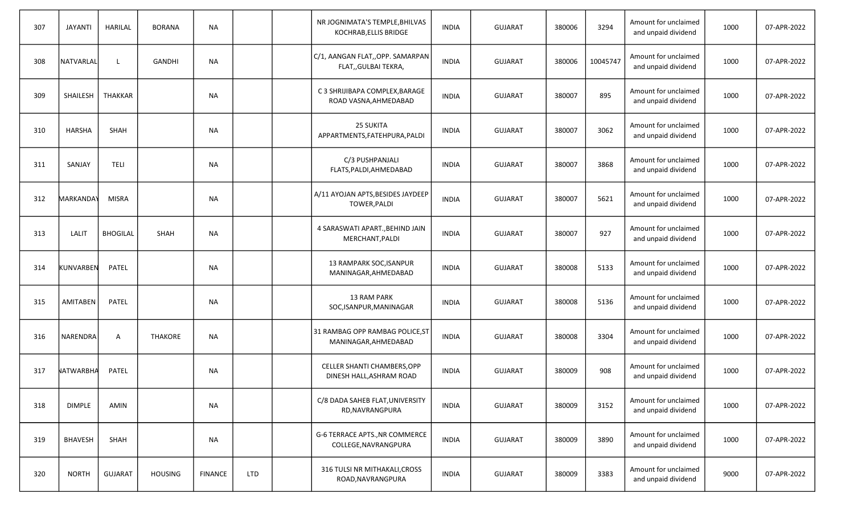| 307 | <b>JAYANTI</b> | HARILAL         | <b>BORANA</b>  | <b>NA</b>      |     | NR JOGNIMATA'S TEMPLE, BHILVAS<br>KOCHRAB, ELLIS BRIDGE | <b>INDIA</b> | <b>GUJARAT</b> | 380006 | 3294     | Amount for unclaimed<br>and unpaid dividend | 1000 | 07-APR-2022 |
|-----|----------------|-----------------|----------------|----------------|-----|---------------------------------------------------------|--------------|----------------|--------|----------|---------------------------------------------|------|-------------|
| 308 | NATVARLAL      |                 | <b>GANDHI</b>  | <b>NA</b>      |     | C/1, AANGAN FLAT,,OPP. SAMARPAN<br>FLAT,, GULBAI TEKRA, | <b>INDIA</b> | <b>GUJARAT</b> | 380006 | 10045747 | Amount for unclaimed<br>and unpaid dividend | 1000 | 07-APR-2022 |
| 309 | SHAILESH       | THAKKAR         |                | NА             |     | C 3 SHRIJIBAPA COMPLEX, BARAGE<br>ROAD VASNA, AHMEDABAD | <b>INDIA</b> | <b>GUJARAT</b> | 380007 | 895      | Amount for unclaimed<br>and unpaid dividend | 1000 | 07-APR-2022 |
| 310 | <b>HARSHA</b>  | <b>SHAH</b>     |                | <b>NA</b>      |     | 25 SUKITA<br>APPARTMENTS, FATEHPURA, PALDI              | <b>INDIA</b> | <b>GUJARAT</b> | 380007 | 3062     | Amount for unclaimed<br>and unpaid dividend | 1000 | 07-APR-2022 |
| 311 | SANJAY         | <b>TELI</b>     |                | NА             |     | C/3 PUSHPANJALI<br>FLATS, PALDI, AHMEDABAD              | <b>INDIA</b> | <b>GUJARAT</b> | 380007 | 3868     | Amount for unclaimed<br>and unpaid dividend | 1000 | 07-APR-2022 |
| 312 | MARKANDAY      | <b>MISRA</b>    |                | <b>NA</b>      |     | A/11 AYOJAN APTS, BESIDES JAYDEEP<br>TOWER, PALDI       | <b>INDIA</b> | <b>GUJARAT</b> | 380007 | 5621     | Amount for unclaimed<br>and unpaid dividend | 1000 | 07-APR-2022 |
| 313 | LALIT          | <b>BHOGILAL</b> | SHAH           | NА             |     | 4 SARASWATI APART., BEHIND JAIN<br>MERCHANT, PALDI      | <b>INDIA</b> | <b>GUJARAT</b> | 380007 | 927      | Amount for unclaimed<br>and unpaid dividend | 1000 | 07-APR-2022 |
| 314 | KUNVARBEN      | PATEL           |                | <b>NA</b>      |     | 13 RAMPARK SOC, ISANPUR<br>MANINAGAR, AHMEDABAD         | <b>INDIA</b> | <b>GUJARAT</b> | 380008 | 5133     | Amount for unclaimed<br>and unpaid dividend | 1000 | 07-APR-2022 |
| 315 | AMITABEN       | <b>PATEL</b>    |                | NА             |     | <b>13 RAM PARK</b><br>SOC, ISANPUR, MANINAGAR           | <b>INDIA</b> | <b>GUJARAT</b> | 380008 | 5136     | Amount for unclaimed<br>and unpaid dividend | 1000 | 07-APR-2022 |
| 316 | NARENDRA       | $\overline{A}$  | <b>THAKORE</b> | <b>NA</b>      |     | 31 RAMBAG OPP RAMBAG POLICE, ST<br>MANINAGAR, AHMEDABAD | <b>INDIA</b> | <b>GUJARAT</b> | 380008 | 3304     | Amount for unclaimed<br>and unpaid dividend | 1000 | 07-APR-2022 |
| 317 | NATWARBHA      | PATEL           |                | <b>NA</b>      |     | CELLER SHANTI CHAMBERS, OPP<br>DINESH HALL, ASHRAM ROAD | <b>INDIA</b> | <b>GUJARAT</b> | 380009 | 908      | Amount for unclaimed<br>and unpaid dividend | 1000 | 07-APR-2022 |
| 318 | <b>DIMPLE</b>  | AMIN            |                | <b>NA</b>      |     | C/8 DADA SAHEB FLAT, UNIVERSITY<br>RD, NAVRANGPURA      | <b>INDIA</b> | <b>GUJARAT</b> | 380009 | 3152     | Amount for unclaimed<br>and unpaid dividend | 1000 | 07-APR-2022 |
| 319 | <b>BHAVESH</b> | SHAH            |                | ΝA             |     | G-6 TERRACE APTS., NR COMMERCE<br>COLLEGE, NAVRANGPURA  | <b>INDIA</b> | <b>GUJARAT</b> | 380009 | 3890     | Amount for unclaimed<br>and unpaid dividend | 1000 | 07-APR-2022 |
| 320 | <b>NORTH</b>   | <b>GUJARAT</b>  | <b>HOUSING</b> | <b>FINANCE</b> | LTD | 316 TULSI NR MITHAKALI, CROSS<br>ROAD, NAVRANGPURA      | <b>INDIA</b> | <b>GUJARAT</b> | 380009 | 3383     | Amount for unclaimed<br>and unpaid dividend | 9000 | 07-APR-2022 |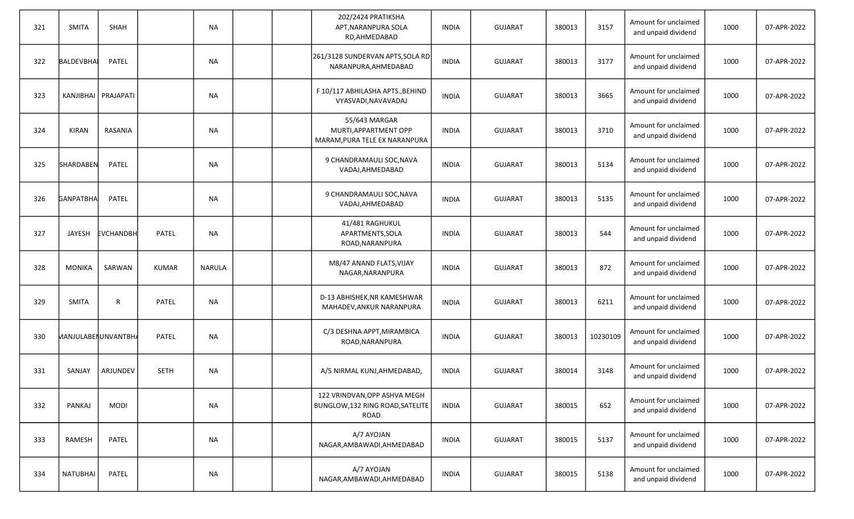| 321 | <b>SMITA</b>     | SHAH                  |              | <b>NA</b>     |  | 202/2424 PRATIKSHA<br>APT, NARANPURA SOLA<br>RD, AHMEDABAD               | <b>INDIA</b> | <b>GUJARAT</b> | 380013 | 3157     | Amount for unclaimed<br>and unpaid dividend | 1000 | 07-APR-2022 |
|-----|------------------|-----------------------|--------------|---------------|--|--------------------------------------------------------------------------|--------------|----------------|--------|----------|---------------------------------------------|------|-------------|
| 322 | BALDEVBHAI       | PATEL                 |              | NА            |  | 261/3128 SUNDERVAN APTS, SOLA RD<br>NARANPURA, AHMEDABAD                 | <b>INDIA</b> | <b>GUJARAT</b> | 380013 | 3177     | Amount for unclaimed<br>and unpaid dividend | 1000 | 07-APR-2022 |
| 323 |                  | KANJIBHAI   PRAJAPATI |              | <b>NA</b>     |  | F 10/117 ABHILASHA APTS., BEHIND<br>VYASVADI, NAVAVADAJ                  | <b>INDIA</b> | <b>GUJARAT</b> | 380013 | 3665     | Amount for unclaimed<br>and unpaid dividend | 1000 | 07-APR-2022 |
| 324 | KIRAN            | RASANIA               |              | <b>NA</b>     |  | 55/643 MARGAR<br>MURTI, APPARTMENT OPP<br>MARAM, PURA TELE EX NARANPURA  | <b>INDIA</b> | GUJARAT        | 380013 | 3710     | Amount for unclaimed<br>and unpaid dividend | 1000 | 07-APR-2022 |
| 325 | SHARDABEN        | PATEL                 |              | <b>NA</b>     |  | 9 CHANDRAMAULI SOC, NAVA<br>VADAJ, AHMEDABAD                             | <b>INDIA</b> | <b>GUJARAT</b> | 380013 | 5134     | Amount for unclaimed<br>and unpaid dividend | 1000 | 07-APR-2022 |
| 326 | <b>GANPATBHA</b> | PATEL                 |              | <b>NA</b>     |  | 9 CHANDRAMAULI SOC, NAVA<br>VADAJ, AHMEDABAD                             | <b>INDIA</b> | <b>GUJARAT</b> | 380013 | 5135     | Amount for unclaimed<br>and unpaid dividend | 1000 | 07-APR-2022 |
| 327 | JAYESH           | <b>EVCHANDBH</b>      | PATEL        | <b>NA</b>     |  | 41/481 RAGHUKUL<br>APARTMENTS, SOLA<br>ROAD, NARANPURA                   | <b>INDIA</b> | <b>GUJARAT</b> | 380013 | 544      | Amount for unclaimed<br>and unpaid dividend | 1000 | 07-APR-2022 |
| 328 | <b>MONIKA</b>    | SARWAN                | <b>KUMAR</b> | <b>NARULA</b> |  | M8/47 ANAND FLATS, VIJAY<br>NAGAR, NARANPURA                             | INDIA        | <b>GUJARAT</b> | 380013 | 872      | Amount for unclaimed<br>and unpaid dividend | 1000 | 07-APR-2022 |
| 329 | <b>SMITA</b>     | R                     | PATEL        | NA            |  | D-13 ABHISHEK, NR KAMESHWAR<br>MAHADEV, ANKUR NARANPURA                  | INDIA        | <b>GUJARAT</b> | 380013 | 6211     | Amount for unclaimed<br>and unpaid dividend | 1000 | 07-APR-2022 |
| 330 |                  | MANJULABENUNVANTBH,   | PATEL        | <b>NA</b>     |  | C/3 DESHNA APPT, MIRAMBICA<br>ROAD, NARANPURA                            | <b>INDIA</b> | <b>GUJARAT</b> | 380013 | 10230109 | Amount for unclaimed<br>and unpaid dividend | 1000 | 07-APR-2022 |
| 331 | SANJAY           | ARJUNDEV              | <b>SETH</b>  | NA            |  | A/5 NIRMAL KUNJ, AHMEDABAD,                                              | INDIA        | <b>GUJARAT</b> | 380014 | 3148     | Amount for unclaimed<br>and unpaid dividend | 1000 | 07-APR-2022 |
| 332 | PANKAJ           | <b>MODI</b>           |              | <b>NA</b>     |  | 122 VRINDVAN, OPP ASHVA MEGH<br>BUNGLOW, 132 RING ROAD, SATELITE<br>ROAD | <b>INDIA</b> | <b>GUJARAT</b> | 380015 | 652      | Amount for unclaimed<br>and unpaid dividend | 1000 | 07-APR-2022 |
| 333 | RAMESH           | PATEL                 |              | <b>NA</b>     |  | A/7 AYOJAN<br>NAGAR, AMBAWADI, AHMEDABAD                                 | <b>INDIA</b> | GUJARAT        | 380015 | 5137     | Amount for unclaimed<br>and unpaid dividend | 1000 | 07-APR-2022 |
| 334 | <b>NATUBHAI</b>  | <b>PATEL</b>          |              | <b>NA</b>     |  | A/7 AYOJAN<br>NAGAR, AMBAWADI, AHMEDABAD                                 | <b>INDIA</b> | GUJARAT        | 380015 | 5138     | Amount for unclaimed<br>and unpaid dividend | 1000 | 07-APR-2022 |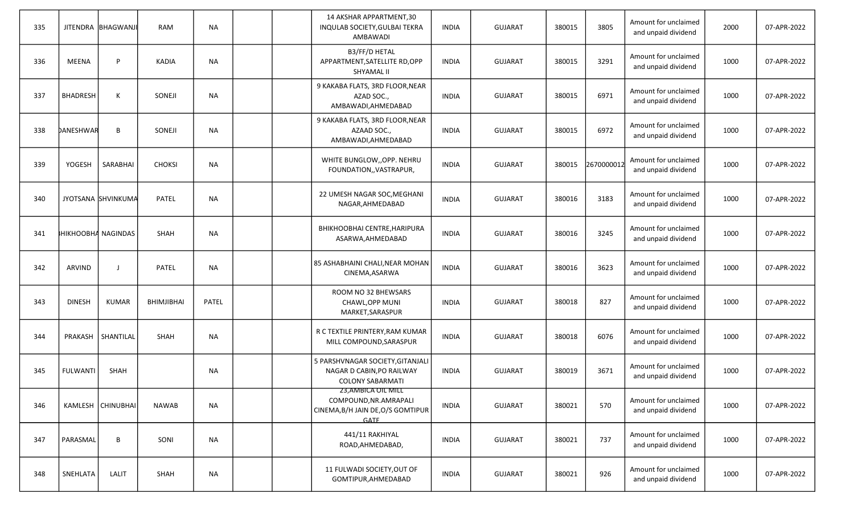| 335 |                 | JITENDRA BHAGWANJI | RAM               | <b>NA</b> |  | 14 AKSHAR APPARTMENT, 30<br>INQULAB SOCIETY, GULBAI TEKRA<br>AMBAWADI                             | <b>INDIA</b> | <b>GUJARAT</b> | 380015 | 3805       | Amount for unclaimed<br>and unpaid dividend | 2000 | 07-APR-2022 |
|-----|-----------------|--------------------|-------------------|-----------|--|---------------------------------------------------------------------------------------------------|--------------|----------------|--------|------------|---------------------------------------------|------|-------------|
| 336 | <b>MEENA</b>    | P                  | <b>KADIA</b>      | <b>NA</b> |  | B3/FF/D HETAL<br>APPARTMENT, SATELLITE RD, OPP<br>SHYAMAL II                                      | <b>INDIA</b> | <b>GUJARAT</b> | 380015 | 3291       | Amount for unclaimed<br>and unpaid dividend | 1000 | 07-APR-2022 |
| 337 | <b>BHADRESH</b> | K                  | SONEJI            | <b>NA</b> |  | 9 KAKABA FLATS, 3RD FLOOR, NEAR<br>AZAD SOC.,<br>AMBAWADI, AHMEDABAD                              | <b>INDIA</b> | <b>GUJARAT</b> | 380015 | 6971       | Amount for unclaimed<br>and unpaid dividend | 1000 | 07-APR-2022 |
| 338 | DANESHWAR       | B                  | SONEJI            | <b>NA</b> |  | 9 KAKABA FLATS, 3RD FLOOR, NEAR<br>AZAAD SOC.,<br>AMBAWADI, AHMEDABAD                             | <b>INDIA</b> | <b>GUJARAT</b> | 380015 | 6972       | Amount for unclaimed<br>and unpaid dividend | 1000 | 07-APR-2022 |
| 339 | YOGESH          | SARABHAI           | <b>CHOKSI</b>     | <b>NA</b> |  | WHITE BUNGLOW,, OPP. NEHRU<br>FOUNDATION,, VASTRAPUR,                                             | <b>INDIA</b> | <b>GUJARAT</b> | 380015 | 2670000012 | Amount for unclaimed<br>and unpaid dividend | 1000 | 07-APR-2022 |
| 340 |                 | JYOTSANA SHVINKUMA | PATEL             | <b>NA</b> |  | 22 UMESH NAGAR SOC, MEGHANI<br>NAGAR, AHMEDABAD                                                   | <b>INDIA</b> | <b>GUJARAT</b> | 380016 | 3183       | Amount for unclaimed<br>and unpaid dividend | 1000 | 07-APR-2022 |
| 341 |                 | HIKHOOBHA NAGINDAS | <b>SHAH</b>       | <b>NA</b> |  | BHIKHOOBHAI CENTRE, HARIPURA<br>ASARWA, AHMEDABAD                                                 | <b>INDIA</b> | <b>GUJARAT</b> | 380016 | 3245       | Amount for unclaimed<br>and unpaid dividend | 1000 | 07-APR-2022 |
| 342 | ARVIND          | -1                 | PATEL             | <b>NA</b> |  | 85 ASHABHAINI CHALI, NEAR MOHAN<br>CINEMA, ASARWA                                                 | <b>INDIA</b> | <b>GUJARAT</b> | 380016 | 3623       | Amount for unclaimed<br>and unpaid dividend | 1000 | 07-APR-2022 |
| 343 | <b>DINESH</b>   | <b>KUMAR</b>       | <b>BHIMJIBHAI</b> | PATEL     |  | ROOM NO 32 BHEWSARS<br>CHAWL, OPP MUNI<br>MARKET, SARASPUR                                        | <b>INDIA</b> | <b>GUJARAT</b> | 380018 | 827        | Amount for unclaimed<br>and unpaid dividend | 1000 | 07-APR-2022 |
| 344 | PRAKASH         | SHANTILAL          | <b>SHAH</b>       | <b>NA</b> |  | R C TEXTILE PRINTERY, RAM KUMAR<br>MILL COMPOUND, SARASPUR                                        | <b>INDIA</b> | <b>GUJARAT</b> | 380018 | 6076       | Amount for unclaimed<br>and unpaid dividend | 1000 | 07-APR-2022 |
| 345 | <b>FULWANTI</b> | SHAH               |                   | <b>NA</b> |  | 5 PARSHVNAGAR SOCIETY, GITANJALI<br>NAGAR D CABIN, PO RAILWAY<br><b>COLONY SABARMATI</b>          | <b>INDIA</b> | <b>GUJARAT</b> | 380019 | 3671       | Amount for unclaimed<br>and unpaid dividend | 1000 | 07-APR-2022 |
| 346 |                 | KAMLESH CHINUBHAI  | <b>NAWAB</b>      | <b>NA</b> |  | 23, AMBICA OIL MILL<br>COMPOUND, NR. AMRAPALI<br>CINEMA, B/H JAIN DE, O/S GOMTIPUR<br><b>GATE</b> | <b>INDIA</b> | <b>GUJARAT</b> | 380021 | 570        | Amount for unclaimed<br>and unpaid dividend | 1000 | 07-APR-2022 |
| 347 | PARASMAL        | B                  | SONI              | <b>NA</b> |  | 441/11 RAKHIYAL<br>ROAD, AHMEDABAD,                                                               | <b>INDIA</b> | GUJARAT        | 380021 | 737        | Amount for unclaimed<br>and unpaid dividend | 1000 | 07-APR-2022 |
| 348 | SNEHLATA        | <b>LALIT</b>       | SHAH              | NA        |  | 11 FULWADI SOCIETY, OUT OF<br>GOMTIPUR, AHMEDABAD                                                 | <b>INDIA</b> | GUJARAT        | 380021 | 926        | Amount for unclaimed<br>and unpaid dividend | 1000 | 07-APR-2022 |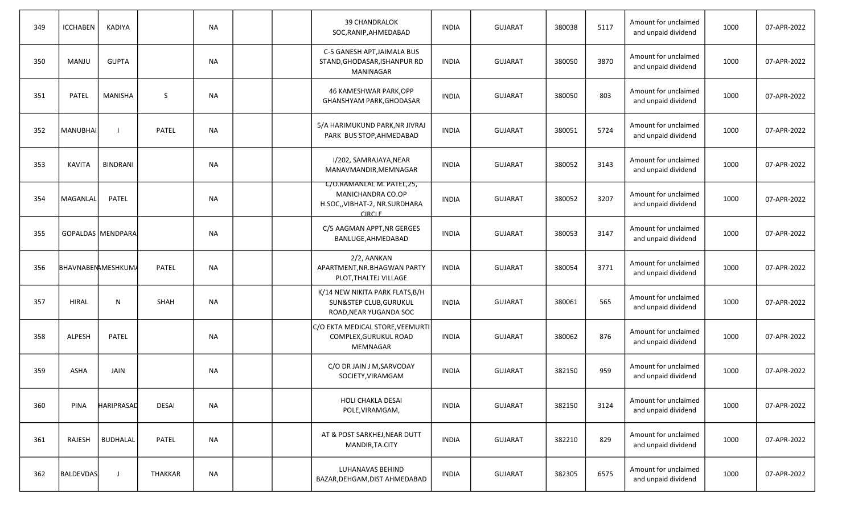| 349 | <b>ICCHABEN</b>          | KADIYA            |              | <b>NA</b> |  | <b>39 CHANDRALOK</b><br>SOC, RANIP, AHMEDABAD                                                    | <b>INDIA</b> | <b>GUJARAT</b> | 380038 | 5117 | Amount for unclaimed<br>and unpaid dividend | 1000 | 07-APR-2022 |
|-----|--------------------------|-------------------|--------------|-----------|--|--------------------------------------------------------------------------------------------------|--------------|----------------|--------|------|---------------------------------------------|------|-------------|
| 350 | MANJU                    | <b>GUPTA</b>      |              | <b>NA</b> |  | C-5 GANESH APT, JAIMALA BUS<br>STAND, GHODASAR, ISHANPUR RD<br>MANINAGAR                         | <b>INDIA</b> | <b>GUJARAT</b> | 380050 | 3870 | Amount for unclaimed<br>and unpaid dividend | 1000 | 07-APR-2022 |
| 351 | <b>PATEL</b>             | <b>MANISHA</b>    | S            | <b>NA</b> |  | 46 KAMESHWAR PARK, OPP<br>GHANSHYAM PARK, GHODASAR                                               | <b>INDIA</b> | <b>GUJARAT</b> | 380050 | 803  | Amount for unclaimed<br>and unpaid dividend | 1000 | 07-APR-2022 |
| 352 | MANUBHAI                 |                   | <b>PATEL</b> | <b>NA</b> |  | 5/A HARIMUKUND PARK, NR JIVRAJ<br>PARK BUS STOP, AHMEDABAD                                       | <b>INDIA</b> | <b>GUJARAT</b> | 380051 | 5724 | Amount for unclaimed<br>and unpaid dividend | 1000 | 07-APR-2022 |
| 353 | <b>KAVITA</b>            | <b>BINDRANI</b>   |              | <b>NA</b> |  | I/202, SAMRAJAYA, NEAR<br>MANAVMANDIR, MEMNAGAR                                                  | <b>INDIA</b> | <b>GUJARAT</b> | 380052 | 3143 | Amount for unclaimed<br>and unpaid dividend | 1000 | 07-APR-2022 |
| 354 | MAGANLAL                 | PATEL             |              | <b>NA</b> |  | C/O.RAMANLAL M. PATEL,25,<br>MANICHANDRA CO.OP<br>H.SOC,, VIBHAT-2, NR.SURDHARA<br><b>CIRCLE</b> | <b>INDIA</b> | <b>GUJARAT</b> | 380052 | 3207 | Amount for unclaimed<br>and unpaid dividend | 1000 | 07-APR-2022 |
| 355 |                          | GOPALDAS MENDPARA |              | <b>NA</b> |  | C/5 AAGMAN APPT, NR GERGES<br>BANLUGE, AHMEDABAD                                                 | <b>INDIA</b> | <b>GUJARAT</b> | 380053 | 3147 | Amount for unclaimed<br>and unpaid dividend | 1000 | 07-APR-2022 |
| 356 | <b>BHAVNABENAMESHKUM</b> |                   | PATEL        | <b>NA</b> |  | 2/2, AANKAN<br>APARTMENT, NR. BHAGWAN PARTY<br>PLOT, THALTEJ VILLAGE                             | <b>INDIA</b> | <b>GUJARAT</b> | 380054 | 3771 | Amount for unclaimed<br>and unpaid dividend | 1000 | 07-APR-2022 |
| 357 | <b>HIRAL</b>             | N                 | <b>SHAH</b>  | <b>NA</b> |  | K/14 NEW NIKITA PARK FLATS, B/H<br>SUN&STEP CLUB, GURUKUL<br>ROAD, NEAR YUGANDA SOC              | <b>INDIA</b> | <b>GUJARAT</b> | 380061 | 565  | Amount for unclaimed<br>and unpaid dividend | 1000 | 07-APR-2022 |
| 358 | ALPESH                   | PATEL             |              | <b>NA</b> |  | C/O EKTA MEDICAL STORE, VEEMURTI<br>COMPLEX, GURUKUL ROAD<br>MEMNAGAR                            | <b>INDIA</b> | <b>GUJARAT</b> | 380062 | 876  | Amount for unclaimed<br>and unpaid dividend | 1000 | 07-APR-2022 |
| 359 | <b>ASHA</b>              | <b>JAIN</b>       |              | <b>NA</b> |  | C/O DR JAIN J M, SARVODAY<br>SOCIETY, VIRAMGAM                                                   | <b>INDIA</b> | <b>GUJARAT</b> | 382150 | 959  | Amount for unclaimed<br>and unpaid dividend | 1000 | 07-APR-2022 |
| 360 | PINA                     | <b>HARIPRASAD</b> | <b>DESAI</b> | <b>NA</b> |  | HOLI CHAKLA DESAI<br>POLE, VIRAMGAM,                                                             | <b>INDIA</b> | <b>GUJARAT</b> | 382150 | 3124 | Amount for unclaimed<br>and unpaid dividend | 1000 | 07-APR-2022 |
| 361 | RAJESH                   | <b>BUDHALAL</b>   | PATEL        | NA        |  | AT & POST SARKHEJ, NEAR DUTT<br>MANDIR, TA.CITY                                                  | <b>INDIA</b> | <b>GUJARAT</b> | 382210 | 829  | Amount for unclaimed<br>and unpaid dividend | 1000 | 07-APR-2022 |
| 362 | <b>BALDEVDAS</b>         | J                 | THAKKAR      | <b>NA</b> |  | <b>LUHANAVAS BEHIND</b><br>BAZAR, DEHGAM, DIST AHMEDABAD                                         | <b>INDIA</b> | <b>GUJARAT</b> | 382305 | 6575 | Amount for unclaimed<br>and unpaid dividend | 1000 | 07-APR-2022 |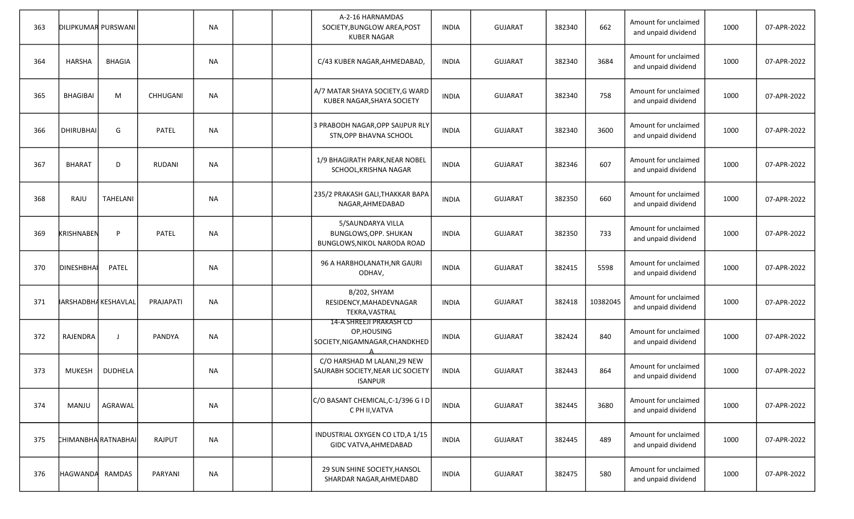| 363 | <b>DILIPKUMAR PURSWANI</b>  |                 |               | <b>NA</b> |  | A-2-16 HARNAMDAS<br>SOCIETY, BUNGLOW AREA, POST<br><b>KUBER NAGAR</b>               | <b>INDIA</b> | <b>GUJARAT</b> | 382340 | 662      | Amount for unclaimed<br>and unpaid dividend | 1000 | 07-APR-2022 |
|-----|-----------------------------|-----------------|---------------|-----------|--|-------------------------------------------------------------------------------------|--------------|----------------|--------|----------|---------------------------------------------|------|-------------|
| 364 | <b>HARSHA</b>               | <b>BHAGIA</b>   |               | <b>NA</b> |  | C/43 KUBER NAGAR, AHMEDABAD,                                                        | <b>INDIA</b> | <b>GUJARAT</b> | 382340 | 3684     | Amount for unclaimed<br>and unpaid dividend | 1000 | 07-APR-2022 |
| 365 | <b>BHAGIBAI</b>             | M               | CHHUGANI      | <b>NA</b> |  | A/7 MATAR SHAYA SOCIETY, G WARD<br>KUBER NAGAR, SHAYA SOCIETY                       | <b>INDIA</b> | <b>GUJARAT</b> | 382340 | 758      | Amount for unclaimed<br>and unpaid dividend | 1000 | 07-APR-2022 |
| 366 | <b>DHIRUBHAI</b>            | G               | <b>PATEL</b>  | <b>NA</b> |  | 3 PRABODH NAGAR, OPP SAIJPUR RLY<br>STN, OPP BHAVNA SCHOOL                          | <b>INDIA</b> | <b>GUJARAT</b> | 382340 | 3600     | Amount for unclaimed<br>and unpaid dividend | 1000 | 07-APR-2022 |
| 367 | <b>BHARAT</b>               | D               | <b>RUDANI</b> | <b>NA</b> |  | 1/9 BHAGIRATH PARK, NEAR NOBEL<br>SCHOOL, KRISHNA NAGAR                             | <b>INDIA</b> | <b>GUJARAT</b> | 382346 | 607      | Amount for unclaimed<br>and unpaid dividend | 1000 | 07-APR-2022 |
| 368 | RAJU                        | <b>TAHELANI</b> |               | NA        |  | 235/2 PRAKASH GALI, THAKKAR BAPA<br>NAGAR, AHMEDABAD                                | <b>INDIA</b> | <b>GUJARAT</b> | 382350 | 660      | Amount for unclaimed<br>and unpaid dividend | 1000 | 07-APR-2022 |
| 369 | KRISHNABEN                  | P               | <b>PATEL</b>  | <b>NA</b> |  | 5/SAUNDARYA VILLA<br>BUNGLOWS, OPP. SHUKAN<br>BUNGLOWS, NIKOL NARODA ROAD           | <b>INDIA</b> | <b>GUJARAT</b> | 382350 | 733      | Amount for unclaimed<br>and unpaid dividend | 1000 | 07-APR-2022 |
| 370 | DINESHBHAI                  | PATEL           |               | <b>NA</b> |  | 96 A HARBHOLANATH, NR GAURI<br>ODHAV,                                               | <b>INDIA</b> | <b>GUJARAT</b> | 382415 | 5598     | Amount for unclaimed<br>and unpaid dividend | 1000 | 07-APR-2022 |
| 371 | <b>JARSHADBHA KESHAVLAL</b> |                 | PRAJAPATI     | <b>NA</b> |  | B/202, SHYAM<br>RESIDENCY, MAHADEVNAGAR<br>TEKRA, VASTRAL                           | <b>INDIA</b> | <b>GUJARAT</b> | 382418 | 10382045 | Amount for unclaimed<br>and unpaid dividend | 1000 | 07-APR-2022 |
| 372 | RAJENDRA                    | - 1             | PANDYA        | <b>NA</b> |  | 14-A SHREEJI PRAKASH CO<br>OP, HOUSING<br>SOCIETY, NIGAMNAGAR, CHANDKHED            | <b>INDIA</b> | <b>GUJARAT</b> | 382424 | 840      | Amount for unclaimed<br>and unpaid dividend | 1000 | 07-APR-2022 |
| 373 | <b>MUKESH</b>               | DUDHELA         |               | <b>NA</b> |  | C/O HARSHAD M LALANI, 29 NEW<br>SAURABH SOCIETY, NEAR LIC SOCIETY<br><b>ISANPUR</b> | <b>INDIA</b> | <b>GUJARAT</b> | 382443 | 864      | Amount for unclaimed<br>and unpaid dividend | 1000 | 07-APR-2022 |
| 374 | MANJU                       | AGRAWAL         |               | <b>NA</b> |  | C/O BASANT CHEMICAL, C-1/396 G I D<br>C PH II, VATVA                                | <b>INDIA</b> | <b>GUJARAT</b> | 382445 | 3680     | Amount for unclaimed<br>and unpaid dividend | 1000 | 07-APR-2022 |
| 375 | CHIMANBHARATNABHAI          |                 | RAJPUT        | <b>NA</b> |  | INDUSTRIAL OXYGEN CO LTD, A 1/15<br>GIDC VATVA, AHMEDABAD                           | <b>INDIA</b> | GUJARAT        | 382445 | 489      | Amount for unclaimed<br>and unpaid dividend | 1000 | 07-APR-2022 |
| 376 | HAGWANDA                    | RAMDAS          | PARYANI       | <b>NA</b> |  | 29 SUN SHINE SOCIETY, HANSOL<br>SHARDAR NAGAR, AHMEDABD                             | <b>INDIA</b> | GUJARAT        | 382475 | 580      | Amount for unclaimed<br>and unpaid dividend | 1000 | 07-APR-2022 |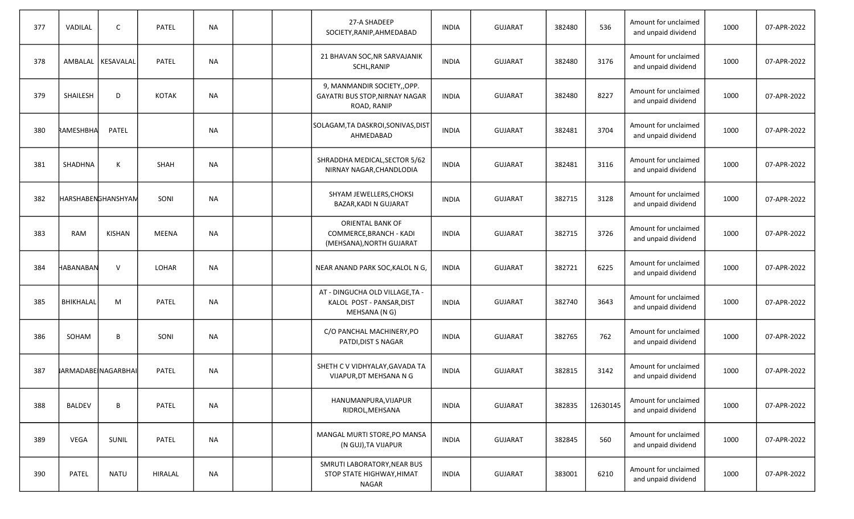| 377 | VADILAL            | $\mathsf{C}$        | PATEL        | <b>NA</b> |  | 27-A SHADEEP<br>SOCIETY, RANIP, AHMEDABAD                                     | <b>INDIA</b> | <b>GUJARAT</b> | 382480 | 536      | Amount for unclaimed<br>and unpaid dividend | 1000 | 07-APR-2022 |
|-----|--------------------|---------------------|--------------|-----------|--|-------------------------------------------------------------------------------|--------------|----------------|--------|----------|---------------------------------------------|------|-------------|
| 378 |                    | AMBALAL   KESAVALAL | PATEL        | <b>NA</b> |  | 21 BHAVAN SOC, NR SARVAJANIK<br>SCHL, RANIP                                   | <b>INDIA</b> | <b>GUJARAT</b> | 382480 | 3176     | Amount for unclaimed<br>and unpaid dividend | 1000 | 07-APR-2022 |
| 379 | SHAILESH           | D                   | <b>KOTAK</b> | <b>NA</b> |  | 9, MANMANDIR SOCIETY,, OPP.<br>GAYATRI BUS STOP, NIRNAY NAGAR<br>ROAD, RANIP  | <b>INDIA</b> | <b>GUJARAT</b> | 382480 | 8227     | Amount for unclaimed<br>and unpaid dividend | 1000 | 07-APR-2022 |
| 380 | RAMESHBHA          | <b>PATEL</b>        |              | <b>NA</b> |  | SOLAGAM, TA DASKROI, SONIVAS, DIST<br>AHMEDABAD                               | <b>INDIA</b> | GUJARAT        | 382481 | 3704     | Amount for unclaimed<br>and unpaid dividend | 1000 | 07-APR-2022 |
| 381 | SHADHNA            | К                   | <b>SHAH</b>  | <b>NA</b> |  | SHRADDHA MEDICAL, SECTOR 5/62<br>NIRNAY NAGAR, CHANDLODIA                     | <b>INDIA</b> | <b>GUJARAT</b> | 382481 | 3116     | Amount for unclaimed<br>and unpaid dividend | 1000 | 07-APR-2022 |
| 382 | HARSHABENGHANSHYAN |                     | SONI         | <b>NA</b> |  | SHYAM JEWELLERS, CHOKSI<br>BAZAR, KADI N GUJARAT                              | <b>INDIA</b> | <b>GUJARAT</b> | 382715 | 3128     | Amount for unclaimed<br>and unpaid dividend | 1000 | 07-APR-2022 |
| 383 | <b>RAM</b>         | <b>KISHAN</b>       | MEENA        | <b>NA</b> |  | ORIENTAL BANK OF<br>COMMERCE, BRANCH - KADI<br>(MEHSANA), NORTH GUJARAT       | <b>INDIA</b> | <b>GUJARAT</b> | 382715 | 3726     | Amount for unclaimed<br>and unpaid dividend | 1000 | 07-APR-2022 |
| 384 | HABANABAN          | $\mathsf{V}$        | <b>LOHAR</b> | <b>NA</b> |  | NEAR ANAND PARK SOC, KALOL N G,                                               | <b>INDIA</b> | GUJARAT        | 382721 | 6225     | Amount for unclaimed<br>and unpaid dividend | 1000 | 07-APR-2022 |
| 385 | BHIKHALAL          | M                   | <b>PATEL</b> | <b>NA</b> |  | AT - DINGUCHA OLD VILLAGE, TA -<br>KALOL POST - PANSAR, DIST<br>MEHSANA (N G) | INDIA        | <b>GUJARAT</b> | 382740 | 3643     | Amount for unclaimed<br>and unpaid dividend | 1000 | 07-APR-2022 |
| 386 | SOHAM              | B                   | SONI         | <b>NA</b> |  | C/O PANCHAL MACHINERY, PO<br>PATDI, DIST S NAGAR                              | INDIA        | <b>GUJARAT</b> | 382765 | 762      | Amount for unclaimed<br>and unpaid dividend | 1000 | 07-APR-2022 |
| 387 |                    | IARMADABE NAGARBHAI | <b>PATEL</b> | NA.       |  | SHETH C V VIDHYALAY, GAVADA TA<br>VIJAPUR, DT MEHSANA N G                     | <b>INDIA</b> | <b>GUJARAT</b> | 382815 | 3142     | Amount for unclaimed<br>and unpaid dividend | 1000 | 07-APR-2022 |
| 388 | <b>BALDEV</b>      | B                   | PATEL        | <b>NA</b> |  | HANUMANPURA, VIJAPUR<br>RIDROL, MEHSANA                                       | <b>INDIA</b> | <b>GUJARAT</b> | 382835 | 12630145 | Amount for unclaimed<br>and unpaid dividend | 1000 | 07-APR-2022 |
| 389 | VEGA               | SUNIL               | <b>PATEL</b> | <b>NA</b> |  | MANGAL MURTI STORE, PO MANSA<br>(N GUJ), TA VIJAPUR                           | INDIA        | GUJARAT        | 382845 | 560      | Amount for unclaimed<br>and unpaid dividend | 1000 | 07-APR-2022 |
| 390 | PATEL              | <b>NATU</b>         | HIRALAL      | <b>NA</b> |  | SMRUTI LABORATORY, NEAR BUS<br>STOP STATE HIGHWAY, HIMAT<br>NAGAR             | <b>INDIA</b> | GUJARAT        | 383001 | 6210     | Amount for unclaimed<br>and unpaid dividend | 1000 | 07-APR-2022 |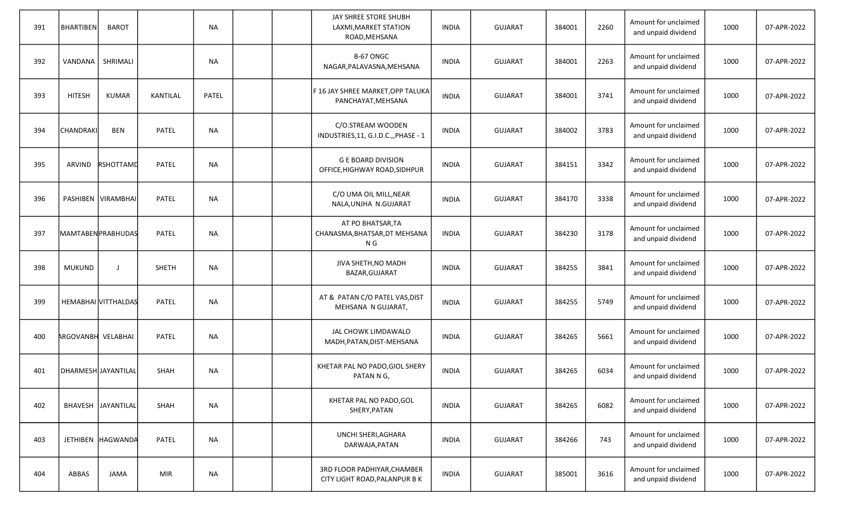| 391 | <b>BHARTIBEN</b>          | <b>BAROT</b>        |              | <b>NA</b> |  | JAY SHREE STORE SHUBH<br>LAXMI, MARKET STATION<br>ROAD, MEHSANA | <b>INDIA</b> | <b>GUJARAT</b> | 384001 | 2260 | Amount for unclaimed<br>and unpaid dividend | 1000 | 07-APR-2022 |
|-----|---------------------------|---------------------|--------------|-----------|--|-----------------------------------------------------------------|--------------|----------------|--------|------|---------------------------------------------|------|-------------|
| 392 | VANDANA                   | SHRIMALI            |              | <b>NA</b> |  | B-67 ONGC<br>NAGAR, PALAVASNA, MEHSANA                          | <b>INDIA</b> | <b>GUJARAT</b> | 384001 | 2263 | Amount for unclaimed<br>and unpaid dividend | 1000 | 07-APR-2022 |
| 393 | <b>HITESH</b>             | <b>KUMAR</b>        | KANTILAL     | PATEL     |  | F 16 JAY SHREE MARKET,OPP TALUKA<br>PANCHAYAT, MEHSANA          | <b>INDIA</b> | <b>GUJARAT</b> | 384001 | 3741 | Amount for unclaimed<br>and unpaid dividend | 1000 | 07-APR-2022 |
| 394 | CHANDRAKI                 | <b>BEN</b>          | <b>PATEL</b> | <b>NA</b> |  | C/O.STREAM WOODEN<br>INDUSTRIES, 11, G.I.D.C.,, PHASE - 1       | <b>INDIA</b> | <b>GUJARAT</b> | 384002 | 3783 | Amount for unclaimed<br>and unpaid dividend | 1000 | 07-APR-2022 |
| 395 | ARVIND                    | RSHOTTAMD           | PATEL        | <b>NA</b> |  | <b>G E BOARD DIVISION</b><br>OFFICE, HIGHWAY ROAD, SIDHPUR      | <b>INDIA</b> | <b>GUJARAT</b> | 384151 | 3342 | Amount for unclaimed<br>and unpaid dividend | 1000 | 07-APR-2022 |
| 396 |                           | PASHIBEN VIRAMBHAI  | PATEL        | <b>NA</b> |  | C/O UMA OIL MILL, NEAR<br>NALA, UNJHA N.GUJARAT                 | <b>INDIA</b> | <b>GUJARAT</b> | 384170 | 3338 | Amount for unclaimed<br>and unpaid dividend | 1000 | 07-APR-2022 |
| 397 |                           | MAMTABENPRABHUDAS   | PATEL        | <b>NA</b> |  | AT PO BHATSAR, TA<br>CHANASMA, BHATSAR, DT MEHSANA<br>N G       | <b>INDIA</b> | <b>GUJARAT</b> | 384230 | 3178 | Amount for unclaimed<br>and unpaid dividend | 1000 | 07-APR-2022 |
| 398 | <b>MUKUND</b>             | $\mathbf{I}$        | <b>SHETH</b> | <b>NA</b> |  | JIVA SHETH, NO MADH<br>BAZAR, GUJARAT                           | <b>INDIA</b> | <b>GUJARAT</b> | 384255 | 3841 | Amount for unclaimed<br>and unpaid dividend | 1000 | 07-APR-2022 |
| 399 |                           | HEMABHAI VITTHALDAS | PATEL        | <b>NA</b> |  | AT & PATAN C/O PATEL VAS, DIST<br>MEHSANA N GUJARAT,            | <b>INDIA</b> | <b>GUJARAT</b> | 384255 | 5749 | Amount for unclaimed<br>and unpaid dividend | 1000 | 07-APR-2022 |
| 400 | <b>ARGOVANBH VELABHAI</b> |                     | PATEL        | <b>NA</b> |  | JAL CHOWK LIMDAWALO<br>MADH, PATAN, DIST-MEHSANA                | <b>INDIA</b> | <b>GUJARAT</b> | 384265 | 5661 | Amount for unclaimed<br>and unpaid dividend | 1000 | 07-APR-2022 |
| 401 | DHARMESH JAYANTILAL       |                     | SHAH         | <b>NA</b> |  | KHETAR PAL NO PADO, GIOL SHERY<br>PATAN N G,                    | <b>INDIA</b> | <b>GUJARAT</b> | 384265 | 6034 | Amount for unclaimed<br>and unpaid dividend | 1000 | 07-APR-2022 |
| 402 |                           | BHAVESH JAYANTILAL  | SHAH         | <b>NA</b> |  | KHETAR PAL NO PADO, GOL<br>SHERY, PATAN                         | <b>INDIA</b> | <b>GUJARAT</b> | 384265 | 6082 | Amount for unclaimed<br>and unpaid dividend | 1000 | 07-APR-2022 |
| 403 |                           | JETHIBEN HAGWANDA   | PATEL        | <b>NA</b> |  | UNCHI SHERI, AGHARA<br>DARWAJA, PATAN                           | <b>INDIA</b> | GUJARAT        | 384266 | 743  | Amount for unclaimed<br>and unpaid dividend | 1000 | 07-APR-2022 |
| 404 | ABBAS                     | <b>JAMA</b>         | MIR          | <b>NA</b> |  | 3RD FLOOR PADHIYAR, CHAMBER<br>CITY LIGHT ROAD, PALANPUR B K    | <b>INDIA</b> | GUJARAT        | 385001 | 3616 | Amount for unclaimed<br>and unpaid dividend | 1000 | 07-APR-2022 |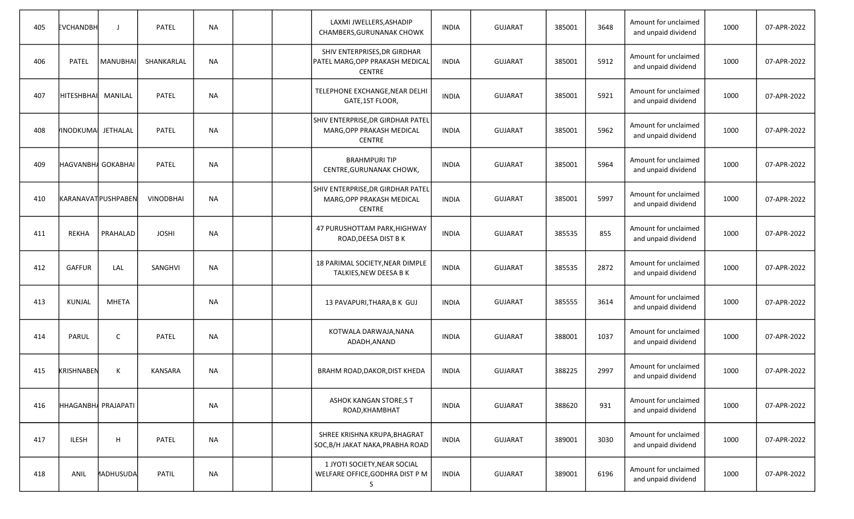| 405 | EVCHANDBH                 | $\perp$          | PATEL            | <b>NA</b> |  | LAXMI JWELLERS, ASHADIP<br>CHAMBERS, GURUNANAK CHOWK                            | <b>INDIA</b> | <b>GUJARAT</b> | 385001 | 3648 | Amount for unclaimed<br>and unpaid dividend | 1000 | 07-APR-2022 |
|-----|---------------------------|------------------|------------------|-----------|--|---------------------------------------------------------------------------------|--------------|----------------|--------|------|---------------------------------------------|------|-------------|
| 406 | <b>PATEL</b>              | MANUBHAI         | SHANKARLAL       | <b>NA</b> |  | SHIV ENTERPRISES, DR GIRDHAR<br>PATEL MARG, OPP PRAKASH MEDICAL<br>CENTRE       | <b>INDIA</b> | <b>GUJARAT</b> | 385001 | 5912 | Amount for unclaimed<br>and unpaid dividend | 1000 | 07-APR-2022 |
| 407 | Інітеѕнвнаі               | MANILAL          | <b>PATEL</b>     | <b>NA</b> |  | TELEPHONE EXCHANGE, NEAR DELHI<br>GATE,1ST FLOOR,                               | <b>INDIA</b> | <b>GUJARAT</b> | 385001 | 5921 | Amount for unclaimed<br>and unpaid dividend | 1000 | 07-APR-2022 |
| 408 | <b>INODKUMA</b>           | <b>JETHALAL</b>  | <b>PATEL</b>     | <b>NA</b> |  | SHIV ENTERPRISE, DR GIRDHAR PATEL<br>MARG, OPP PRAKASH MEDICAL<br><b>CENTRE</b> | <b>INDIA</b> | <b>GUJARAT</b> | 385001 | 5962 | Amount for unclaimed<br>and unpaid dividend | 1000 | 07-APR-2022 |
| 409 | HAGVANBHA GOKABHAI        |                  | PATEL            | <b>NA</b> |  | <b>BRAHMPURITIP</b><br>CENTRE, GURUNANAK CHOWK,                                 | <b>INDIA</b> | <b>GUJARAT</b> | 385001 | 5964 | Amount for unclaimed<br>and unpaid dividend | 1000 | 07-APR-2022 |
| 410 | <b>KARANAVATPUSHPABEN</b> |                  | <b>VINODBHAI</b> | <b>NA</b> |  | SHIV ENTERPRISE, DR GIRDHAR PATEL<br>MARG, OPP PRAKASH MEDICAL<br><b>CENTRE</b> | <b>INDIA</b> | <b>GUJARAT</b> | 385001 | 5997 | Amount for unclaimed<br>and unpaid dividend | 1000 | 07-APR-2022 |
| 411 | <b>REKHA</b>              | PRAHALAD         | <b>JOSHI</b>     | NА        |  | 47 PURUSHOTTAM PARK, HIGHWAY<br>ROAD, DEESA DIST B K                            | <b>INDIA</b> | <b>GUJARAT</b> | 385535 | 855  | Amount for unclaimed<br>and unpaid dividend | 1000 | 07-APR-2022 |
| 412 | <b>GAFFUR</b>             | LAL              | <b>SANGHVI</b>   | <b>NA</b> |  | 18 PARIMAL SOCIETY, NEAR DIMPLE<br>TALKIES, NEW DEESA B K                       | <b>INDIA</b> | <b>GUJARAT</b> | 385535 | 2872 | Amount for unclaimed<br>and unpaid dividend | 1000 | 07-APR-2022 |
| 413 | <b>KUNJAL</b>             | <b>MHETA</b>     |                  | ΝA        |  | 13 PAVAPURI, THARA, B K GUJ                                                     | <b>INDIA</b> | <b>GUJARAT</b> | 385555 | 3614 | Amount for unclaimed<br>and unpaid dividend | 1000 | 07-APR-2022 |
| 414 | PARUL                     | C                | PATEL            | <b>NA</b> |  | KOTWALA DARWAJA, NANA<br>ADADH, ANAND                                           | <b>INDIA</b> | <b>GUJARAT</b> | 388001 | 1037 | Amount for unclaimed<br>and unpaid dividend | 1000 | 07-APR-2022 |
| 415 | <b>KRISHNABEN</b>         | К                | <b>KANSARA</b>   | <b>NA</b> |  | BRAHM ROAD, DAKOR, DIST KHEDA                                                   | <b>INDIA</b> | <b>GUJARAT</b> | 388225 | 2997 | Amount for unclaimed<br>and unpaid dividend | 1000 | 07-APR-2022 |
| 416 | HHAGANBHA PRAJAPATI       |                  |                  | <b>NA</b> |  | ASHOK KANGAN STORE,S T<br>ROAD, KHAMBHAT                                        | <b>INDIA</b> | <b>GUJARAT</b> | 388620 | 931  | Amount for unclaimed<br>and unpaid dividend | 1000 | 07-APR-2022 |
| 417 | <b>ILESH</b>              | H                | PATEL            | <b>NA</b> |  | SHREE KRISHNA KRUPA, BHAGRAT<br>SOC, B/H JAKAT NAKA, PRABHA ROAD                | <b>INDIA</b> | <b>GUJARAT</b> | 389001 | 3030 | Amount for unclaimed<br>and unpaid dividend | 1000 | 07-APR-2022 |
| 418 | ANIL                      | <b>MADHUSUDA</b> | <b>PATIL</b>     | <b>NA</b> |  | 1 JYOTI SOCIETY, NEAR SOCIAL<br>WELFARE OFFICE, GODHRA DIST P M<br>S.           | <b>INDIA</b> | <b>GUJARAT</b> | 389001 | 6196 | Amount for unclaimed<br>and unpaid dividend | 1000 | 07-APR-2022 |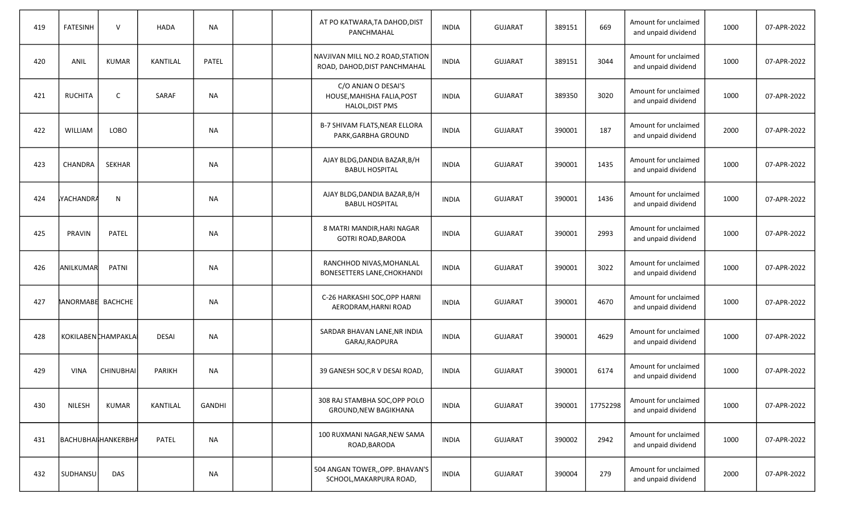| 419 | <b>FATESINH</b>          | $\mathsf{V}$     | <b>HADA</b>     | <b>NA</b> |  | AT PO KATWARA, TA DAHOD, DIST<br>PANCHMAHAL                          | <b>INDIA</b> | <b>GUJARAT</b> | 389151 | 669      | Amount for unclaimed<br>and unpaid dividend | 1000 | 07-APR-2022 |
|-----|--------------------------|------------------|-----------------|-----------|--|----------------------------------------------------------------------|--------------|----------------|--------|----------|---------------------------------------------|------|-------------|
| 420 | ANIL                     | <b>KUMAR</b>     | <b>KANTILAL</b> | PATEL     |  | NAVJIVAN MILL NO.2 ROAD, STATION<br>ROAD, DAHOD, DIST PANCHMAHAL     | <b>INDIA</b> | <b>GUJARAT</b> | 389151 | 3044     | Amount for unclaimed<br>and unpaid dividend | 1000 | 07-APR-2022 |
| 421 | <b>RUCHITA</b>           | $\mathsf{C}$     | SARAF           | <b>NA</b> |  | C/O ANJAN O DESAI'S<br>HOUSE, MAHISHA FALIA, POST<br>HALOL, DIST PMS | <b>INDIA</b> | <b>GUJARAT</b> | 389350 | 3020     | Amount for unclaimed<br>and unpaid dividend | 1000 | 07-APR-2022 |
| 422 | WILLIAM                  | LOBO             |                 | <b>NA</b> |  | B-7 SHIVAM FLATS, NEAR ELLORA<br>PARK, GARBHA GROUND                 | <b>INDIA</b> | <b>GUJARAT</b> | 390001 | 187      | Amount for unclaimed<br>and unpaid dividend | 2000 | 07-APR-2022 |
| 423 | CHANDRA                  | <b>SEKHAR</b>    |                 | ΝA        |  | AJAY BLDG, DANDIA BAZAR, B/H<br><b>BABUL HOSPITAL</b>                | <b>INDIA</b> | <b>GUJARAT</b> | 390001 | 1435     | Amount for unclaimed<br>and unpaid dividend | 1000 | 07-APR-2022 |
| 424 | <u> IYACHANDRA</u>       | $\mathsf{N}$     |                 | <b>NA</b> |  | AJAY BLDG, DANDIA BAZAR, B/H<br><b>BABUL HOSPITAL</b>                | <b>INDIA</b> | <b>GUJARAT</b> | 390001 | 1436     | Amount for unclaimed<br>and unpaid dividend | 1000 | 07-APR-2022 |
| 425 | PRAVIN                   | <b>PATEL</b>     |                 | NА        |  | 8 MATRI MANDIR, HARI NAGAR<br><b>GOTRI ROAD, BARODA</b>              | <b>INDIA</b> | <b>GUJARAT</b> | 390001 | 2993     | Amount for unclaimed<br>and unpaid dividend | 1000 | 07-APR-2022 |
| 426 | ANILKUMAR                | <b>PATNI</b>     |                 | <b>NA</b> |  | RANCHHOD NIVAS, MOHANLAL<br><b>BONESETTERS LANE, CHOKHANDI</b>       | <b>INDIA</b> | <b>GUJARAT</b> | 390001 | 3022     | Amount for unclaimed<br>and unpaid dividend | 1000 | 07-APR-2022 |
| 427 | <b>MANORMABE BACHCHE</b> |                  |                 | <b>NA</b> |  | C-26 HARKASHI SOC, OPP HARNI<br>AERODRAM, HARNI ROAD                 | <b>INDIA</b> | <b>GUJARAT</b> | 390001 | 4670     | Amount for unclaimed<br>and unpaid dividend | 1000 | 07-APR-2022 |
| 428 | KOKILABEN CHAMPAKLA      |                  | DESAI           | <b>NA</b> |  | SARDAR BHAVAN LANE, NR INDIA<br>GARAJ, RAOPURA                       | <b>INDIA</b> | <b>GUJARAT</b> | 390001 | 4629     | Amount for unclaimed<br>and unpaid dividend | 1000 | 07-APR-2022 |
| 429 | <b>VINA</b>              | <b>CHINUBHAI</b> | PARIKH          | <b>NA</b> |  | 39 GANESH SOC, R V DESAI ROAD,                                       | <b>INDIA</b> | <b>GUJARAT</b> | 390001 | 6174     | Amount for unclaimed<br>and unpaid dividend | 1000 | 07-APR-2022 |
| 430 | NILESH                   | <b>KUMAR</b>     | KANTILAL        | GANDHI    |  | 308 RAJ STAMBHA SOC, OPP POLO<br>GROUND, NEW BAGIKHANA               | <b>INDIA</b> | <b>GUJARAT</b> | 390001 | 17752298 | Amount for unclaimed<br>and unpaid dividend | 1000 | 07-APR-2022 |
| 431 | BACHUBHAIHANKERBHA       |                  | PATEL           | <b>NA</b> |  | 100 RUXMANI NAGAR, NEW SAMA<br>ROAD, BARODA                          | <b>INDIA</b> | <b>GUJARAT</b> | 390002 | 2942     | Amount for unclaimed<br>and unpaid dividend | 1000 | 07-APR-2022 |
| 432 | SUDHANSU                 | DAS              |                 | ΝA        |  | 504 ANGAN TOWER,, OPP. BHAVAN'S<br>SCHOOL, MAKARPURA ROAD,           | <b>INDIA</b> | <b>GUJARAT</b> | 390004 | 279      | Amount for unclaimed<br>and unpaid dividend | 2000 | 07-APR-2022 |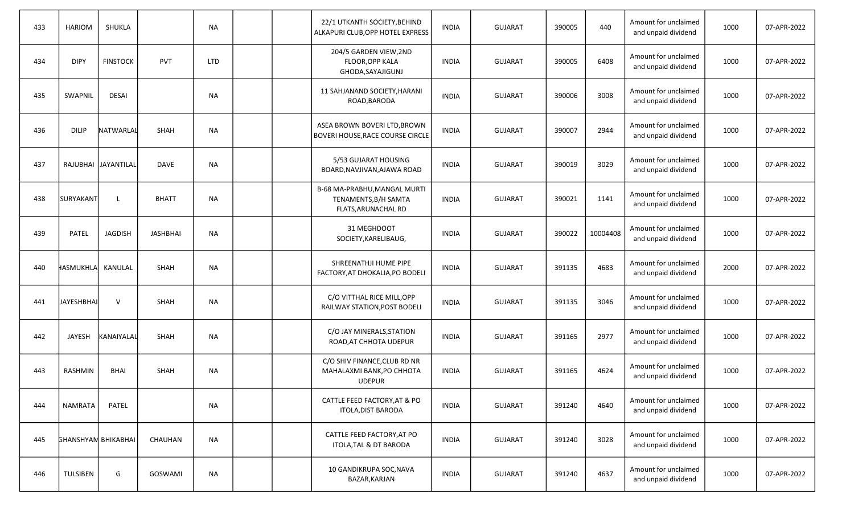| 433 | <b>HARIOM</b>              | SHUKLA              |                 | <b>NA</b>  |  | 22/1 UTKANTH SOCIETY, BEHIND<br>ALKAPURI CLUB, OPP HOTEL EXPRESS            | <b>INDIA</b> | <b>GUJARAT</b> | 390005 | 440      | Amount for unclaimed<br>and unpaid dividend | 1000 | 07-APR-2022 |
|-----|----------------------------|---------------------|-----------------|------------|--|-----------------------------------------------------------------------------|--------------|----------------|--------|----------|---------------------------------------------|------|-------------|
| 434 | <b>DIPY</b>                | <b>FINSTOCK</b>     | <b>PVT</b>      | <b>LTD</b> |  | 204/5 GARDEN VIEW,2ND<br><b>FLOOR.OPP KALA</b><br>GHODA, SAYAJIGUNJ         | <b>INDIA</b> | <b>GUJARAT</b> | 390005 | 6408     | Amount for unclaimed<br>and unpaid dividend | 1000 | 07-APR-2022 |
| 435 | SWAPNIL                    | <b>DESAI</b>        |                 | <b>NA</b>  |  | 11 SAHJANAND SOCIETY, HARANI<br>ROAD, BARODA                                | <b>INDIA</b> | <b>GUJARAT</b> | 390006 | 3008     | Amount for unclaimed<br>and unpaid dividend | 1000 | 07-APR-2022 |
| 436 | <b>DILIP</b>               | NATWARLAL           | <b>SHAH</b>     | <b>NA</b>  |  | ASEA BROWN BOVERI LTD, BROWN<br>BOVERI HOUSE, RACE COURSE CIRCLE            | <b>INDIA</b> | <b>GUJARAT</b> | 390007 | 2944     | Amount for unclaimed<br>and unpaid dividend | 1000 | 07-APR-2022 |
| 437 |                            | RAJUBHAI JAYANTILAI | <b>DAVE</b>     | <b>NA</b>  |  | 5/53 GUJARAT HOUSING<br>BOARD, NAVJIVAN, AJAWA ROAD                         | <b>INDIA</b> | <b>GUJARAT</b> | 390019 | 3029     | Amount for unclaimed<br>and unpaid dividend | 1000 | 07-APR-2022 |
| 438 | SURYAKANT                  | $\mathbf{I}$        | <b>BHATT</b>    | <b>NA</b>  |  | B-68 MA-PRABHU, MANGAL MURTI<br>TENAMENTS, B/H SAMTA<br>FLATS, ARUNACHAL RD | <b>INDIA</b> | <b>GUJARAT</b> | 390021 | 1141     | Amount for unclaimed<br>and unpaid dividend | 1000 | 07-APR-2022 |
| 439 | PATEL                      | <b>JAGDISH</b>      | <b>JASHBHAI</b> | <b>NA</b>  |  | 31 MEGHDOOT<br>SOCIETY, KARELIBAUG,                                         | <b>INDIA</b> | <b>GUJARAT</b> | 390022 | 10004408 | Amount for unclaimed<br>and unpaid dividend | 1000 | 07-APR-2022 |
| 440 | HASMUKHLA KANULAL          |                     | <b>SHAH</b>     | <b>NA</b>  |  | SHREENATHJI HUME PIPE<br>FACTORY, AT DHOKALIA, PO BODELI                    | <b>INDIA</b> | <b>GUJARAT</b> | 391135 | 4683     | Amount for unclaimed<br>and unpaid dividend | 2000 | 07-APR-2022 |
| 441 | <b>JAYESHBHAI</b>          | $\vee$              | <b>SHAH</b>     | <b>NA</b>  |  | C/O VITTHAL RICE MILL, OPP<br>RAILWAY STATION, POST BODELI                  | <b>INDIA</b> | <b>GUJARAT</b> | 391135 | 3046     | Amount for unclaimed<br>and unpaid dividend | 1000 | 07-APR-2022 |
| 442 | <b>JAYESH</b>              | KANAIYALAI          | <b>SHAH</b>     | <b>NA</b>  |  | C/O JAY MINERALS, STATION<br>ROAD, AT CHHOTA UDEPUR                         | <b>INDIA</b> | <b>GUJARAT</b> | 391165 | 2977     | Amount for unclaimed<br>and unpaid dividend | 1000 | 07-APR-2022 |
| 443 | RASHMIN                    | <b>BHAI</b>         | <b>SHAH</b>     | <b>NA</b>  |  | C/O SHIV FINANCE, CLUB RD NR<br>MAHALAXMI BANK, PO CHHOTA<br><b>UDEPUR</b>  | <b>INDIA</b> | <b>GUJARAT</b> | 391165 | 4624     | Amount for unclaimed<br>and unpaid dividend | 1000 | 07-APR-2022 |
| 444 | <b>NAMRATA</b>             | PATEL               |                 | <b>NA</b>  |  | CATTLE FEED FACTORY, AT & PO<br><b>ITOLA, DIST BARODA</b>                   | <b>INDIA</b> | <b>GUJARAT</b> | 391240 | 4640     | Amount for unclaimed<br>and unpaid dividend | 1000 | 07-APR-2022 |
| 445 | <b>GHANSHYAM BHIKABHAI</b> |                     | CHAUHAN         | <b>NA</b>  |  | CATTLE FEED FACTORY, AT PO<br>ITOLA, TAL & DT BARODA                        | <b>INDIA</b> | GUJARAT        | 391240 | 3028     | Amount for unclaimed<br>and unpaid dividend | 1000 | 07-APR-2022 |
| 446 | TULSIBEN                   | G                   | GOSWAMI         | <b>NA</b>  |  | 10 GANDIKRUPA SOC, NAVA<br>BAZAR, KARJAN                                    | <b>INDIA</b> | GUJARAT        | 391240 | 4637     | Amount for unclaimed<br>and unpaid dividend | 1000 | 07-APR-2022 |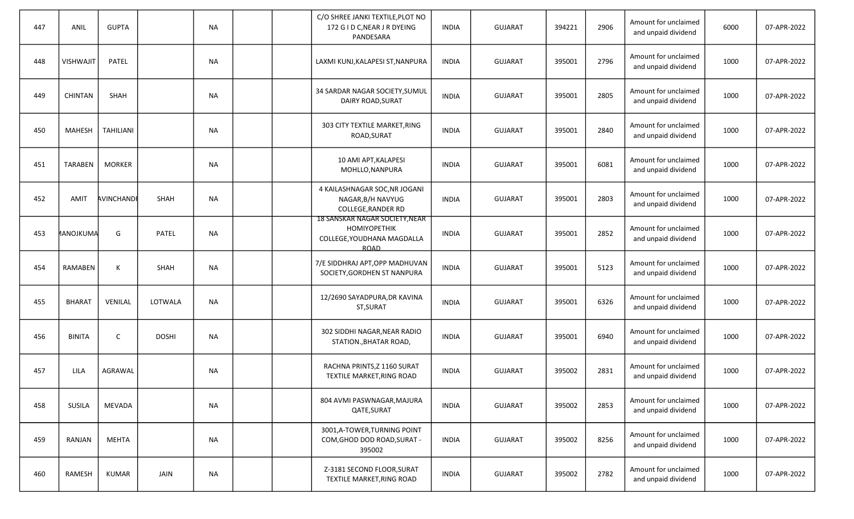| 447 | ANIL            | <b>GUPTA</b>     |              | <b>NA</b> |  | C/O SHREE JANKI TEXTILE, PLOT NO<br>172 G I D C, NEAR J R DYEING<br>PANDESARA                      | <b>INDIA</b> | <b>GUJARAT</b> | 394221 | 2906 | Amount for unclaimed<br>and unpaid dividend | 6000 | 07-APR-2022 |
|-----|-----------------|------------------|--------------|-----------|--|----------------------------------------------------------------------------------------------------|--------------|----------------|--------|------|---------------------------------------------|------|-------------|
| 448 | VISHWAJIT       | PATEL            |              | <b>NA</b> |  | LAXMI KUNJ, KALAPESI ST, NANPURA                                                                   | <b>INDIA</b> | <b>GUJARAT</b> | 395001 | 2796 | Amount for unclaimed<br>and unpaid dividend | 1000 | 07-APR-2022 |
| 449 | CHINTAN         | <b>SHAH</b>      |              | <b>NA</b> |  | 34 SARDAR NAGAR SOCIETY, SUMUL<br>DAIRY ROAD, SURAT                                                | <b>INDIA</b> | <b>GUJARAT</b> | 395001 | 2805 | Amount for unclaimed<br>and unpaid dividend | 1000 | 07-APR-2022 |
| 450 | MAHESH          | <b>TAHILIANI</b> |              | <b>NA</b> |  | 303 CITY TEXTILE MARKET, RING<br>ROAD, SURAT                                                       | <b>INDIA</b> | <b>GUJARAT</b> | 395001 | 2840 | Amount for unclaimed<br>and unpaid dividend | 1000 | 07-APR-2022 |
| 451 | <b>TARABEN</b>  | <b>MORKER</b>    |              | <b>NA</b> |  | 10 AMI APT, KALAPESI<br>MOHLLO, NANPURA                                                            | <b>INDIA</b> | <b>GUJARAT</b> | 395001 | 6081 | Amount for unclaimed<br>and unpaid dividend | 1000 | 07-APR-2022 |
| 452 | AMIT            | AVINCHANDE       | SHAH         | <b>NA</b> |  | 4 KAILASHNAGAR SOC, NR JOGANI<br>NAGAR, B/H NAVYUG<br><b>COLLEGE, RANDER RD</b>                    | <b>INDIA</b> | <b>GUJARAT</b> | 395001 | 2803 | Amount for unclaimed<br>and unpaid dividend | 1000 | 07-APR-2022 |
| 453 | <b>ANOJKUMA</b> | G                | <b>PATEL</b> | <b>NA</b> |  | 18 SANSKAR NAGAR SOCIETY, NEAR<br><b>HOMIYOPETHIK</b><br>COLLEGE, YOUDHANA MAGDALLA<br><b>ROAD</b> | <b>INDIA</b> | <b>GUJARAT</b> | 395001 | 2852 | Amount for unclaimed<br>and unpaid dividend | 1000 | 07-APR-2022 |
| 454 | RAMABEN         | K                | <b>SHAH</b>  | <b>NA</b> |  | 7/E SIDDHRAJ APT, OPP MADHUVAN<br>SOCIETY, GORDHEN ST NANPURA                                      | <b>INDIA</b> | <b>GUJARAT</b> | 395001 | 5123 | Amount for unclaimed<br>and unpaid dividend | 1000 | 07-APR-2022 |
| 455 | <b>BHARAT</b>   | VENILAL          | LOTWALA      | <b>NA</b> |  | 12/2690 SAYADPURA, DR KAVINA<br>ST, SURAT                                                          | <b>INDIA</b> | <b>GUJARAT</b> | 395001 | 6326 | Amount for unclaimed<br>and unpaid dividend | 1000 | 07-APR-2022 |
| 456 | <b>BINITA</b>   | C                | <b>DOSHI</b> | <b>NA</b> |  | 302 SIDDHI NAGAR, NEAR RADIO<br>STATION., BHATAR ROAD,                                             | <b>INDIA</b> | <b>GUJARAT</b> | 395001 | 6940 | Amount for unclaimed<br>and unpaid dividend | 1000 | 07-APR-2022 |
| 457 | LILA            | AGRAWAL          |              | NА        |  | RACHNA PRINTS, Z 1160 SURAT<br>TEXTILE MARKET, RING ROAD                                           | <b>INDIA</b> | <b>GUJARAT</b> | 395002 | 2831 | Amount for unclaimed<br>and unpaid dividend | 1000 | 07-APR-2022 |
| 458 | <b>SUSILA</b>   | MEVADA           |              | <b>NA</b> |  | 804 AVMI PASWNAGAR, MAJURA<br>QATE, SURAT                                                          | <b>INDIA</b> | <b>GUJARAT</b> | 395002 | 2853 | Amount for unclaimed<br>and unpaid dividend | 1000 | 07-APR-2022 |
| 459 | RANJAN          | <b>MEHTA</b>     |              | <b>NA</b> |  | 3001, A-TOWER, TURNING POINT<br>COM, GHOD DOD ROAD, SURAT -<br>395002                              | <b>INDIA</b> | GUJARAT        | 395002 | 8256 | Amount for unclaimed<br>and unpaid dividend | 1000 | 07-APR-2022 |
| 460 | RAMESH          | KUMAR            | JAIN         | <b>NA</b> |  | Z-3181 SECOND FLOOR, SURAT<br>TEXTILE MARKET, RING ROAD                                            | INDIA        | GUJARAT        | 395002 | 2782 | Amount for unclaimed<br>and unpaid dividend | 1000 | 07-APR-2022 |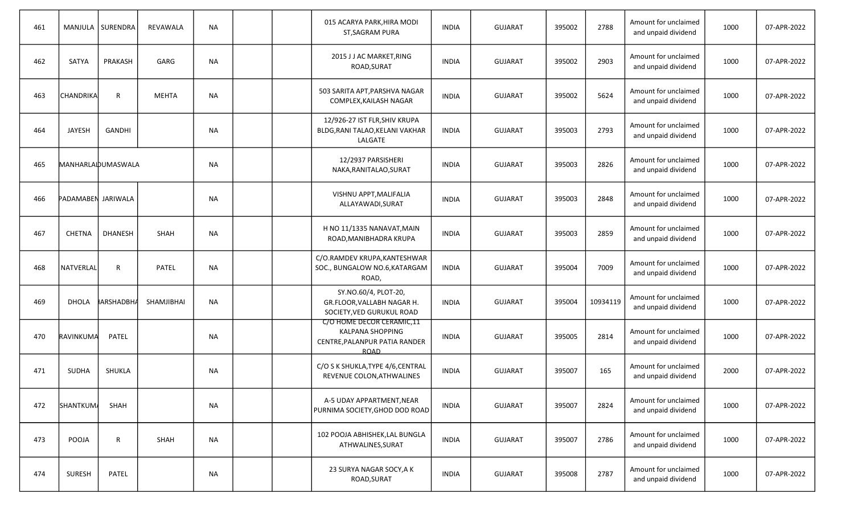| 461 |                    | MANJULA   SURENDRA | REVAWALA     | <b>NA</b> |  | 015 ACARYA PARK, HIRA MODI<br>ST, SAGRAM PURA                                                        | <b>INDIA</b> | <b>GUJARAT</b> | 395002 | 2788     | Amount for unclaimed<br>and unpaid dividend | 1000 | 07-APR-2022 |
|-----|--------------------|--------------------|--------------|-----------|--|------------------------------------------------------------------------------------------------------|--------------|----------------|--------|----------|---------------------------------------------|------|-------------|
| 462 | <b>SATYA</b>       | PRAKASH            | GARG         | <b>NA</b> |  | 2015 J J AC MARKET, RING<br>ROAD, SURAT                                                              | <b>INDIA</b> | <b>GUJARAT</b> | 395002 | 2903     | Amount for unclaimed<br>and unpaid dividend | 1000 | 07-APR-2022 |
| 463 | CHANDRIKA          | $\mathsf{R}$       | <b>MEHTA</b> | <b>NA</b> |  | 503 SARITA APT, PARSHVA NAGAR<br>COMPLEX, KAILASH NAGAR                                              | <b>INDIA</b> | <b>GUJARAT</b> | 395002 | 5624     | Amount for unclaimed<br>and unpaid dividend | 1000 | 07-APR-2022 |
| 464 | JAYESH             | <b>GANDHI</b>      |              | <b>NA</b> |  | 12/926-27 IST FLR, SHIV KRUPA<br>BLDG, RANI TALAO, KELANI VAKHAR<br>LALGATE                          | <b>INDIA</b> | <b>GUJARAT</b> | 395003 | 2793     | Amount for unclaimed<br>and unpaid dividend | 1000 | 07-APR-2022 |
| 465 |                    | MANHARLAIDUMASWALA |              | NА        |  | 12/2937 PARSISHERI<br>NAKA, RANITALAO, SURAT                                                         | <b>INDIA</b> | <b>GUJARAT</b> | 395003 | 2826     | Amount for unclaimed<br>and unpaid dividend | 1000 | 07-APR-2022 |
| 466 | PADAMABEN JARIWALA |                    |              | <b>NA</b> |  | VISHNU APPT, MALIFALIA<br>ALLAYAWADI, SURAT                                                          | <b>INDIA</b> | <b>GUJARAT</b> | 395003 | 2848     | Amount for unclaimed<br>and unpaid dividend | 1000 | 07-APR-2022 |
| 467 | <b>CHETNA</b>      | <b>DHANESH</b>     | SHAH         | NА        |  | H NO 11/1335 NANAVAT, MAIN<br>ROAD, MANIBHADRA KRUPA                                                 | <b>INDIA</b> | <b>GUJARAT</b> | 395003 | 2859     | Amount for unclaimed<br>and unpaid dividend | 1000 | 07-APR-2022 |
| 468 | NATVERLAL          | $\mathsf{R}$       | <b>PATEL</b> | <b>NA</b> |  | C/O.RAMDEV KRUPA, KANTESHWAR<br>SOC., BUNGALOW NO.6, KATARGAM<br>ROAD,                               | <b>INDIA</b> | <b>GUJARAT</b> | 395004 | 7009     | Amount for unclaimed<br>and unpaid dividend | 1000 | 07-APR-2022 |
| 469 | <b>DHOLA</b>       | <b>IARSHADBH</b>   | SHAMJIBHAI   | <b>NA</b> |  | SY.NO.60/4, PLOT-20,<br>GR.FLOOR, VALLABH NAGAR H.<br>SOCIETY, VED GURUKUL ROAD                      | <b>INDIA</b> | <b>GUJARAT</b> | 395004 | 10934119 | Amount for unclaimed<br>and unpaid dividend | 1000 | 07-APR-2022 |
| 470 | RAVINKUMA          | PATEL              |              | <b>NA</b> |  | C/O HOME DECOR CERAMIC,11<br><b>KALPANA SHOPPING</b><br>CENTRE, PALANPUR PATIA RANDER<br><b>ROAD</b> | <b>INDIA</b> | <b>GUJARAT</b> | 395005 | 2814     | Amount for unclaimed<br>and unpaid dividend | 1000 | 07-APR-2022 |
| 471 | <b>SUDHA</b>       | SHUKLA             |              | <b>NA</b> |  | C/O S K SHUKLA, TYPE 4/6, CENTRAL<br>REVENUE COLON, ATHWALINES                                       | <b>INDIA</b> | <b>GUJARAT</b> | 395007 | 165      | Amount for unclaimed<br>and unpaid dividend | 2000 | 07-APR-2022 |
| 472 | <b>SHANTKUM</b>    | SHAH               |              | ΝA        |  | A-5 UDAY APPARTMENT, NEAR<br>PURNIMA SOCIETY, GHOD DOD ROAD                                          | <b>INDIA</b> | <b>GUJARAT</b> | 395007 | 2824     | Amount for unclaimed<br>and unpaid dividend | 1000 | 07-APR-2022 |
| 473 | POOJA              | $\mathsf R$        | SHAH         | <b>NA</b> |  | 102 POOJA ABHISHEK, LAL BUNGLA<br>ATHWALINES, SURAT                                                  | <b>INDIA</b> | <b>GUJARAT</b> | 395007 | 2786     | Amount for unclaimed<br>and unpaid dividend | 1000 | 07-APR-2022 |
| 474 | <b>SURESH</b>      | PATEL              |              | ΝA        |  | 23 SURYA NAGAR SOCY, A K<br>ROAD, SURAT                                                              | <b>INDIA</b> | <b>GUJARAT</b> | 395008 | 2787     | Amount for unclaimed<br>and unpaid dividend | 1000 | 07-APR-2022 |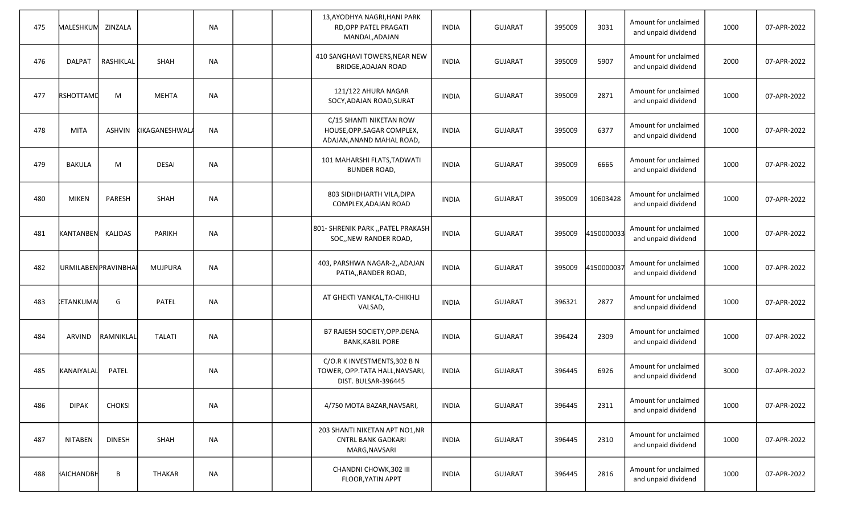| 475 | MALESHKUM           | ZINZALA       |                       | <b>NA</b> |  | 13, AYODHYA NAGRI, HANI PARK<br>RD, OPP PATEL PRAGATI<br>MANDAL, ADAJAN               | <b>INDIA</b> | <b>GUJARAT</b> | 395009 | 3031       | Amount for unclaimed<br>and unpaid dividend | 1000 | 07-APR-2022 |
|-----|---------------------|---------------|-----------------------|-----------|--|---------------------------------------------------------------------------------------|--------------|----------------|--------|------------|---------------------------------------------|------|-------------|
| 476 | <b>DALPAT</b>       | RASHIKLAL     | <b>SHAH</b>           | <b>NA</b> |  | 410 SANGHAVI TOWERS, NEAR NEW<br><b>BRIDGE, ADAJAN ROAD</b>                           | <b>INDIA</b> | <b>GUJARAT</b> | 395009 | 5907       | Amount for unclaimed<br>and unpaid dividend | 2000 | 07-APR-2022 |
| 477 | RSHOTTAMD           | M             | <b>MEHTA</b>          | <b>NA</b> |  | 121/122 AHURA NAGAR<br>SOCY, ADAJAN ROAD, SURAT                                       | <b>INDIA</b> | <b>GUJARAT</b> | 395009 | 2871       | Amount for unclaimed<br>and unpaid dividend | 1000 | 07-APR-2022 |
| 478 | MITA                | ASHVIN        | <b>KIKAGANESHWALA</b> | <b>NA</b> |  | C/15 SHANTI NIKETAN ROW<br>HOUSE, OPP. SAGAR COMPLEX,<br>ADAJAN, ANAND MAHAL ROAD,    | <b>INDIA</b> | <b>GUJARAT</b> | 395009 | 6377       | Amount for unclaimed<br>and unpaid dividend | 1000 | 07-APR-2022 |
| 479 | <b>BAKULA</b>       | M             | <b>DESAI</b>          | <b>NA</b> |  | 101 MAHARSHI FLATS, TADWATI<br><b>BUNDER ROAD,</b>                                    | <b>INDIA</b> | <b>GUJARAT</b> | 395009 | 6665       | Amount for unclaimed<br>and unpaid dividend | 1000 | 07-APR-2022 |
| 480 | <b>MIKEN</b>        | PARESH        | SHAH                  | <b>NA</b> |  | 803 SIDHDHARTH VILA, DIPA<br>COMPLEX, ADAJAN ROAD                                     | <b>INDIA</b> | <b>GUJARAT</b> | 395009 | 10603428   | Amount for unclaimed<br>and unpaid dividend | 1000 | 07-APR-2022 |
| 481 | KANTANBEN           | KALIDAS       | <b>PARIKH</b>         | NA        |  | 801- SHRENIK PARK "PATEL PRAKASH<br>SOC,, NEW RANDER ROAD,                            | <b>INDIA</b> | <b>GUJARAT</b> | 395009 | 4150000033 | Amount for unclaimed<br>and unpaid dividend | 1000 | 07-APR-2022 |
| 482 | URMILABENPRAVINBHAI |               | MUJPURA               | <b>NA</b> |  | 403, PARSHWA NAGAR-2,, ADAJAN<br>PATIA,, RANDER ROAD,                                 | <b>INDIA</b> | <b>GUJARAT</b> | 395009 | 4150000037 | Amount for unclaimed<br>and unpaid dividend | 1000 | 07-APR-2022 |
| 483 | <b>ETANKUMA</b>     | G             | PATEL                 | <b>NA</b> |  | AT GHEKTI VANKAL, TA-CHIKHLI<br>VALSAD,                                               | <b>INDIA</b> | <b>GUJARAT</b> | 396321 | 2877       | Amount for unclaimed<br>and unpaid dividend | 1000 | 07-APR-2022 |
| 484 | <b>ARVIND</b>       | RAMNIKLAI     | <b>TALATI</b>         | <b>NA</b> |  | B7 RAJESH SOCIETY, OPP. DENA<br><b>BANK, KABIL PORE</b>                               | <b>INDIA</b> | <b>GUJARAT</b> | 396424 | 2309       | Amount for unclaimed<br>and unpaid dividend | 1000 | 07-APR-2022 |
| 485 | KANAIYALAL          | <b>PATEL</b>  |                       | <b>NA</b> |  | C/O.R K INVESTMENTS, 302 B N<br>TOWER, OPP.TATA HALL, NAVSARI,<br>DIST. BULSAR-396445 | <b>INDIA</b> | <b>GUJARAT</b> | 396445 | 6926       | Amount for unclaimed<br>and unpaid dividend | 3000 | 07-APR-2022 |
| 486 | <b>DIPAK</b>        | <b>CHOKSI</b> |                       | <b>NA</b> |  | 4/750 MOTA BAZAR, NAVSARI,                                                            | <b>INDIA</b> | <b>GUJARAT</b> | 396445 | 2311       | Amount for unclaimed<br>and unpaid dividend | 1000 | 07-APR-2022 |
| 487 | <b>NITABEN</b>      | <b>DINESH</b> | SHAH                  | <b>NA</b> |  | 203 SHANTI NIKETAN APT NO1, NR<br><b>CNTRL BANK GADKARI</b><br>MARG, NAVSARI          | <b>INDIA</b> | GUJARAT        | 396445 | 2310       | Amount for unclaimed<br>and unpaid dividend | 1000 | 07-APR-2022 |
| 488 | HAICHANDBH          | В             | THAKAR                | <b>NA</b> |  | CHANDNI CHOWK, 302 III<br>FLOOR, YATIN APPT                                           | <b>INDIA</b> | GUJARAT        | 396445 | 2816       | Amount for unclaimed<br>and unpaid dividend | 1000 | 07-APR-2022 |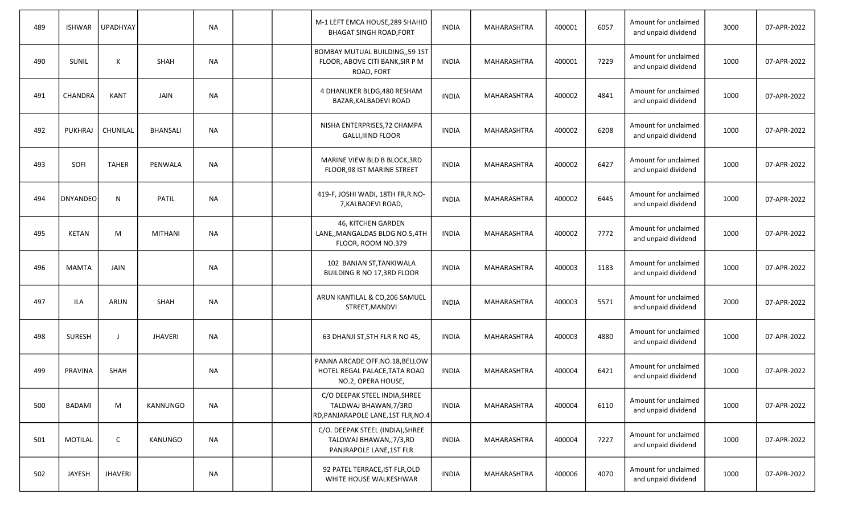| 489 | <b>ISHWAR</b>   | UPADHYAY       |                 | <b>NA</b> |  | M-1 LEFT EMCA HOUSE, 289 SHAHID<br><b>BHAGAT SINGH ROAD, FORT</b>                             | <b>INDIA</b> | MAHARASHTRA | 400001 | 6057 | Amount for unclaimed<br>and unpaid dividend | 3000 | 07-APR-2022 |
|-----|-----------------|----------------|-----------------|-----------|--|-----------------------------------------------------------------------------------------------|--------------|-------------|--------|------|---------------------------------------------|------|-------------|
| 490 | SUNIL           | К              | <b>SHAH</b>     | <b>NA</b> |  | <b>BOMBAY MUTUAL BUILDING,, 59 1ST</b><br>FLOOR, ABOVE CITI BANK, SIR P M<br>ROAD, FORT       | <b>INDIA</b> | MAHARASHTRA | 400001 | 7229 | Amount for unclaimed<br>and unpaid dividend | 1000 | 07-APR-2022 |
| 491 | CHANDRA         | <b>KANT</b>    | JAIN            | <b>NA</b> |  | 4 DHANUKER BLDG, 480 RESHAM<br>BAZAR, KALBADEVI ROAD                                          | <b>INDIA</b> | MAHARASHTRA | 400002 | 4841 | Amount for unclaimed<br>and unpaid dividend | 1000 | 07-APR-2022 |
| 492 | PUKHRAJ         | CHUNILAL       | <b>BHANSALI</b> | <b>NA</b> |  | NISHA ENTERPRISES, 72 CHAMPA<br><b>GALLI, IIIND FLOOR</b>                                     | <b>INDIA</b> | MAHARASHTRA | 400002 | 6208 | Amount for unclaimed<br>and unpaid dividend | 1000 | 07-APR-2022 |
| 493 | SOFI            | <b>TAHER</b>   | PENWALA         | <b>NA</b> |  | MARINE VIEW BLD B BLOCK, 3RD<br>FLOOR, 98 IST MARINE STREET                                   | <b>INDIA</b> | MAHARASHTRA | 400002 | 6427 | Amount for unclaimed<br>and unpaid dividend | 1000 | 07-APR-2022 |
| 494 | <b>DNYANDEO</b> | N              | <b>PATIL</b>    | <b>NA</b> |  | 419-F, JOSHI WADI, 18TH FR, R.NO-<br>7, KALBADEVI ROAD,                                       | <b>INDIA</b> | MAHARASHTRA | 400002 | 6445 | Amount for unclaimed<br>and unpaid dividend | 1000 | 07-APR-2022 |
| 495 | <b>KETAN</b>    | M              | <b>MITHANI</b>  | <b>NA</b> |  | 46, KITCHEN GARDEN<br>LANE,, MANGALDAS BLDG NO.5, 4TH<br>FLOOR, ROOM NO.379                   | <b>INDIA</b> | MAHARASHTRA | 400002 | 7772 | Amount for unclaimed<br>and unpaid dividend | 1000 | 07-APR-2022 |
| 496 | <b>MAMTA</b>    | <b>JAIN</b>    |                 | <b>NA</b> |  | 102 BANIAN ST, TANKIWALA<br>BUILDING R NO 17,3RD FLOOR                                        | <b>INDIA</b> | MAHARASHTRA | 400003 | 1183 | Amount for unclaimed<br>and unpaid dividend | 1000 | 07-APR-2022 |
| 497 | ILA             | <b>ARUN</b>    | <b>SHAH</b>     | <b>NA</b> |  | ARUN KANTILAL & CO, 206 SAMUEL<br>STREET, MANDVI                                              | <b>INDIA</b> | MAHARASHTRA | 400003 | 5571 | Amount for unclaimed<br>and unpaid dividend | 2000 | 07-APR-2022 |
| 498 | <b>SURESH</b>   | -1             | <b>JHAVERI</b>  | <b>NA</b> |  | 63 DHANJI ST, 5TH FLR R NO 45,                                                                | <b>INDIA</b> | MAHARASHTRA | 400003 | 4880 | Amount for unclaimed<br>and unpaid dividend | 1000 | 07-APR-2022 |
| 499 | PRAVINA         | <b>SHAH</b>    |                 | <b>NA</b> |  | PANNA ARCADE OFF.NO.18, BELLOW<br>HOTEL REGAL PALACE, TATA ROAD<br>NO.2, OPERA HOUSE,         | <b>INDIA</b> | MAHARASHTRA | 400004 | 6421 | Amount for unclaimed<br>and unpaid dividend | 1000 | 07-APR-2022 |
| 500 | BADAMI          | M              | KANNUNGO        | <b>NA</b> |  | C/O DEEPAK STEEL INDIA, SHREE<br>TALDWAJ BHAWAN, 7/3RD<br>RD, PANJARAPOLE LANE, 1ST FLR, NO.4 | <b>INDIA</b> | MAHARASHTRA | 400004 | 6110 | Amount for unclaimed<br>and unpaid dividend | 1000 | 07-APR-2022 |
| 501 | <b>MOTILAL</b>  | C              | KANUNGO         | <b>NA</b> |  | C/O. DEEPAK STEEL (INDIA), SHREE<br>TALDWAJ BHAWAN,, 7/3, RD<br>PANJRAPOLE LANE, 1ST FLR      | <b>INDIA</b> | MAHARASHTRA | 400004 | 7227 | Amount for unclaimed<br>and unpaid dividend | 1000 | 07-APR-2022 |
| 502 | JAYESH          | <b>JHAVERI</b> |                 | <b>NA</b> |  | 92 PATEL TERRACE, IST FLR, OLD<br>WHITE HOUSE WALKESHWAR                                      | <b>INDIA</b> | MAHARASHTRA | 400006 | 4070 | Amount for unclaimed<br>and unpaid dividend | 1000 | 07-APR-2022 |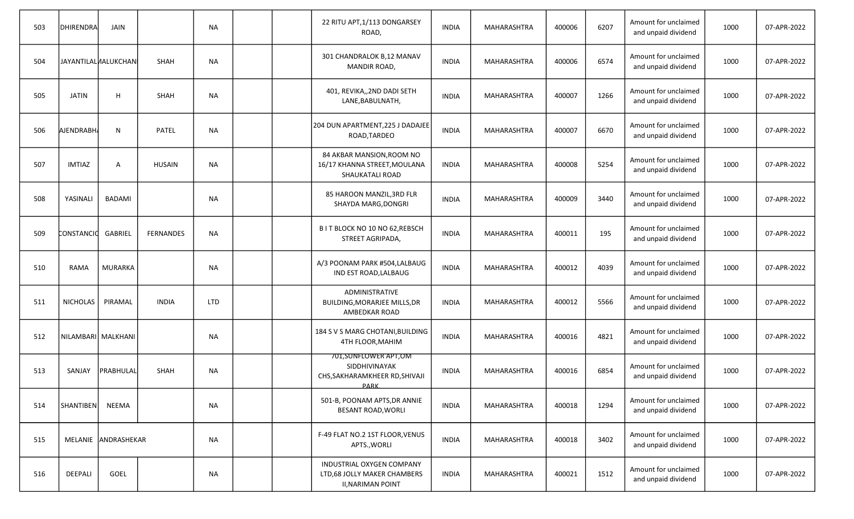| 503 | DHIRENDRA           | JAIN                |                  | <b>NA</b>  |  | 22 RITU APT, 1/113 DONGARSEY<br>ROAD,                                                       | <b>INDIA</b> | MAHARASHTRA | 400006 | 6207 | Amount for unclaimed<br>and unpaid dividend | 1000 | 07-APR-2022 |
|-----|---------------------|---------------------|------------------|------------|--|---------------------------------------------------------------------------------------------|--------------|-------------|--------|------|---------------------------------------------|------|-------------|
| 504 | JAYANTILALNALUKCHAN |                     | <b>SHAH</b>      | <b>NA</b>  |  | 301 CHANDRALOK B,12 MANAV<br>MANDIR ROAD,                                                   | <b>INDIA</b> | MAHARASHTRA | 400006 | 6574 | Amount for unclaimed<br>and unpaid dividend | 1000 | 07-APR-2022 |
| 505 | <b>JATIN</b>        | H                   | <b>SHAH</b>      | <b>NA</b>  |  | 401, REVIKA,, 2ND DADI SETH<br>LANE, BABULNATH,                                             | <b>INDIA</b> | MAHARASHTRA | 400007 | 1266 | Amount for unclaimed<br>and unpaid dividend | 1000 | 07-APR-2022 |
| 506 | <b>AJENDRABH</b>    | N                   | <b>PATEL</b>     | <b>NA</b>  |  | 204 DUN APARTMENT, 225 J DADAJEE<br>ROAD, TARDEO                                            | <b>INDIA</b> | MAHARASHTRA | 400007 | 6670 | Amount for unclaimed<br>and unpaid dividend | 1000 | 07-APR-2022 |
| 507 | <b>IMTIAZ</b>       | A                   | <b>HUSAIN</b>    | <b>NA</b>  |  | 84 AKBAR MANSION, ROOM NO<br>16/17 KHANNA STREET, MOULANA<br>SHAUKATALI ROAD                | <b>INDIA</b> | MAHARASHTRA | 400008 | 5254 | Amount for unclaimed<br>and unpaid dividend | 1000 | 07-APR-2022 |
| 508 | YASINALI            | <b>BADAMI</b>       |                  | <b>NA</b>  |  | 85 HAROON MANZIL, 3RD FLR<br>SHAYDA MARG, DONGRI                                            | <b>INDIA</b> | MAHARASHTRA | 400009 | 3440 | Amount for unclaimed<br>and unpaid dividend | 1000 | 07-APR-2022 |
| 509 | CONSTANCIO          | GABRIEL             | <b>FERNANDES</b> | NA         |  | B I T BLOCK NO 10 NO 62, REBSCH<br>STREET AGRIPADA,                                         | <b>INDIA</b> | MAHARASHTRA | 400011 | 195  | Amount for unclaimed<br>and unpaid dividend | 1000 | 07-APR-2022 |
| 510 | <b>RAMA</b>         | MURARKA             |                  | <b>NA</b>  |  | A/3 POONAM PARK #504, LALBAUG<br>IND EST ROAD, LALBAUG                                      | <b>INDIA</b> | MAHARASHTRA | 400012 | 4039 | Amount for unclaimed<br>and unpaid dividend | 1000 | 07-APR-2022 |
| 511 | <b>NICHOLAS</b>     | PIRAMAL             | <b>INDIA</b>     | <b>LTD</b> |  | <b>ADMINISTRATIVE</b><br>BUILDING, MORARJEE MILLS, DR<br>AMBEDKAR ROAD                      | <b>INDIA</b> | MAHARASHTRA | 400012 | 5566 | Amount for unclaimed<br>and unpaid dividend | 1000 | 07-APR-2022 |
| 512 | NILAMBARI MALKHANI  |                     |                  | <b>NA</b>  |  | 184 S V S MARG CHOTANI, BUILDING<br>4TH FLOOR, MAHIM                                        | <b>INDIA</b> | MAHARASHTRA | 400016 | 4821 | Amount for unclaimed<br>and unpaid dividend | 1000 | 07-APR-2022 |
| 513 | SANJAY              | PRABHULAL           | <b>SHAH</b>      | <b>NA</b>  |  | 701, SUNFLOWER APT, OM<br>SIDDHIVINAYAK<br>CHS, SAKHARAMKHEER RD, SHIVAJI<br>PARK.          | <b>INDIA</b> | MAHARASHTRA | 400016 | 6854 | Amount for unclaimed<br>and unpaid dividend | 1000 | 07-APR-2022 |
| 514 | <b>SHANTIBEN</b>    | NEEMA               |                  | <b>NA</b>  |  | 501-B, POONAM APTS, DR ANNIE<br><b>BESANT ROAD, WORLI</b>                                   | <b>INDIA</b> | MAHARASHTRA | 400018 | 1294 | Amount for unclaimed<br>and unpaid dividend | 1000 | 07-APR-2022 |
| 515 |                     | MELANIE ANDRASHEKAR |                  | <b>NA</b>  |  | F-49 FLAT NO.2 1ST FLOOR, VENUS<br>APTS., WORLI                                             | <b>INDIA</b> | MAHARASHTRA | 400018 | 3402 | Amount for unclaimed<br>and unpaid dividend | 1000 | 07-APR-2022 |
| 516 | DEEPALI             | GOEL                |                  | <b>NA</b>  |  | <b>INDUSTRIAL OXYGEN COMPANY</b><br>LTD,68 JOLLY MAKER CHAMBERS<br><b>II, NARIMAN POINT</b> | <b>INDIA</b> | MAHARASHTRA | 400021 | 1512 | Amount for unclaimed<br>and unpaid dividend | 1000 | 07-APR-2022 |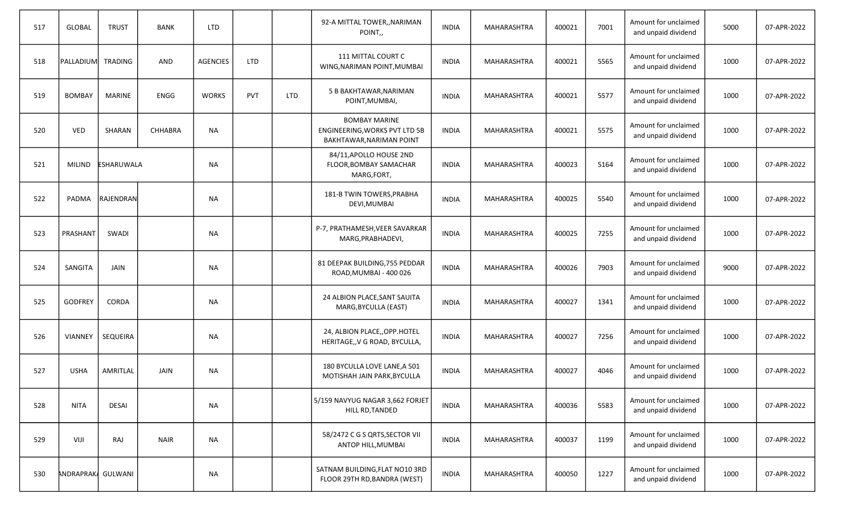| 517 | <b>GLOBAL</b>     | <b>TRUST</b>      | <b>BANK</b> | <b>LTD</b>      |            |            | 92-A MITTAL TOWER,, NARIMAN<br>POINT,                                             | <b>INDIA</b> | MAHARASHTRA        | 400021 | 7001 | Amount for unclaimed<br>and unpaid dividend | 5000 | 07-APR-2022 |
|-----|-------------------|-------------------|-------------|-----------------|------------|------------|-----------------------------------------------------------------------------------|--------------|--------------------|--------|------|---------------------------------------------|------|-------------|
| 518 | Ipalladiuml       | TRADING           | AND         | <b>AGENCIES</b> | <b>LTD</b> |            | 111 MITTAL COURT C<br>WING, NARIMAN POINT, MUMBAI                                 | <b>INDIA</b> | MAHARASHTRA        | 400021 | 5565 | Amount for unclaimed<br>and unpaid dividend | 1000 | 07-APR-2022 |
| 519 | <b>BOMBAY</b>     | <b>MARINE</b>     | <b>ENGG</b> | <b>WORKS</b>    | PVT        | <b>LTD</b> | 5 B BAKHTAWAR, NARIMAN<br>POINT, MUMBAI,                                          | <b>INDIA</b> | MAHARASHTRA        | 400021 | 5577 | Amount for unclaimed<br>and unpaid dividend | 1000 | 07-APR-2022 |
| 520 | <b>VED</b>        | SHARAN            | CHHABRA     | <b>NA</b>       |            |            | <b>BOMBAY MARINE</b><br>ENGINEERING, WORKS PVT LTD 5B<br>BAKHTAWAR, NARIMAN POINT | <b>INDIA</b> | MAHARASHTRA        | 400021 | 5575 | Amount for unclaimed<br>and unpaid dividend | 1000 | 07-APR-2022 |
| 521 | <b>MILIND</b>     | <b>ESHARUWALA</b> |             | NА              |            |            | 84/11, APOLLO HOUSE 2ND<br>FLOOR, BOMBAY SAMACHAR<br>MARG, FORT,                  | <b>INDIA</b> | <b>MAHARASHTRA</b> | 400023 | 5164 | Amount for unclaimed<br>and unpaid dividend | 1000 | 07-APR-2022 |
| 522 | PADMA             | <b>RAJENDRAN</b>  |             | <b>NA</b>       |            |            | 181-B TWIN TOWERS, PRABHA<br>DEVI, MUMBAI                                         | <b>INDIA</b> | MAHARASHTRA        | 400025 | 5540 | Amount for unclaimed<br>and unpaid dividend | 1000 | 07-APR-2022 |
| 523 | PRASHANT          | SWADI             |             | NА              |            |            | P-7, PRATHAMESH, VEER SAVARKAR<br>MARG, PRABHADEVI,                               | <b>INDIA</b> | <b>MAHARASHTRA</b> | 400025 | 7255 | Amount for unclaimed<br>and unpaid dividend | 1000 | 07-APR-2022 |
| 524 | SANGITA           | JAIN              |             | <b>NA</b>       |            |            | 81 DEEPAK BUILDING, 755 PEDDAR<br>ROAD, MUMBAI - 400 026                          | <b>INDIA</b> | <b>MAHARASHTRA</b> | 400026 | 7903 | Amount for unclaimed<br>and unpaid dividend | 9000 | 07-APR-2022 |
| 525 | <b>GODFREY</b>    | CORDA             |             | <b>NA</b>       |            |            | 24 ALBION PLACE, SANT SAUITA<br>MARG, BYCULLA (EAST)                              | <b>INDIA</b> | <b>MAHARASHTRA</b> | 400027 | 1341 | Amount for unclaimed<br>and unpaid dividend | 1000 | 07-APR-2022 |
| 526 | <b>VIANNEY</b>    | <b>SEQUEIRA</b>   |             | <b>NA</b>       |            |            | 24, ALBION PLACE,, OPP. HOTEL<br>HERITAGE,, V G ROAD, BYCULLA,                    | <b>INDIA</b> | <b>MAHARASHTRA</b> | 400027 | 7256 | Amount for unclaimed<br>and unpaid dividend | 1000 | 07-APR-2022 |
| 527 | <b>USHA</b>       | AMRITLAL          | JAIN        | ΝA              |            |            | 180 BYCULLA LOVE LANE, A 501<br>MOTISHAH JAIN PARK, BYCULLA                       | <b>INDIA</b> | MAHARASHTRA        | 400027 | 4046 | Amount for unclaimed<br>and unpaid dividend | 1000 | 07-APR-2022 |
| 528 | <b>NITA</b>       | <b>DESAI</b>      |             | <b>NA</b>       |            |            | 5/159 NAVYUG NAGAR 3,662 FORJET<br>HILL RD, TANDED                                | <b>INDIA</b> | MAHARASHTRA        | 400036 | 5583 | Amount for unclaimed<br>and unpaid dividend | 1000 | 07-APR-2022 |
| 529 | VIJI              | RAJ               | <b>NAIR</b> | <b>NA</b>       |            |            | 58/2472 C G S QRTS, SECTOR VII<br>ANTOP HILL, MUMBAI                              | <b>INDIA</b> | <b>MAHARASHTRA</b> | 400037 | 1199 | Amount for unclaimed<br>and unpaid dividend | 1000 | 07-APR-2022 |
| 530 | ANDRAPRAK GULWANI |                   |             | ΝA              |            |            | SATNAM BUILDING, FLAT NO10 3RD<br>FLOOR 29TH RD, BANDRA (WEST)                    | <b>INDIA</b> | MAHARASHTRA        | 400050 | 1227 | Amount for unclaimed<br>and unpaid dividend | 1000 | 07-APR-2022 |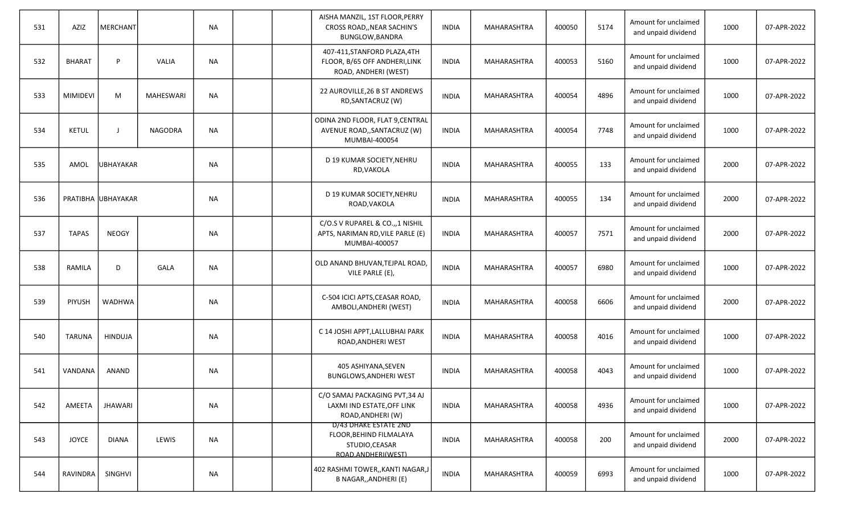| 531 | AZIZ            | <b>MERCHANT</b>    |                  | <b>NA</b> |  | AISHA MANZIL, 1ST FLOOR, PERRY<br>CROSS ROAD,, NEAR SACHIN'S<br>BUNGLOW, BANDRA          | <b>INDIA</b> | MAHARASHTRA        | 400050 | 5174 | Amount for unclaimed<br>and unpaid dividend | 1000 | 07-APR-2022 |
|-----|-----------------|--------------------|------------------|-----------|--|------------------------------------------------------------------------------------------|--------------|--------------------|--------|------|---------------------------------------------|------|-------------|
| 532 | <b>BHARAT</b>   | P                  | <b>VALIA</b>     | <b>NA</b> |  | 407-411, STANFORD PLAZA, 4TH<br>FLOOR, B/65 OFF ANDHERI, LINK<br>ROAD, ANDHERI (WEST)    | <b>INDIA</b> | <b>MAHARASHTRA</b> | 400053 | 5160 | Amount for unclaimed<br>and unpaid dividend | 1000 | 07-APR-2022 |
| 533 | <b>MIMIDEVI</b> | M                  | <b>MAHESWARI</b> | <b>NA</b> |  | 22 AUROVILLE, 26 B ST ANDREWS<br>RD, SANTACRUZ (W)                                       | <b>INDIA</b> | MAHARASHTRA        | 400054 | 4896 | Amount for unclaimed<br>and unpaid dividend | 1000 | 07-APR-2022 |
| 534 | <b>KETUL</b>    |                    | NAGODRA          | <b>NA</b> |  | ODINA 2ND FLOOR, FLAT 9, CENTRAL<br>AVENUE ROAD,, SANTACRUZ (W)<br>MUMBAI-400054         | <b>INDIA</b> | MAHARASHTRA        | 400054 | 7748 | Amount for unclaimed<br>and unpaid dividend | 1000 | 07-APR-2022 |
| 535 | AMOL            | <b>UBHAYAKAR</b>   |                  | <b>NA</b> |  | D 19 KUMAR SOCIETY, NEHRU<br>RD, VAKOLA                                                  | <b>INDIA</b> | MAHARASHTRA        | 400055 | 133  | Amount for unclaimed<br>and unpaid dividend | 2000 | 07-APR-2022 |
| 536 |                 | PRATIBHA UBHAYAKAR |                  | <b>NA</b> |  | D 19 KUMAR SOCIETY, NEHRU<br>ROAD, VAKOLA                                                | <b>INDIA</b> | MAHARASHTRA        | 400055 | 134  | Amount for unclaimed<br>and unpaid dividend | 2000 | 07-APR-2022 |
| 537 | <b>TAPAS</b>    | <b>NEOGY</b>       |                  | <b>NA</b> |  | C/O.S V RUPAREL & CO.,,1 NISHIL<br>APTS, NARIMAN RD, VILE PARLE (E)<br>MUMBAI-400057     | <b>INDIA</b> | MAHARASHTRA        | 400057 | 7571 | Amount for unclaimed<br>and unpaid dividend | 2000 | 07-APR-2022 |
| 538 | RAMILA          | D                  | <b>GALA</b>      | <b>NA</b> |  | OLD ANAND BHUVAN, TEJPAL ROAD,<br>VILE PARLE (E),                                        | <b>INDIA</b> | <b>MAHARASHTRA</b> | 400057 | 6980 | Amount for unclaimed<br>and unpaid dividend | 1000 | 07-APR-2022 |
| 539 | PIYUSH          | <b>WADHWA</b>      |                  | <b>NA</b> |  | C-504 ICICI APTS, CEASAR ROAD,<br>AMBOLI, ANDHERI (WEST)                                 | <b>INDIA</b> | MAHARASHTRA        | 400058 | 6606 | Amount for unclaimed<br>and unpaid dividend | 2000 | 07-APR-2022 |
| 540 | <b>TARUNA</b>   | <b>HINDUJA</b>     |                  | <b>NA</b> |  | C 14 JOSHI APPT, LALLUBHAI PARK<br>ROAD, ANDHERI WEST                                    | <b>INDIA</b> | <b>MAHARASHTRA</b> | 400058 | 4016 | Amount for unclaimed<br>and unpaid dividend | 1000 | 07-APR-2022 |
| 541 | VANDANA         | <b>ANAND</b>       |                  | ΝA        |  | 405 ASHIYANA, SEVEN<br><b>BUNGLOWS, ANDHERI WEST</b>                                     | <b>INDIA</b> | <b>MAHARASHTRA</b> | 400058 | 4043 | Amount for unclaimed<br>and unpaid dividend | 1000 | 07-APR-2022 |
| 542 | AMEETA          | <b>JHAWARI</b>     |                  | NA        |  | C/O SAMAJ PACKAGING PVT, 34 AJ<br>LAXMI IND ESTATE, OFF LINK<br>ROAD, ANDHERI (W)        | <b>INDIA</b> | MAHARASHTRA        | 400058 | 4936 | Amount for unclaimed<br>and unpaid dividend | 1000 | 07-APR-2022 |
| 543 | <b>JOYCE</b>    | <b>DIANA</b>       | LEWIS            | <b>NA</b> |  | D/43 DHAKE ESTATE 2ND<br>FLOOR, BEHIND FILMALAYA<br>STUDIO, CEASAR<br>ROAD ANDHERI(WEST) | <b>INDIA</b> | MAHARASHTRA        | 400058 | 200  | Amount for unclaimed<br>and unpaid dividend | 2000 | 07-APR-2022 |
| 544 | RAVINDRA        | SINGHVI            |                  | <b>NA</b> |  | 402 RASHMI TOWER,, KANTI NAGAR, J<br>B NAGAR,, ANDHERI (E)                               | <b>INDIA</b> | MAHARASHTRA        | 400059 | 6993 | Amount for unclaimed<br>and unpaid dividend | 1000 | 07-APR-2022 |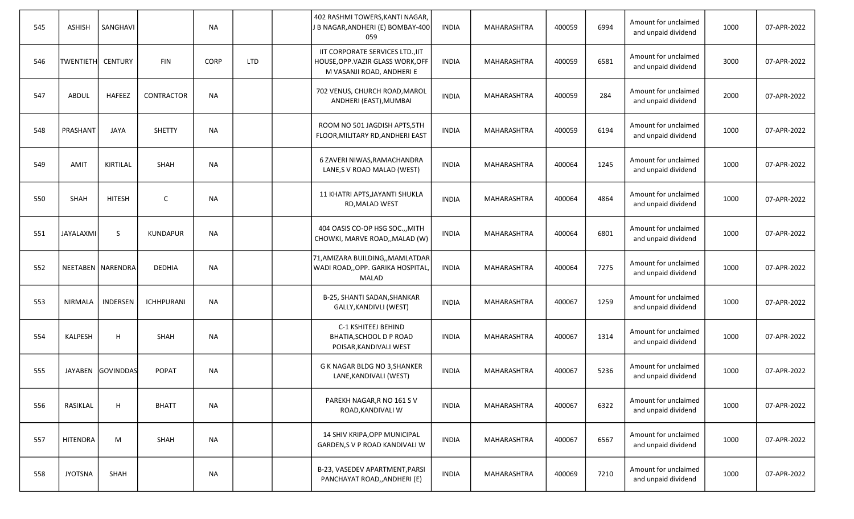| 545 | <b>ASHISH</b>     | SANGHAVI            |                   | <b>NA</b> |     | 402 RASHMI TOWERS, KANTI NAGAR,<br>J B NAGAR, ANDHERI (E) BOMBAY-400<br>059                        | <b>INDIA</b> | MAHARASHTRA        | 400059 | 6994 | Amount for unclaimed<br>and unpaid dividend | 1000 | 07-APR-2022 |
|-----|-------------------|---------------------|-------------------|-----------|-----|----------------------------------------------------------------------------------------------------|--------------|--------------------|--------|------|---------------------------------------------|------|-------------|
| 546 | TWENTIETH CENTURY |                     | <b>FIN</b>        | CORP      | LTD | IIT CORPORATE SERVICES LTD., IIT<br>HOUSE, OPP. VAZIR GLASS WORK, OFF<br>M VASANJI ROAD, ANDHERI E | <b>INDIA</b> | MAHARASHTRA        | 400059 | 6581 | Amount for unclaimed<br>and unpaid dividend | 3000 | 07-APR-2022 |
| 547 | ABDUL             | <b>HAFEEZ</b>       | CONTRACTOR        | <b>NA</b> |     | 702 VENUS, CHURCH ROAD, MAROL<br>ANDHERI (EAST), MUMBAI                                            | <b>INDIA</b> | MAHARASHTRA        | 400059 | 284  | Amount for unclaimed<br>and unpaid dividend | 2000 | 07-APR-2022 |
| 548 | PRASHANT          | <b>JAYA</b>         | <b>SHETTY</b>     | <b>NA</b> |     | ROOM NO 501 JAGDISH APTS, 5TH<br>FLOOR, MILITARY RD, ANDHERI EAST                                  | <b>INDIA</b> | MAHARASHTRA        | 400059 | 6194 | Amount for unclaimed<br>and unpaid dividend | 1000 | 07-APR-2022 |
| 549 | <b>AMIT</b>       | KIRTILAL            | <b>SHAH</b>       | <b>NA</b> |     | 6 ZAVERI NIWAS, RAMACHANDRA<br>LANE, S V ROAD MALAD (WEST)                                         | <b>INDIA</b> | MAHARASHTRA        | 400064 | 1245 | Amount for unclaimed<br>and unpaid dividend | 1000 | 07-APR-2022 |
| 550 | <b>SHAH</b>       | <b>HITESH</b>       | $\mathsf{C}$      | NA        |     | 11 KHATRI APTS, JAYANTI SHUKLA<br>RD, MALAD WEST                                                   | <b>INDIA</b> | MAHARASHTRA        | 400064 | 4864 | Amount for unclaimed<br>and unpaid dividend | 1000 | 07-APR-2022 |
| 551 | JAYALAXMI         | S                   | <b>KUNDAPUR</b>   | <b>NA</b> |     | 404 OASIS CO-OP HSG SOC.,, MITH<br>CHOWKI, MARVE ROAD, MALAD (W)                                   | <b>INDIA</b> | MAHARASHTRA        | 400064 | 6801 | Amount for unclaimed<br>and unpaid dividend | 1000 | 07-APR-2022 |
| 552 |                   | NEETABEN   NARENDRA | <b>DEDHIA</b>     | <b>NA</b> |     | 71,AMIZARA BUILDING,,MAMLATDAR<br>WADI ROAD,, OPP. GARIKA HOSPITAL,<br>MALAD                       | <b>INDIA</b> | <b>MAHARASHTRA</b> | 400064 | 7275 | Amount for unclaimed<br>and unpaid dividend | 1000 | 07-APR-2022 |
| 553 | NIRMALA           | INDERSEN            | <b>ICHHPURANI</b> | <b>NA</b> |     | B-25, SHANTI SADAN, SHANKAR<br>GALLY, KANDIVLI (WEST)                                              | INDIA        | MAHARASHTRA        | 400067 | 1259 | Amount for unclaimed<br>and unpaid dividend | 1000 | 07-APR-2022 |
| 554 | KALPESH           | H                   | <b>SHAH</b>       | <b>NA</b> |     | C-1 KSHITEEJ BEHIND<br>BHATIA, SCHOOL D P ROAD<br>POISAR, KANDIVALI WEST                           | <b>INDIA</b> | MAHARASHTRA        | 400067 | 1314 | Amount for unclaimed<br>and unpaid dividend | 1000 | 07-APR-2022 |
| 555 | JAYABEN           | GOVINDDAS           | <b>POPAT</b>      | <b>NA</b> |     | G K NAGAR BLDG NO 3, SHANKER<br>LANE, KANDIVALI (WEST)                                             | <b>INDIA</b> | MAHARASHTRA        | 400067 | 5236 | Amount for unclaimed<br>and unpaid dividend | 1000 | 07-APR-2022 |
| 556 | RASIKLAL          | H                   | <b>BHATT</b>      | $\sf NA$  |     | PAREKH NAGAR, R NO 161 S V<br>ROAD, KANDIVALI W                                                    | <b>INDIA</b> | MAHARASHTRA        | 400067 | 6322 | Amount for unclaimed<br>and unpaid dividend | 1000 | 07-APR-2022 |
| 557 | <b>HITENDRA</b>   | M                   | SHAH              | <b>NA</b> |     | 14 SHIV KRIPA, OPP MUNICIPAL<br>GARDEN,S V P ROAD KANDIVALI W                                      | <b>INDIA</b> | MAHARASHTRA        | 400067 | 6567 | Amount for unclaimed<br>and unpaid dividend | 1000 | 07-APR-2022 |
| 558 | <b>JYOTSNA</b>    | SHAH                |                   | <b>NA</b> |     | B-23, VASEDEV APARTMENT, PARSI<br>PANCHAYAT ROAD,, ANDHERI (E)                                     | <b>INDIA</b> | MAHARASHTRA        | 400069 | 7210 | Amount for unclaimed<br>and unpaid dividend | 1000 | 07-APR-2022 |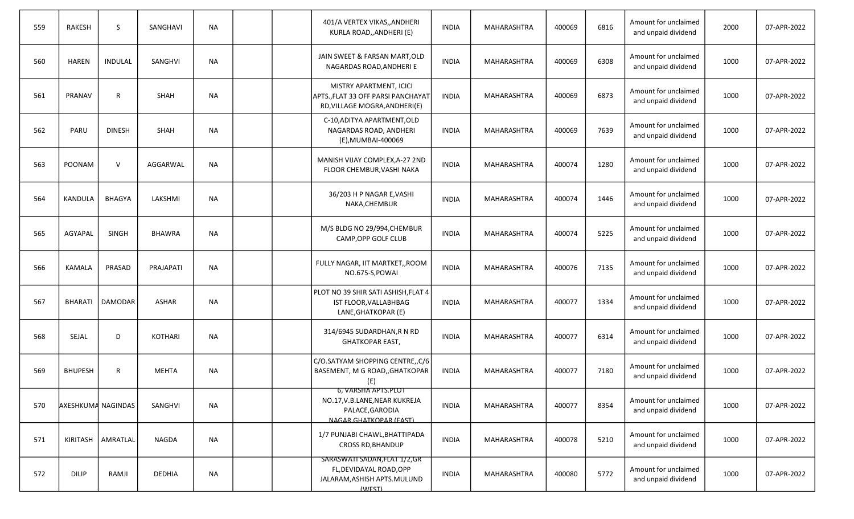| 559 | <b>RAKESH</b>             | <sub>S</sub>        | SANGHAVI       | <b>NA</b> |  | 401/A VERTEX VIKAS,, ANDHERI<br>KURLA ROAD,, ANDHERI (E)                                                  | <b>INDIA</b> | MAHARASHTRA        | 400069 | 6816 | Amount for unclaimed<br>and unpaid dividend | 2000 | 07-APR-2022 |
|-----|---------------------------|---------------------|----------------|-----------|--|-----------------------------------------------------------------------------------------------------------|--------------|--------------------|--------|------|---------------------------------------------|------|-------------|
| 560 | <b>HAREN</b>              | <b>INDULAL</b>      | SANGHVI        | <b>NA</b> |  | JAIN SWEET & FARSAN MART, OLD<br>NAGARDAS ROAD, ANDHERI E                                                 | <b>INDIA</b> | MAHARASHTRA        | 400069 | 6308 | Amount for unclaimed<br>and unpaid dividend | 1000 | 07-APR-2022 |
| 561 | PRANAV                    | $\mathsf{R}$        | <b>SHAH</b>    | NA        |  | MISTRY APARTMENT, ICICI<br>APTS., FLAT 33 OFF PARSI PANCHAYAT<br>RD, VILLAGE MOGRA, ANDHERI(E)            | <b>INDIA</b> | MAHARASHTRA        | 400069 | 6873 | Amount for unclaimed<br>and unpaid dividend | 1000 | 07-APR-2022 |
| 562 | PARU                      | <b>DINESH</b>       | SHAH           | <b>NA</b> |  | C-10, ADITYA APARTMENT, OLD<br>NAGARDAS ROAD, ANDHERI<br>(E), MUMBAI-400069                               | <b>INDIA</b> | MAHARASHTRA        | 400069 | 7639 | Amount for unclaimed<br>and unpaid dividend | 1000 | 07-APR-2022 |
| 563 | POONAM                    | $\mathsf{V}$        | AGGARWAL       | NA        |  | MANISH VIJAY COMPLEX, A-27 2ND<br>FLOOR CHEMBUR, VASHI NAKA                                               | <b>INDIA</b> | <b>MAHARASHTRA</b> | 400074 | 1280 | Amount for unclaimed<br>and unpaid dividend | 1000 | 07-APR-2022 |
| 564 | <b>KANDULA</b>            | <b>BHAGYA</b>       | LAKSHMI        | NA        |  | 36/203 H P NAGAR E, VASHI<br>NAKA, CHEMBUR                                                                | <b>INDIA</b> | MAHARASHTRA        | 400074 | 1446 | Amount for unclaimed<br>and unpaid dividend | 1000 | 07-APR-2022 |
| 565 | AGYAPAL                   | <b>SINGH</b>        | <b>BHAWRA</b>  | NA        |  | M/S BLDG NO 29/994, CHEMBUR<br>CAMP, OPP GOLF CLUB                                                        | <b>INDIA</b> | MAHARASHTRA        | 400074 | 5225 | Amount for unclaimed<br>and unpaid dividend | 1000 | 07-APR-2022 |
| 566 | KAMALA                    | PRASAD              | PRAJAPATI      | <b>NA</b> |  | FULLY NAGAR, IIT MARTKET,, ROOM<br>NO.675-S,POWAI                                                         | <b>INDIA</b> | <b>MAHARASHTRA</b> | 400076 | 7135 | Amount for unclaimed<br>and unpaid dividend | 1000 | 07-APR-2022 |
| 567 | <b>BHARATI</b>            | <b>DAMODAR</b>      | <b>ASHAR</b>   | <b>NA</b> |  | PLOT NO 39 SHIR SATI ASHISH, FLAT 4<br>IST FLOOR, VALLABHBAG<br>LANE, GHATKOPAR (E)                       | <b>INDIA</b> | MAHARASHTRA        | 400077 | 1334 | Amount for unclaimed<br>and unpaid dividend | 1000 | 07-APR-2022 |
| 568 | <b>SEJAL</b>              | D                   | <b>KOTHARI</b> | <b>NA</b> |  | 314/6945 SUDARDHAN, R N RD<br>GHATKOPAR EAST,                                                             | <b>INDIA</b> | MAHARASHTRA        | 400077 | 6314 | Amount for unclaimed<br>and unpaid dividend | 1000 | 07-APR-2022 |
| 569 | <b>BHUPESH</b>            | R                   | MEHTA          | NA        |  | C/O.SATYAM SHOPPING CENTRE,, C/6<br>BASEMENT, M G ROAD,, GHATKOPAR<br>(E)                                 | <b>INDIA</b> | MAHARASHTRA        | 400077 | 7180 | Amount for unclaimed<br>and unpaid dividend | 1000 | 07-APR-2022 |
| 570 | <b>AXESHKUMA NAGINDAS</b> |                     | SANGHVI        | <b>NA</b> |  | 0, VARSHA AP IS.PLUT<br>NO.17, V.B.LANE, NEAR KUKREJA<br>PALACE, GARODIA<br><b>NAGAR GHATKOPAR (FAST)</b> | <b>INDIA</b> | MAHARASHTRA        | 400077 | 8354 | Amount for unclaimed<br>and unpaid dividend | 1000 | 07-APR-2022 |
| 571 |                           | KIRITASH   AMRATLAL | <b>NAGDA</b>   | <b>NA</b> |  | 1/7 PUNJABI CHAWL, BHATTIPADA<br><b>CROSS RD.BHANDUP</b>                                                  | <b>INDIA</b> | MAHARASHTRA        | 400078 | 5210 | Amount for unclaimed<br>and unpaid dividend | 1000 | 07-APR-2022 |
| 572 | <b>DILIP</b>              | RAMJI               | DEDHIA         | <b>NA</b> |  | SARASWATI SADAN, FLAT 1/2, GR<br>FL, DEVIDAYAL ROAD, OPP<br>JALARAM, ASHISH APTS. MULUND<br>(WEST)        | <b>INDIA</b> | MAHARASHTRA        | 400080 | 5772 | Amount for unclaimed<br>and unpaid dividend | 1000 | 07-APR-2022 |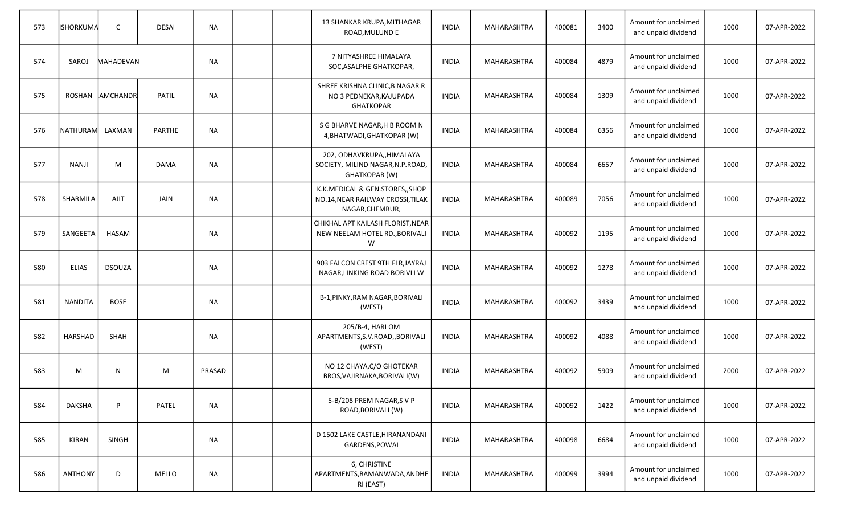| 573 | <b>ISHORKUMA</b> | $\mathsf{C}$    | <b>DESAI</b>  | <b>NA</b>     |  | 13 SHANKAR KRUPA, MITHAGAR<br>ROAD, MULUND E                                            | <b>INDIA</b> | MAHARASHTRA        | 400081 | 3400 | Amount for unclaimed<br>and unpaid dividend | 1000 | 07-APR-2022 |
|-----|------------------|-----------------|---------------|---------------|--|-----------------------------------------------------------------------------------------|--------------|--------------------|--------|------|---------------------------------------------|------|-------------|
| 574 | SAROJ            | MAHADEVAN       |               | <b>NA</b>     |  | 7 NITYASHREE HIMALAYA<br>SOC, ASALPHE GHATKOPAR,                                        | <b>INDIA</b> | MAHARASHTRA        | 400084 | 4879 | Amount for unclaimed<br>and unpaid dividend | 1000 | 07-APR-2022 |
| 575 | <b>ROSHAN</b>    | <b>AMCHANDR</b> | <b>PATIL</b>  | <b>NA</b>     |  | SHREE KRISHNA CLINIC, B NAGAR R<br>NO 3 PEDNEKAR, KAJUPADA<br><b>GHATKOPAR</b>          | <b>INDIA</b> | MAHARASHTRA        | 400084 | 1309 | Amount for unclaimed<br>and unpaid dividend | 1000 | 07-APR-2022 |
| 576 | <b>NATHURAM</b>  | LAXMAN          | <b>PARTHE</b> | <b>NA</b>     |  | S G BHARVE NAGAR, H B ROOM N<br>4, BHATWADI, GHATKOPAR (W)                              | <b>INDIA</b> | MAHARASHTRA        | 400084 | 6356 | Amount for unclaimed<br>and unpaid dividend | 1000 | 07-APR-2022 |
| 577 | <b>NANJI</b>     | M               | <b>DAMA</b>   | <b>NA</b>     |  | 202, ODHAVKRUPA,, HIMALAYA<br>SOCIETY, MILIND NAGAR, N.P.ROAD,<br>GHATKOPAR (W)         | <b>INDIA</b> | MAHARASHTRA        | 400084 | 6657 | Amount for unclaimed<br>and unpaid dividend | 1000 | 07-APR-2022 |
| 578 | SHARMILA         | <b>AJIT</b>     | <b>JAIN</b>   | <b>NA</b>     |  | K.K.MEDICAL & GEN.STORES,, SHOP<br>NO.14, NEAR RAILWAY CROSSI, TILAK<br>NAGAR, CHEMBUR, | <b>INDIA</b> | MAHARASHTRA        | 400089 | 7056 | Amount for unclaimed<br>and unpaid dividend | 1000 | 07-APR-2022 |
| 579 | SANGEETA         | <b>HASAM</b>    |               | <b>NA</b>     |  | CHIKHAL APT KAILASH FLORIST, NEAR<br>NEW NEELAM HOTEL RD., BORIVALI<br>W                | <b>INDIA</b> | MAHARASHTRA        | 400092 | 1195 | Amount for unclaimed<br>and unpaid dividend | 1000 | 07-APR-2022 |
| 580 | <b>ELIAS</b>     | <b>DSOUZA</b>   |               | <b>NA</b>     |  | 903 FALCON CREST 9TH FLR, JAYRAJ<br>NAGAR, LINKING ROAD BORIVLI W                       | <b>INDIA</b> | MAHARASHTRA        | 400092 | 1278 | Amount for unclaimed<br>and unpaid dividend | 1000 | 07-APR-2022 |
| 581 | <b>NANDITA</b>   | <b>BOSE</b>     |               | <b>NA</b>     |  | B-1, PINKY, RAM NAGAR, BORIVALI<br>(WEST)                                               | <b>INDIA</b> | MAHARASHTRA        | 400092 | 3439 | Amount for unclaimed<br>and unpaid dividend | 1000 | 07-APR-2022 |
| 582 | <b>HARSHAD</b>   | <b>SHAH</b>     |               | <b>NA</b>     |  | 205/B-4, HARI OM<br>APARTMENTS, S.V.ROAD, , BORIVALI<br>(WEST)                          | <b>INDIA</b> | MAHARASHTRA        | 400092 | 4088 | Amount for unclaimed<br>and unpaid dividend | 1000 | 07-APR-2022 |
| 583 | M                | N.              | M             | <b>PRASAD</b> |  | NO 12 CHAYA, C/O GHOTEKAR<br>BROS, VAJIRNAKA, BORIVALI (W)                              | <b>INDIA</b> | MAHARASHTRA        | 400092 | 5909 | Amount for unclaimed<br>and unpaid dividend | 2000 | 07-APR-2022 |
| 584 | <b>DAKSHA</b>    | P               | PATEL         | <b>NA</b>     |  | 5-B/208 PREM NAGAR, S V P<br>ROAD, BORIVALI (W)                                         | <b>INDIA</b> | <b>MAHARASHTRA</b> | 400092 | 1422 | Amount for unclaimed<br>and unpaid dividend | 1000 | 07-APR-2022 |
| 585 | <b>KIRAN</b>     | <b>SINGH</b>    |               | <b>NA</b>     |  | D 1502 LAKE CASTLE, HIRANANDANI<br>GARDENS, POWAI                                       | <b>INDIA</b> | MAHARASHTRA        | 400098 | 6684 | Amount for unclaimed<br>and unpaid dividend | 1000 | 07-APR-2022 |
| 586 | <b>ANTHONY</b>   | D               | MELLO         | <b>NA</b>     |  | 6, CHRISTINE<br>APARTMENTS, BAMANWADA, ANDHE<br>RI (EAST)                               | <b>INDIA</b> | <b>MAHARASHTRA</b> | 400099 | 3994 | Amount for unclaimed<br>and unpaid dividend | 1000 | 07-APR-2022 |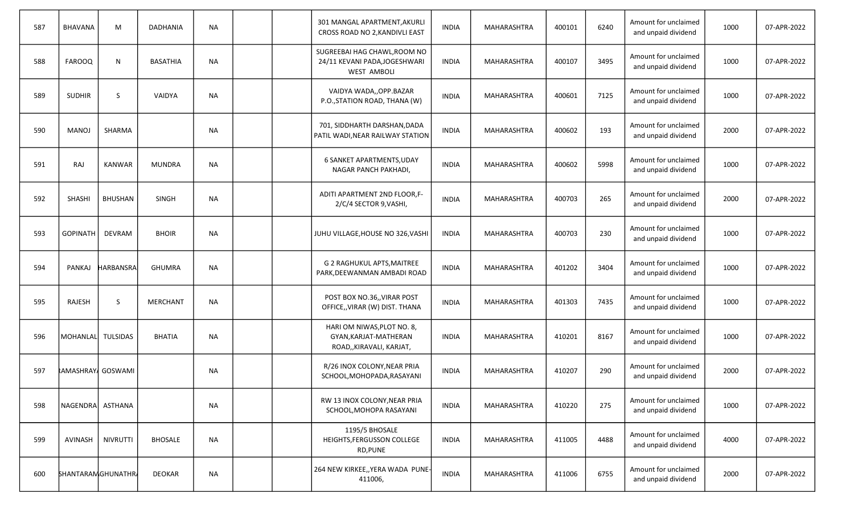| 587 | BHAVANA                 | M              | <b>DADHANIA</b> | <b>NA</b> |  | 301 MANGAL APARTMENT, AKURLI<br>CROSS ROAD NO 2, KANDIVLI EAST                      | <b>INDIA</b> | MAHARASHTRA        | 400101 | 6240 | Amount for unclaimed<br>and unpaid dividend | 1000 | 07-APR-2022 |
|-----|-------------------------|----------------|-----------------|-----------|--|-------------------------------------------------------------------------------------|--------------|--------------------|--------|------|---------------------------------------------|------|-------------|
| 588 | <b>FAROOQ</b>           | N              | <b>BASATHIA</b> | <b>NA</b> |  | SUGREEBAI HAG CHAWL, ROOM NO<br>24/11 KEVANI PADA, JOGESHWARI<br><b>WEST AMBOLI</b> | <b>INDIA</b> | MAHARASHTRA        | 400107 | 3495 | Amount for unclaimed<br>and unpaid dividend | 1000 | 07-APR-2022 |
| 589 | <b>SUDHIR</b>           | <sub>S</sub>   | <b>VAIDYA</b>   | <b>NA</b> |  | VAIDYA WADA,, OPP.BAZAR<br>P.O., STATION ROAD, THANA (W)                            | <b>INDIA</b> | MAHARASHTRA        | 400601 | 7125 | Amount for unclaimed<br>and unpaid dividend | 1000 | 07-APR-2022 |
| 590 | <b>MANOJ</b>            | SHARMA         |                 | <b>NA</b> |  | 701, SIDDHARTH DARSHAN, DADA<br>PATIL WADI, NEAR RAILWAY STATION                    | <b>INDIA</b> | MAHARASHTRA        | 400602 | 193  | Amount for unclaimed<br>and unpaid dividend | 2000 | 07-APR-2022 |
| 591 | <b>RAJ</b>              | <b>KANWAR</b>  | <b>MUNDRA</b>   | <b>NA</b> |  | 6 SANKET APARTMENTS, UDAY<br>NAGAR PANCH PAKHADI,                                   | <b>INDIA</b> | MAHARASHTRA        | 400602 | 5998 | Amount for unclaimed<br>and unpaid dividend | 1000 | 07-APR-2022 |
| 592 | <b>SHASHI</b>           | <b>BHUSHAN</b> | <b>SINGH</b>    | <b>NA</b> |  | ADITI APARTMENT 2ND FLOOR, F-<br>2/C/4 SECTOR 9, VASHI,                             | <b>INDIA</b> | MAHARASHTRA        | 400703 | 265  | Amount for unclaimed<br>and unpaid dividend | 2000 | 07-APR-2022 |
| 593 | <b>GOPINATH</b>         | <b>DEVRAM</b>  | <b>BHOIR</b>    | <b>NA</b> |  | JUHU VILLAGE, HOUSE NO 326, VASHI                                                   | <b>INDIA</b> | MAHARASHTRA        | 400703 | 230  | Amount for unclaimed<br>and unpaid dividend | 1000 | 07-APR-2022 |
| 594 | PANKAJ                  | HARBANSRA      | <b>GHUMRA</b>   | <b>NA</b> |  | G 2 RAGHUKUL APTS, MAITREE<br>PARK, DEEWANMAN AMBADI ROAD                           | <b>INDIA</b> | MAHARASHTRA        | 401202 | 3404 | Amount for unclaimed<br>and unpaid dividend | 1000 | 07-APR-2022 |
| 595 | RAJESH                  | S              | MERCHANT        | <b>NA</b> |  | POST BOX NO.36,, VIRAR POST<br>OFFICE,, VIRAR (W) DIST. THANA                       | <b>INDIA</b> | MAHARASHTRA        | 401303 | 7435 | Amount for unclaimed<br>and unpaid dividend | 1000 | 07-APR-2022 |
| 596 | MOHANLAL TULSIDAS       |                | <b>BHATIA</b>   | <b>NA</b> |  | HARI OM NIWAS, PLOT NO. 8,<br>GYAN, KARJAT-MATHERAN<br>ROAD,, KIRAVALI, KARJAT,     | <b>INDIA</b> | <b>MAHARASHTRA</b> | 410201 | 8167 | Amount for unclaimed<br>and unpaid dividend | 1000 | 07-APR-2022 |
| 597 | <b>AMASHRAY</b> GOSWAMI |                |                 | NА        |  | R/26 INOX COLONY, NEAR PRIA<br>SCHOOL, MOHOPADA, RASAYANI                           | <b>INDIA</b> | MAHARASHTRA        | 410207 | 290  | Amount for unclaimed<br>and unpaid dividend | 2000 | 07-APR-2022 |
| 598 | NAGENDRA ASTHANA        |                |                 | <b>NA</b> |  | RW 13 INOX COLONY, NEAR PRIA<br>SCHOOL, MOHOPA RASAYANI                             | <b>INDIA</b> | MAHARASHTRA        | 410220 | 275  | Amount for unclaimed<br>and unpaid dividend | 1000 | 07-APR-2022 |
| 599 | AVINASH                 | NIVRUTTI       | <b>BHOSALE</b>  | <b>NA</b> |  | 1195/5 BHOSALE<br>HEIGHTS, FERGUSSON COLLEGE<br>RD, PUNE                            | <b>INDIA</b> | MAHARASHTRA        | 411005 | 4488 | Amount for unclaimed<br>and unpaid dividend | 4000 | 07-APR-2022 |
| 600 | SHANTARAMGHUNATHR       |                | DEOKAR          | <b>NA</b> |  | 264 NEW KIRKEE,, YERA WADA PUNE-<br>411006,                                         | <b>INDIA</b> | MAHARASHTRA        | 411006 | 6755 | Amount for unclaimed<br>and unpaid dividend | 2000 | 07-APR-2022 |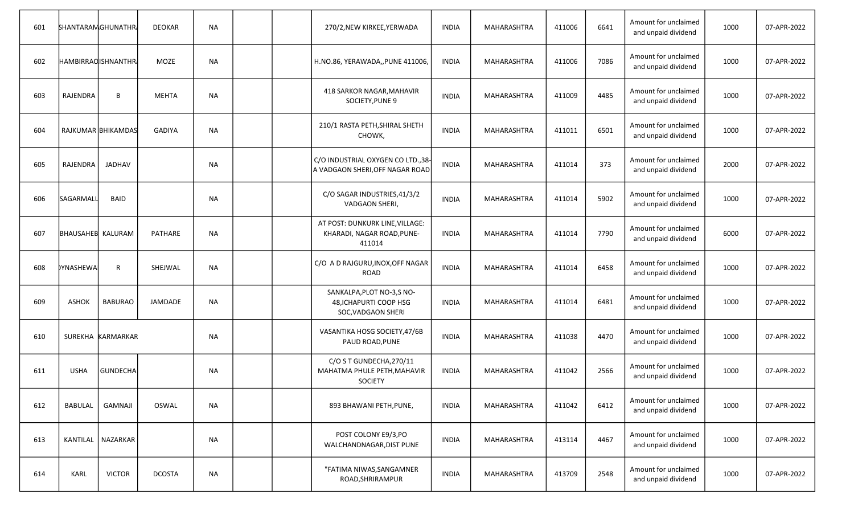| 601 | <b>SHANTARAM GHUNATHR</b> |                     | <b>DEOKAR</b>  | <b>NA</b> |  | 270/2, NEW KIRKEE, YERWADA                                                | <b>INDIA</b> | MAHARASHTRA | 411006 | 6641 | Amount for unclaimed<br>and unpaid dividend | 1000 | 07-APR-2022 |
|-----|---------------------------|---------------------|----------------|-----------|--|---------------------------------------------------------------------------|--------------|-------------|--------|------|---------------------------------------------|------|-------------|
| 602 | <b>HAMBIRRAQISHNANTHR</b> |                     | <b>MOZE</b>    | <b>NA</b> |  | H.NO.86, YERAWADA,, PUNE 411006,                                          | <b>INDIA</b> | MAHARASHTRA | 411006 | 7086 | Amount for unclaimed<br>and unpaid dividend | 1000 | 07-APR-2022 |
| 603 | RAJENDRA                  | B                   | <b>MEHTA</b>   | <b>NA</b> |  | 418 SARKOR NAGAR, MAHAVIR<br>SOCIETY, PUNE 9                              | <b>INDIA</b> | MAHARASHTRA | 411009 | 4485 | Amount for unclaimed<br>and unpaid dividend | 1000 | 07-APR-2022 |
| 604 |                           | RAJKUMAR BHIKAMDAS  | <b>GADIYA</b>  | <b>NA</b> |  | 210/1 RASTA PETH, SHIRAL SHETH<br>CHOWK,                                  | <b>INDIA</b> | MAHARASHTRA | 411011 | 6501 | Amount for unclaimed<br>and unpaid dividend | 1000 | 07-APR-2022 |
| 605 | RAJENDRA                  | <b>JADHAV</b>       |                | <b>NA</b> |  | C/O INDUSTRIAL OXYGEN CO LTD., 38-<br>A VADGAON SHERI, OFF NAGAR ROAD     | <b>INDIA</b> | MAHARASHTRA | 411014 | 373  | Amount for unclaimed<br>and unpaid dividend | 2000 | 07-APR-2022 |
| 606 | SAGARMALL                 | <b>BAID</b>         |                | <b>NA</b> |  | C/O SAGAR INDUSTRIES, 41/3/2<br>VADGAON SHERI,                            | <b>INDIA</b> | MAHARASHTRA | 411014 | 5902 | Amount for unclaimed<br>and unpaid dividend | 1000 | 07-APR-2022 |
| 607 | <b>BHAUSAHEB KALURAM</b>  |                     | <b>PATHARE</b> | <b>NA</b> |  | AT POST: DUNKURK LINE, VILLAGE:<br>KHARADI, NAGAR ROAD, PUNE-<br>411014   | <b>INDIA</b> | MAHARASHTRA | 411014 | 7790 | Amount for unclaimed<br>and unpaid dividend | 6000 | 07-APR-2022 |
| 608 | <b>DYNASHEWA</b>          | R.                  | SHEJWAL        | <b>NA</b> |  | C/O A D RAJGURU, INOX, OFF NAGAR<br><b>ROAD</b>                           | <b>INDIA</b> | MAHARASHTRA | 411014 | 6458 | Amount for unclaimed<br>and unpaid dividend | 1000 | 07-APR-2022 |
| 609 | <b>ASHOK</b>              | <b>BABURAO</b>      | <b>JAMDADE</b> | <b>NA</b> |  | SANKALPA, PLOT NO-3, SNO-<br>48, ICHAPURTI COOP HSG<br>SOC, VADGAON SHERI | <b>INDIA</b> | MAHARASHTRA | 411014 | 6481 | Amount for unclaimed<br>and unpaid dividend | 1000 | 07-APR-2022 |
| 610 |                           | SUREKHA KARMARKAR   |                | <b>NA</b> |  | VASANTIKA HOSG SOCIETY, 47/6B<br>PAUD ROAD, PUNE                          | <b>INDIA</b> | MAHARASHTRA | 411038 | 4470 | Amount for unclaimed<br>and unpaid dividend | 1000 | 07-APR-2022 |
| 611 | <b>USHA</b>               | <b>GUNDECHA</b>     |                | <b>NA</b> |  | C/O S T GUNDECHA, 270/11<br>MAHATMA PHULE PETH, MAHAVIR<br><b>SOCIETY</b> | <b>INDIA</b> | MAHARASHTRA | 411042 | 2566 | Amount for unclaimed<br>and unpaid dividend | 1000 | 07-APR-2022 |
| 612 | BABULAL                   | <b>GAMNAJI</b>      | OSWAL          | <b>NA</b> |  | 893 BHAWANI PETH, PUNE,                                                   | <b>INDIA</b> | MAHARASHTRA | 411042 | 6412 | Amount for unclaimed<br>and unpaid dividend | 1000 | 07-APR-2022 |
| 613 |                           | KANTILAL   NAZARKAR |                | <b>NA</b> |  | POST COLONY E9/3,PO<br>WALCHANDNAGAR, DIST PUNE                           | <b>INDIA</b> | MAHARASHTRA | 413114 | 4467 | Amount for unclaimed<br>and unpaid dividend | 1000 | 07-APR-2022 |
| 614 | <b>KARL</b>               | <b>VICTOR</b>       | <b>DCOSTA</b>  | <b>NA</b> |  | "FATIMA NIWAS, SANGAMNER<br>ROAD, SHRIRAMPUR                              | <b>INDIA</b> | MAHARASHTRA | 413709 | 2548 | Amount for unclaimed<br>and unpaid dividend | 1000 | 07-APR-2022 |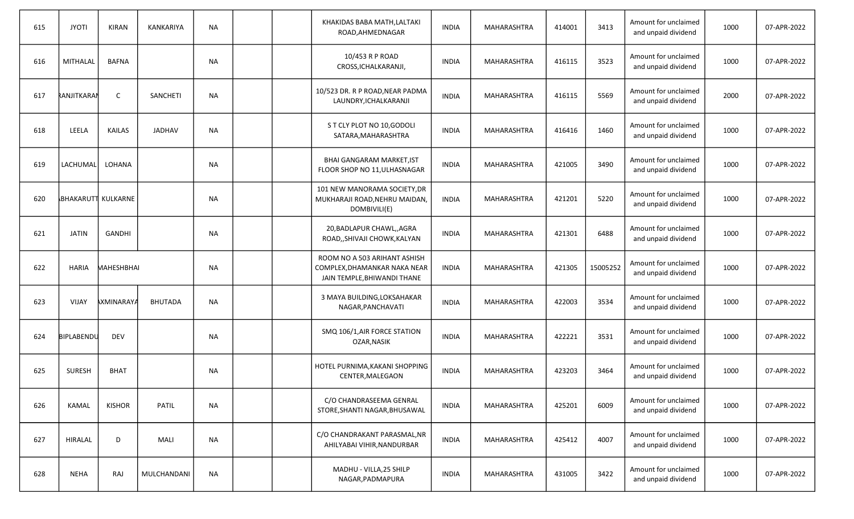| 615 | <b>JYOTI</b>       | <b>KIRAN</b>      | <b>KANKARIYA</b> | <b>NA</b> |  | KHAKIDAS BABA MATH, LALTAKI<br>ROAD, AHMEDNAGAR                                             | <b>INDIA</b> | MAHARASHTRA        | 414001 | 3413     | Amount for unclaimed<br>and unpaid dividend | 1000 | 07-APR-2022 |
|-----|--------------------|-------------------|------------------|-----------|--|---------------------------------------------------------------------------------------------|--------------|--------------------|--------|----------|---------------------------------------------|------|-------------|
| 616 | <b>MITHALAL</b>    | <b>BAFNA</b>      |                  | <b>NA</b> |  | 10/453 R P ROAD<br>CROSS, ICHALKARANJI,                                                     | <b>INDIA</b> | MAHARASHTRA        | 416115 | 3523     | Amount for unclaimed<br>and unpaid dividend | 1000 | 07-APR-2022 |
| 617 | RANJITKARAN        | $\mathsf{C}$      | <b>SANCHETI</b>  | <b>NA</b> |  | 10/523 DR. R P ROAD, NEAR PADMA<br>LAUNDRY, ICHALKARANJI                                    | <b>INDIA</b> | MAHARASHTRA        | 416115 | 5569     | Amount for unclaimed<br>and unpaid dividend | 2000 | 07-APR-2022 |
| 618 | LEELA              | <b>KAILAS</b>     | <b>JADHAV</b>    | <b>NA</b> |  | ST CLY PLOT NO 10, GODOLI<br>SATARA, MAHARASHTRA                                            | <b>INDIA</b> | MAHARASHTRA        | 416416 | 1460     | Amount for unclaimed<br>and unpaid dividend | 1000 | 07-APR-2022 |
| 619 | LACHUMAL           | LOHANA            |                  | <b>NA</b> |  | BHAI GANGARAM MARKET, IST<br>FLOOR SHOP NO 11, ULHASNAGAR                                   | <b>INDIA</b> | MAHARASHTRA        | 421005 | 3490     | Amount for unclaimed<br>and unpaid dividend | 1000 | 07-APR-2022 |
| 620 | BHAKARUTT KULKARNE |                   |                  | <b>NA</b> |  | 101 NEW MANORAMA SOCIETY, DR<br>MUKHARAJI ROAD, NEHRU MAIDAN,<br>DOMBIVILI(E)               | <b>INDIA</b> | MAHARASHTRA        | 421201 | 5220     | Amount for unclaimed<br>and unpaid dividend | 1000 | 07-APR-2022 |
| 621 | <b>JATIN</b>       | <b>GANDHI</b>     |                  | <b>NA</b> |  | 20, BADLAPUR CHAWL, AGRA<br>ROAD,, SHIVAJI CHOWK, KALYAN                                    | <b>INDIA</b> | MAHARASHTRA        | 421301 | 6488     | Amount for unclaimed<br>and unpaid dividend | 1000 | 07-APR-2022 |
| 622 | <b>HARIA</b>       | MAHESHBHAI        |                  | <b>NA</b> |  | ROOM NO A 503 ARIHANT ASHISH<br>COMPLEX, DHAMANKAR NAKA NEAR<br>JAIN TEMPLE, BHIWANDI THANE | <b>INDIA</b> | MAHARASHTRA        | 421305 | 15005252 | Amount for unclaimed<br>and unpaid dividend | 1000 | 07-APR-2022 |
| 623 | <b>VIJAY</b>       | <b>AXMINARAYA</b> | <b>BHUTADA</b>   | <b>NA</b> |  | 3 MAYA BUILDING, LOKSAHAKAR<br>NAGAR, PANCHAVATI                                            | <b>INDIA</b> | <b>MAHARASHTRA</b> | 422003 | 3534     | Amount for unclaimed<br>and unpaid dividend | 1000 | 07-APR-2022 |
| 624 | BIPLABENDU         | <b>DEV</b>        |                  | <b>NA</b> |  | SMQ 106/1, AIR FORCE STATION<br>OZAR, NASIK                                                 | <b>INDIA</b> | <b>MAHARASHTRA</b> | 422221 | 3531     | Amount for unclaimed<br>and unpaid dividend | 1000 | 07-APR-2022 |
| 625 | <b>SURESH</b>      | <b>BHAT</b>       |                  | NA        |  | HOTEL PURNIMA, KAKANI SHOPPING<br>CENTER, MALEGAON                                          | <b>INDIA</b> | <b>MAHARASHTRA</b> | 423203 | 3464     | Amount for unclaimed<br>and unpaid dividend | 1000 | 07-APR-2022 |
| 626 | <b>KAMAL</b>       | <b>KISHOR</b>     | <b>PATIL</b>     | <b>NA</b> |  | C/O CHANDRASEEMA GENRAL<br>STORE, SHANTI NAGAR, BHUSAWAL                                    | <b>INDIA</b> | MAHARASHTRA        | 425201 | 6009     | Amount for unclaimed<br>and unpaid dividend | 1000 | 07-APR-2022 |
| 627 | <b>HIRALAL</b>     | D                 | MALI             | <b>NA</b> |  | C/O CHANDRAKANT PARASMAL, NR<br>AHILYABAI VIHIR, NANDURBAR                                  | <b>INDIA</b> | MAHARASHTRA        | 425412 | 4007     | Amount for unclaimed<br>and unpaid dividend | 1000 | 07-APR-2022 |
| 628 | <b>NEHA</b>        | RAJ               | MULCHANDANI      | <b>NA</b> |  | MADHU - VILLA, 25 SHILP<br>NAGAR, PADMAPURA                                                 | <b>INDIA</b> | MAHARASHTRA        | 431005 | 3422     | Amount for unclaimed<br>and unpaid dividend | 1000 | 07-APR-2022 |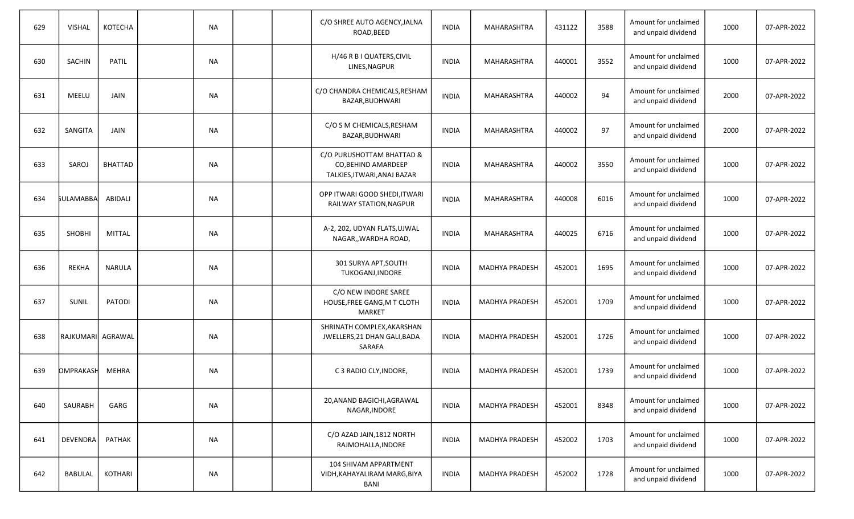| 629 | <b>VISHAL</b>     | <b>KOTECHA</b> | <b>NA</b> |  | C/O SHREE AUTO AGENCY, JALNA<br>ROAD, BEED                                      | <b>INDIA</b> | MAHARASHTRA           | 431122 | 3588 | Amount for unclaimed<br>and unpaid dividend | 1000 | 07-APR-2022 |
|-----|-------------------|----------------|-----------|--|---------------------------------------------------------------------------------|--------------|-----------------------|--------|------|---------------------------------------------|------|-------------|
| 630 | <b>SACHIN</b>     | <b>PATIL</b>   | <b>NA</b> |  | H/46 R B I QUATERS, CIVIL<br>LINES, NAGPUR                                      | <b>INDIA</b> | MAHARASHTRA           | 440001 | 3552 | Amount for unclaimed<br>and unpaid dividend | 1000 | 07-APR-2022 |
| 631 | MEELU             | JAIN           | <b>NA</b> |  | C/O CHANDRA CHEMICALS, RESHAM<br>BAZAR, BUDHWARI                                | <b>INDIA</b> | <b>MAHARASHTRA</b>    | 440002 | 94   | Amount for unclaimed<br>and unpaid dividend | 2000 | 07-APR-2022 |
| 632 | <b>SANGITA</b>    | <b>JAIN</b>    | <b>NA</b> |  | C/O S M CHEMICALS, RESHAM<br>BAZAR, BUDHWARI                                    | <b>INDIA</b> | <b>MAHARASHTRA</b>    | 440002 | 97   | Amount for unclaimed<br>and unpaid dividend | 2000 | 07-APR-2022 |
| 633 | SAROJ             | <b>BHATTAD</b> | NА        |  | C/O PURUSHOTTAM BHATTAD &<br>CO, BEHIND AMARDEEP<br>TALKIES, ITWARI, ANAJ BAZAR | <b>INDIA</b> | MAHARASHTRA           | 440002 | 3550 | Amount for unclaimed<br>and unpaid dividend | 1000 | 07-APR-2022 |
| 634 | <b>SULAMABBA</b>  | ABIDALI        | <b>NA</b> |  | OPP ITWARI GOOD SHEDI, ITWARI<br>RAILWAY STATION, NAGPUR                        | <b>INDIA</b> | MAHARASHTRA           | 440008 | 6016 | Amount for unclaimed<br>and unpaid dividend | 1000 | 07-APR-2022 |
| 635 | SHOBHI            | <b>MITTAL</b>  | NА        |  | A-2, 202, UDYAN FLATS, UJWAL<br>NAGAR,, WARDHA ROAD,                            | <b>INDIA</b> | MAHARASHTRA           | 440025 | 6716 | Amount for unclaimed<br>and unpaid dividend | 1000 | 07-APR-2022 |
| 636 | <b>REKHA</b>      | <b>NARULA</b>  | <b>NA</b> |  | 301 SURYA APT, SOUTH<br>TUKOGANJ, INDORE                                        | <b>INDIA</b> | <b>MADHYA PRADESH</b> | 452001 | 1695 | Amount for unclaimed<br>and unpaid dividend | 1000 | 07-APR-2022 |
| 637 | SUNIL             | <b>PATODI</b>  | <b>NA</b> |  | C/O NEW INDORE SAREE<br>HOUSE, FREE GANG, M T CLOTH<br><b>MARKET</b>            | INDIA        | <b>MADHYA PRADESH</b> | 452001 | 1709 | Amount for unclaimed<br>and unpaid dividend | 1000 | 07-APR-2022 |
| 638 | RAJKUMARI AGRAWAL |                | <b>NA</b> |  | SHRINATH COMPLEX, AKARSHAN<br>JWELLERS, 21 DHAN GALI, BADA<br>SARAFA            | <b>INDIA</b> | <b>MADHYA PRADESH</b> | 452001 | 1726 | Amount for unclaimed<br>and unpaid dividend | 1000 | 07-APR-2022 |
| 639 | <b>DMPRAKASH</b>  | <b>MEHRA</b>   | <b>NA</b> |  | C 3 RADIO CLY, INDORE,                                                          | <b>INDIA</b> | <b>MADHYA PRADESH</b> | 452001 | 1739 | Amount for unclaimed<br>and unpaid dividend | 1000 | 07-APR-2022 |
| 640 | SAURABH           | GARG           | <b>NA</b> |  | 20, ANAND BAGICHI, AGRAWAL<br>NAGAR, INDORE                                     | <b>INDIA</b> | <b>MADHYA PRADESH</b> | 452001 | 8348 | Amount for unclaimed<br>and unpaid dividend | 1000 | 07-APR-2022 |
| 641 | DEVENDRA          | PATHAK         | <b>NA</b> |  | C/O AZAD JAIN, 1812 NORTH<br>RAJMOHALLA, INDORE                                 | <b>INDIA</b> | <b>MADHYA PRADESH</b> | 452002 | 1703 | Amount for unclaimed<br>and unpaid dividend | 1000 | 07-APR-2022 |
| 642 | BABULAL           | KOTHARI        | <b>NA</b> |  | 104 SHIVAM APPARTMENT<br>VIDH, KAHAYALIRAM MARG, BIYA<br>BANI                   | <b>INDIA</b> | <b>MADHYA PRADESH</b> | 452002 | 1728 | Amount for unclaimed<br>and unpaid dividend | 1000 | 07-APR-2022 |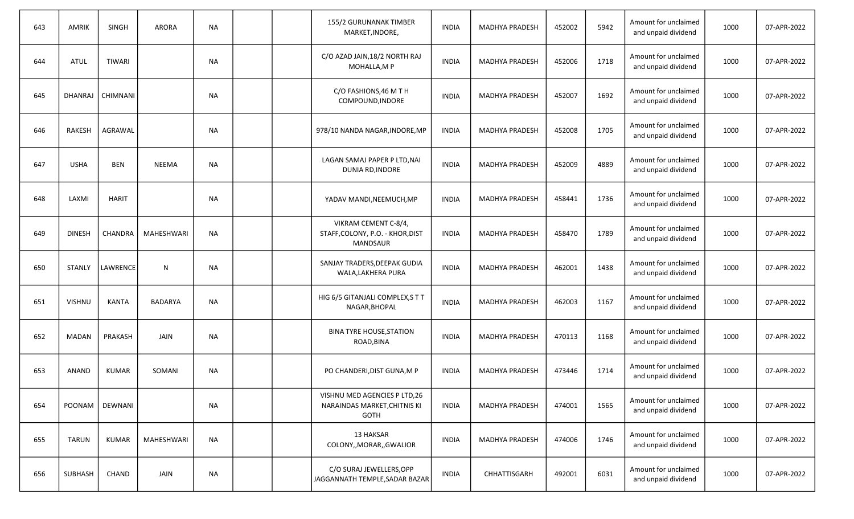| 643 | <b>AMRIK</b>  | SINGH            | <b>ARORA</b>   | <b>NA</b> |  | 155/2 GURUNANAK TIMBER<br>MARKET, INDORE,                                    | <b>INDIA</b> | <b>MADHYA PRADESH</b> | 452002 | 5942 | Amount for unclaimed<br>and unpaid dividend | 1000 | 07-APR-2022 |
|-----|---------------|------------------|----------------|-----------|--|------------------------------------------------------------------------------|--------------|-----------------------|--------|------|---------------------------------------------|------|-------------|
| 644 | <b>ATUL</b>   | <b>TIWARI</b>    |                | <b>NA</b> |  | C/O AZAD JAIN, 18/2 NORTH RAJ<br>MOHALLA, MP                                 | <b>INDIA</b> | <b>MADHYA PRADESH</b> | 452006 | 1718 | Amount for unclaimed<br>and unpaid dividend | 1000 | 07-APR-2022 |
| 645 | DHANRAJ       | CHIMNANI         |                | <b>NA</b> |  | C/O FASHIONS, 46 M T H<br>COMPOUND, INDORE                                   | <b>INDIA</b> | <b>MADHYA PRADESH</b> | 452007 | 1692 | Amount for unclaimed<br>and unpaid dividend | 1000 | 07-APR-2022 |
| 646 | RAKESH        | AGRAWAL          |                | <b>NA</b> |  | 978/10 NANDA NAGAR, INDORE, MP                                               | INDIA        | <b>MADHYA PRADESH</b> | 452008 | 1705 | Amount for unclaimed<br>and unpaid dividend | 1000 | 07-APR-2022 |
| 647 | <b>USHA</b>   | <b>BEN</b>       | <b>NEEMA</b>   | <b>NA</b> |  | LAGAN SAMAJ PAPER P LTD, NAI<br>DUNIA RD, INDORE                             | <b>INDIA</b> | <b>MADHYA PRADESH</b> | 452009 | 4889 | Amount for unclaimed<br>and unpaid dividend | 1000 | 07-APR-2022 |
| 648 | LAXMI         | <b>HARIT</b>     |                | <b>NA</b> |  | YADAV MANDI, NEEMUCH, MP                                                     | <b>INDIA</b> | <b>MADHYA PRADESH</b> | 458441 | 1736 | Amount for unclaimed<br>and unpaid dividend | 1000 | 07-APR-2022 |
| 649 | <b>DINESH</b> | CHANDRA          | MAHESHWARI     | <b>NA</b> |  | VIKRAM CEMENT C-8/4,<br>STAFF, COLONY, P.O. - KHOR, DIST<br>MANDSAUR         | <b>INDIA</b> | <b>MADHYA PRADESH</b> | 458470 | 1789 | Amount for unclaimed<br>and unpaid dividend | 1000 | 07-APR-2022 |
| 650 | STANLY        | LAWRENCE         | N              | <b>NA</b> |  | SANJAY TRADERS, DEEPAK GUDIA<br>WALA, LAKHERA PURA                           | <b>INDIA</b> | <b>MADHYA PRADESH</b> | 462001 | 1438 | Amount for unclaimed<br>and unpaid dividend | 1000 | 07-APR-2022 |
| 651 | <b>VISHNU</b> | <b>KANTA</b>     | <b>BADARYA</b> | <b>NA</b> |  | HIG 6/5 GITANJALI COMPLEX, STT<br>NAGAR, BHOPAL                              | INDIA        | <b>MADHYA PRADESH</b> | 462003 | 1167 | Amount for unclaimed<br>and unpaid dividend | 1000 | 07-APR-2022 |
| 652 | <b>MADAN</b>  | PRAKASH          | JAIN           | <b>NA</b> |  | <b>BINA TYRE HOUSE, STATION</b><br>ROAD, BINA                                | INDIA        | <b>MADHYA PRADESH</b> | 470113 | 1168 | Amount for unclaimed<br>and unpaid dividend | 1000 | 07-APR-2022 |
| 653 | <b>ANAND</b>  | <b>KUMAR</b>     | SOMANI         | <b>NA</b> |  | PO CHANDERI, DIST GUNA, M P                                                  | <b>INDIA</b> | <b>MADHYA PRADESH</b> | 473446 | 1714 | Amount for unclaimed<br>and unpaid dividend | 1000 | 07-APR-2022 |
| 654 |               | POONAM   DEWNANI |                | <b>NA</b> |  | VISHNU MED AGENCIES P LTD, 26<br>NARAINDAS MARKET, CHITNIS KI<br><b>GOTH</b> | <b>INDIA</b> | <b>MADHYA PRADESH</b> | 474001 | 1565 | Amount for unclaimed<br>and unpaid dividend | 1000 | 07-APR-2022 |
| 655 | <b>TARUN</b>  | <b>KUMAR</b>     | MAHESHWARI     | <b>NA</b> |  | 13 HAKSAR<br>COLONY,, MORAR,, GWALIOR                                        | <b>INDIA</b> | <b>MADHYA PRADESH</b> | 474006 | 1746 | Amount for unclaimed<br>and unpaid dividend | 1000 | 07-APR-2022 |
| 656 | SUBHASH       | CHAND            | JAIN           | <b>NA</b> |  | C/O SURAJ JEWELLERS, OPP<br>JAGGANNATH TEMPLE, SADAR BAZAR                   | <b>INDIA</b> | CHHATTISGARH          | 492001 | 6031 | Amount for unclaimed<br>and unpaid dividend | 1000 | 07-APR-2022 |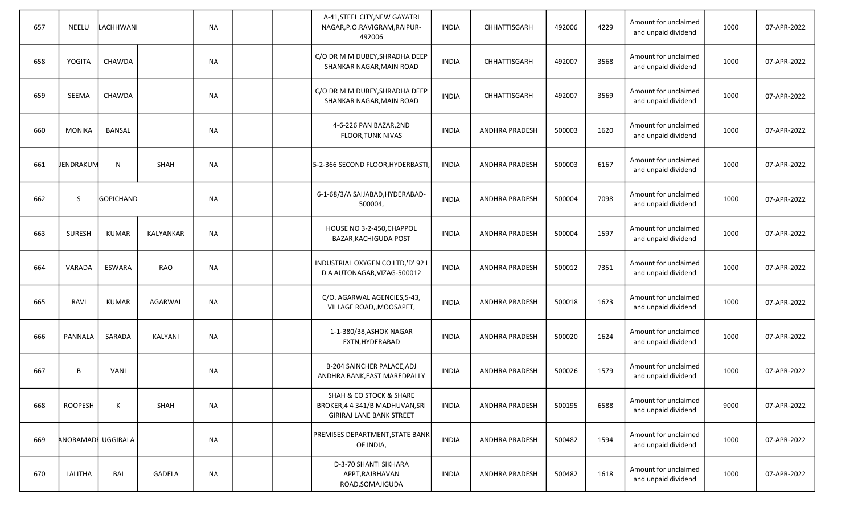| 657 | <b>NEELU</b>       | LACHHWANI        |                  | <b>NA</b> | A-41, STEEL CITY, NEW GAYATRI<br>NAGAR, P.O.RAVIGRAM, RAIPUR-<br>492006                | <b>INDIA</b> | CHHATTISGARH          | 492006 | 4229 | Amount for unclaimed<br>and unpaid dividend | 1000 | 07-APR-2022 |
|-----|--------------------|------------------|------------------|-----------|----------------------------------------------------------------------------------------|--------------|-----------------------|--------|------|---------------------------------------------|------|-------------|
| 658 | YOGITA             | CHAWDA           |                  | <b>NA</b> | C/O DR M M DUBEY, SHRADHA DEEP<br>SHANKAR NAGAR, MAIN ROAD                             | <b>INDIA</b> | CHHATTISGARH          | 492007 | 3568 | Amount for unclaimed<br>and unpaid dividend | 1000 | 07-APR-2022 |
| 659 | <b>SEEMA</b>       | CHAWDA           |                  | <b>NA</b> | C/O DR M M DUBEY, SHRADHA DEEP<br>SHANKAR NAGAR, MAIN ROAD                             | <b>INDIA</b> | CHHATTISGARH          | 492007 | 3569 | Amount for unclaimed<br>and unpaid dividend | 1000 | 07-APR-2022 |
| 660 | <b>MONIKA</b>      | <b>BANSAL</b>    |                  | <b>NA</b> | 4-6-226 PAN BAZAR, 2ND<br><b>FLOOR, TUNK NIVAS</b>                                     | <b>INDIA</b> | <b>ANDHRA PRADESH</b> | 500003 | 1620 | Amount for unclaimed<br>and unpaid dividend | 1000 | 07-APR-2022 |
| 661 | <b>JENDRAKUM</b>   | N                | <b>SHAH</b>      | <b>NA</b> | 5-2-366 SECOND FLOOR, HYDERBASTI                                                       | <b>INDIA</b> | <b>ANDHRA PRADESH</b> | 500003 | 6167 | Amount for unclaimed<br>and unpaid dividend | 1000 | 07-APR-2022 |
| 662 | S                  | <b>GOPICHAND</b> |                  | <b>NA</b> | 6-1-68/3/A SAIJABAD, HYDERABAD-<br>500004,                                             | <b>INDIA</b> | ANDHRA PRADESH        | 500004 | 7098 | Amount for unclaimed<br>and unpaid dividend | 1000 | 07-APR-2022 |
| 663 | SURESH             | <b>KUMAR</b>     | <b>KALYANKAR</b> | <b>NA</b> | HOUSE NO 3-2-450, CHAPPOL<br>BAZAR, KACHIGUDA POST                                     | <b>INDIA</b> | ANDHRA PRADESH        | 500004 | 1597 | Amount for unclaimed<br>and unpaid dividend | 1000 | 07-APR-2022 |
| 664 | VARADA             | ESWARA           | <b>RAO</b>       | ΝA        | INDUSTRIAL OXYGEN CO LTD,'D' 92 I<br>D A AUTONAGAR, VIZAG-500012                       | <b>INDIA</b> | <b>ANDHRA PRADESH</b> | 500012 | 7351 | Amount for unclaimed<br>and unpaid dividend | 1000 | 07-APR-2022 |
| 665 | RAVI               | <b>KUMAR</b>     | AGARWAL          | <b>NA</b> | C/O. AGARWAL AGENCIES, 5-43,<br>VILLAGE ROAD,, MOOSAPET,                               | <b>INDIA</b> | <b>ANDHRA PRADESH</b> | 500018 | 1623 | Amount for unclaimed<br>and unpaid dividend | 1000 | 07-APR-2022 |
| 666 | PANNALA            | SARADA           | KALYANI          | <b>NA</b> | 1-1-380/38, ASHOK NAGAR<br>EXTN, HYDERABAD                                             | <b>INDIA</b> | <b>ANDHRA PRADESH</b> | 500020 | 1624 | Amount for unclaimed<br>and unpaid dividend | 1000 | 07-APR-2022 |
| 667 | B                  | <b>VANI</b>      |                  | NА        | B-204 SAINCHER PALACE, ADJ<br>ANDHRA BANK, EAST MAREDPALLY                             | <b>INDIA</b> | ANDHRA PRADESH        | 500026 | 1579 | Amount for unclaimed<br>and unpaid dividend | 1000 | 07-APR-2022 |
| 668 | <b>ROOPESH</b>     | K                | SHAH             | <b>NA</b> | SHAH & CO STOCK & SHARE<br>BROKER, 4 4 341/B MADHUVAN, SRI<br>GIRIRAJ LANE BANK STREET | INDIA        | ANDHRA PRADESH        | 500195 | 6588 | Amount for unclaimed<br>and unpaid dividend | 9000 | 07-APR-2022 |
| 669 | ANORAMADI UGGIRALA |                  |                  | <b>NA</b> | PREMISES DEPARTMENT, STATE BANK<br>OF INDIA,                                           | <b>INDIA</b> | ANDHRA PRADESH        | 500482 | 1594 | Amount for unclaimed<br>and unpaid dividend | 1000 | 07-APR-2022 |
| 670 | LALITHA            | BAI              | GADELA           | $\sf NA$  | D-3-70 SHANTI SIKHARA<br>APPT, RAJBHAVAN<br>ROAD, SOMAJIGUDA                           | <b>INDIA</b> | ANDHRA PRADESH        | 500482 | 1618 | Amount for unclaimed<br>and unpaid dividend | 1000 | 07-APR-2022 |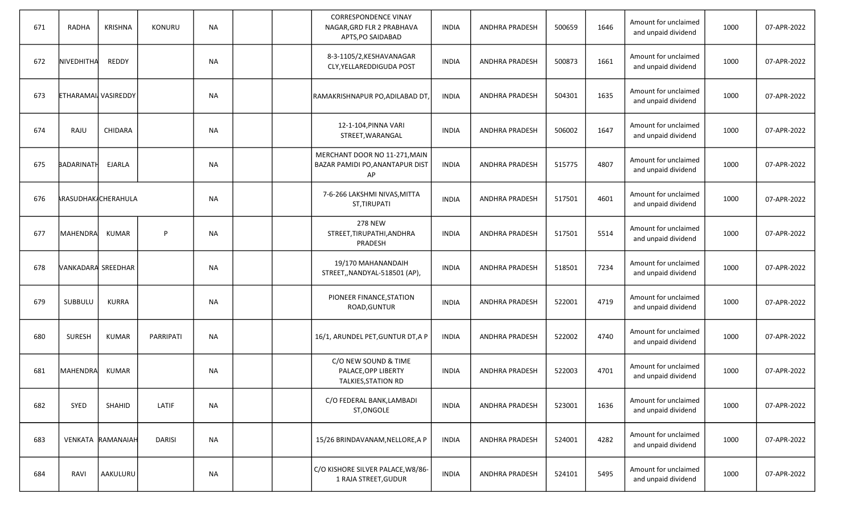| 671 | <b>RADHA</b>               | KRISHNA                    | <b>KONURU</b> | <b>NA</b> |  | <b>CORRESPONDENCE VINAY</b><br>NAGAR, GRD FLR 2 PRABHAVA<br>APTS, PO SAIDABAD | <b>INDIA</b> | <b>ANDHRA PRADESH</b> | 500659 | 1646 | Amount for unclaimed<br>and unpaid dividend | 1000 | 07-APR-2022 |
|-----|----------------------------|----------------------------|---------------|-----------|--|-------------------------------------------------------------------------------|--------------|-----------------------|--------|------|---------------------------------------------|------|-------------|
| 672 | NIVEDHITHA                 | REDDY                      |               | NA        |  | 8-3-1105/2, KESHAVANAGAR<br>CLY, YELLAREDDIGUDA POST                          | <b>INDIA</b> | <b>ANDHRA PRADESH</b> | 500873 | 1661 | Amount for unclaimed<br>and unpaid dividend | 1000 | 07-APR-2022 |
| 673 | <b>ETHARAMAI</b> VASIREDDY |                            |               | <b>NA</b> |  | RAMAKRISHNAPUR PO, ADILABAD DT,                                               | <b>INDIA</b> | ANDHRA PRADESH        | 504301 | 1635 | Amount for unclaimed<br>and unpaid dividend | 1000 | 07-APR-2022 |
| 674 | RAJU                       | <b>CHIDARA</b>             |               | <b>NA</b> |  | 12-1-104, PINNA VARI<br>STREET, WARANGAL                                      | <b>INDIA</b> | <b>ANDHRA PRADESH</b> | 506002 | 1647 | Amount for unclaimed<br>and unpaid dividend | 1000 | 07-APR-2022 |
| 675 | <b>BADARINATH</b>          | EJARLA                     |               | <b>NA</b> |  | MERCHANT DOOR NO 11-271, MAIN<br>BAZAR PAMIDI PO, ANANTAPUR DIST<br>AP        | <b>INDIA</b> | <b>ANDHRA PRADESH</b> | 515775 | 4807 | Amount for unclaimed<br>and unpaid dividend | 1000 | 07-APR-2022 |
| 676 |                            | <b>ARASUDHAK CHERAHULA</b> |               | <b>NA</b> |  | 7-6-266 LAKSHMI NIVAS, MITTA<br>ST, TIRUPATI                                  | <b>INDIA</b> | <b>ANDHRA PRADESH</b> | 517501 | 4601 | Amount for unclaimed<br>and unpaid dividend | 1000 | 07-APR-2022 |
| 677 | <b>MAHENDRA</b>            | <b>KUMAR</b>               | P             | NA        |  | <b>278 NEW</b><br>STREET, TIRUPATHI, ANDHRA<br>PRADESH                        | <b>INDIA</b> | <b>ANDHRA PRADESH</b> | 517501 | 5514 | Amount for unclaimed<br>and unpaid dividend | 1000 | 07-APR-2022 |
| 678 | <b>VANKADARA SREEDHAR</b>  |                            |               | <b>NA</b> |  | 19/170 MAHANANDAIH<br>STREET,, NANDYAL-518501 (AP),                           | <b>INDIA</b> | ANDHRA PRADESH        | 518501 | 7234 | Amount for unclaimed<br>and unpaid dividend | 1000 | 07-APR-2022 |
| 679 | SUBBULU                    | <b>KURRA</b>               |               | <b>NA</b> |  | PIONEER FINANCE, STATION<br>ROAD, GUNTUR                                      | <b>INDIA</b> | <b>ANDHRA PRADESH</b> | 522001 | 4719 | Amount for unclaimed<br>and unpaid dividend | 1000 | 07-APR-2022 |
| 680 | <b>SURESH</b>              | <b>KUMAR</b>               | PARRIPATI     | <b>NA</b> |  | 16/1, ARUNDEL PET, GUNTUR DT, A P                                             | <b>INDIA</b> | <b>ANDHRA PRADESH</b> | 522002 | 4740 | Amount for unclaimed<br>and unpaid dividend | 1000 | 07-APR-2022 |
| 681 | IMAHENDRAI                 | <b>KUMAR</b>               |               | <b>NA</b> |  | C/O NEW SOUND & TIME<br>PALACE, OPP LIBERTY<br>TALKIES, STATION RD            | <b>INDIA</b> | ANDHRA PRADESH        | 522003 | 4701 | Amount for unclaimed<br>and unpaid dividend | 1000 | 07-APR-2022 |
| 682 | SYED                       | SHAHID                     | LATIF         | <b>NA</b> |  | C/O FEDERAL BANK, LAMBADI<br>ST, ONGOLE                                       | <b>INDIA</b> | <b>ANDHRA PRADESH</b> | 523001 | 1636 | Amount for unclaimed<br>and unpaid dividend | 1000 | 07-APR-2022 |
| 683 |                            | VENKATA RAMANAIAH          | <b>DARISI</b> | <b>NA</b> |  | 15/26 BRINDAVANAM, NELLORE, A P                                               | <b>INDIA</b> | ANDHRA PRADESH        | 524001 | 4282 | Amount for unclaimed<br>and unpaid dividend | 1000 | 07-APR-2022 |
| 684 | RAVI                       | AAKULURU                   |               | <b>NA</b> |  | C/O KISHORE SILVER PALACE, W8/86-<br>1 RAJA STREET, GUDUR                     | <b>INDIA</b> | ANDHRA PRADESH        | 524101 | 5495 | Amount for unclaimed<br>and unpaid dividend | 1000 | 07-APR-2022 |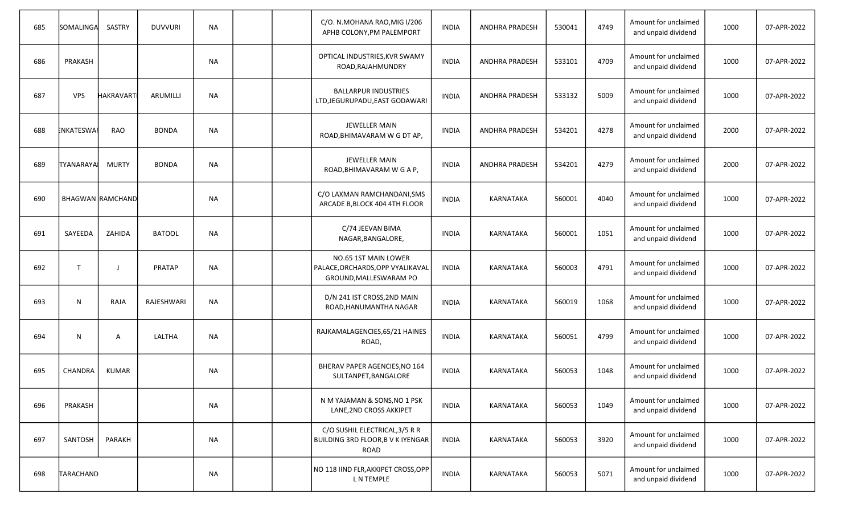| 685 | SOMALINGA         | SASTRY                  | <b>DUVVURI</b>    | <b>NA</b> |  | C/O. N.MOHANA RAO, MIG I/206<br>APHB COLONY, PM PALEMPORT                          | <b>INDIA</b> | <b>ANDHRA PRADESH</b> | 530041 | 4749 | Amount for unclaimed<br>and unpaid dividend | 1000 | 07-APR-2022 |
|-----|-------------------|-------------------------|-------------------|-----------|--|------------------------------------------------------------------------------------|--------------|-----------------------|--------|------|---------------------------------------------|------|-------------|
| 686 | PRAKASH           |                         |                   | NА        |  | OPTICAL INDUSTRIES, KVR SWAMY<br>ROAD, RAJAHMUNDRY                                 | <b>INDIA</b> | <b>ANDHRA PRADESH</b> | 533101 | 4709 | Amount for unclaimed<br>and unpaid dividend | 1000 | 07-APR-2022 |
| 687 | <b>VPS</b>        | <b>HAKRAVART</b>        | ARUMILLI          | <b>NA</b> |  | <b>BALLARPUR INDUSTRIES</b><br>LTD, JEGURUPADU, EAST GODAWARI                      | <b>INDIA</b> | <b>ANDHRA PRADESH</b> | 533132 | 5009 | Amount for unclaimed<br>and unpaid dividend | 1000 | 07-APR-2022 |
| 688 | <b>ENKATESWAI</b> | <b>RAO</b>              | <b>BONDA</b>      | <b>NA</b> |  | <b>JEWELLER MAIN</b><br>ROAD, BHIMAVARAM W G DT AP,                                | <b>INDIA</b> | <b>ANDHRA PRADESH</b> | 534201 | 4278 | Amount for unclaimed<br>and unpaid dividend | 2000 | 07-APR-2022 |
| 689 | <b>TYANARAYA</b>  | <b>MURTY</b>            | <b>BONDA</b>      | <b>NA</b> |  | <b>JEWELLER MAIN</b><br>ROAD, BHIMAVARAM W G A P,                                  | <b>INDIA</b> | ANDHRA PRADESH        | 534201 | 4279 | Amount for unclaimed<br>and unpaid dividend | 2000 | 07-APR-2022 |
| 690 |                   | <b>BHAGWAN RAMCHAND</b> |                   | <b>NA</b> |  | C/O LAXMAN RAMCHANDANI, SMS<br>ARCADE B, BLOCK 404 4TH FLOOR                       | <b>INDIA</b> | KARNATAKA             | 560001 | 4040 | Amount for unclaimed<br>and unpaid dividend | 1000 | 07-APR-2022 |
| 691 | SAYEEDA           | ZAHIDA                  | <b>BATOOL</b>     | <b>NA</b> |  | C/74 JEEVAN BIMA<br>NAGAR, BANGALORE,                                              | <b>INDIA</b> | KARNATAKA             | 560001 | 1051 | Amount for unclaimed<br>and unpaid dividend | 1000 | 07-APR-2022 |
| 692 | $\mathsf{T}$      | $\blacksquare$          | <b>PRATAP</b>     | <b>NA</b> |  | NO.65 1ST MAIN LOWER<br>PALACE, ORCHARDS, OPP VYALIKAVAL<br>GROUND, MALLESWARAM PO | <b>INDIA</b> | <b>KARNATAKA</b>      | 560003 | 4791 | Amount for unclaimed<br>and unpaid dividend | 1000 | 07-APR-2022 |
| 693 | N                 | RAJA                    | <b>RAJESHWARI</b> | <b>NA</b> |  | D/N 241 IST CROSS, 2ND MAIN<br>ROAD, HANUMANTHA NAGAR                              | <b>INDIA</b> | KARNATAKA             | 560019 | 1068 | Amount for unclaimed<br>and unpaid dividend | 1000 | 07-APR-2022 |
| 694 | N                 | A                       | LALTHA            | <b>NA</b> |  | RAJKAMALAGENCIES, 65/21 HAINES<br>ROAD,                                            | <b>INDIA</b> | KARNATAKA             | 560051 | 4799 | Amount for unclaimed<br>and unpaid dividend | 1000 | 07-APR-2022 |
| 695 | <b>CHANDRA</b>    | <b>KUMAR</b>            |                   | NА        |  | BHERAV PAPER AGENCIES, NO 164<br>SULTANPET, BANGALORE                              | <b>INDIA</b> | KARNATAKA             | 560053 | 1048 | Amount for unclaimed<br>and unpaid dividend | 1000 | 07-APR-2022 |
| 696 | PRAKASH           |                         |                   | <b>NA</b> |  | N M YAJAMAN & SONS, NO 1 PSK<br>LANE, 2ND CROSS AKKIPET                            | <b>INDIA</b> | <b>KARNATAKA</b>      | 560053 | 1049 | Amount for unclaimed<br>and unpaid dividend | 1000 | 07-APR-2022 |
| 697 | SANTOSH           | PARAKH                  |                   | <b>NA</b> |  | C/O SUSHIL ELECTRICAL, 3/5 R R<br>BUILDING 3RD FLOOR, B V K IYENGAR<br>ROAD        | <b>INDIA</b> | KARNATAKA             | 560053 | 3920 | Amount for unclaimed<br>and unpaid dividend | 1000 | 07-APR-2022 |
| 698 | TARACHAND         |                         |                   | <b>NA</b> |  | NO 118 IIND FLR,AKKIPET CROSS,OPP<br>L N TEMPLE                                    | <b>INDIA</b> | <b>KARNATAKA</b>      | 560053 | 5071 | Amount for unclaimed<br>and unpaid dividend | 1000 | 07-APR-2022 |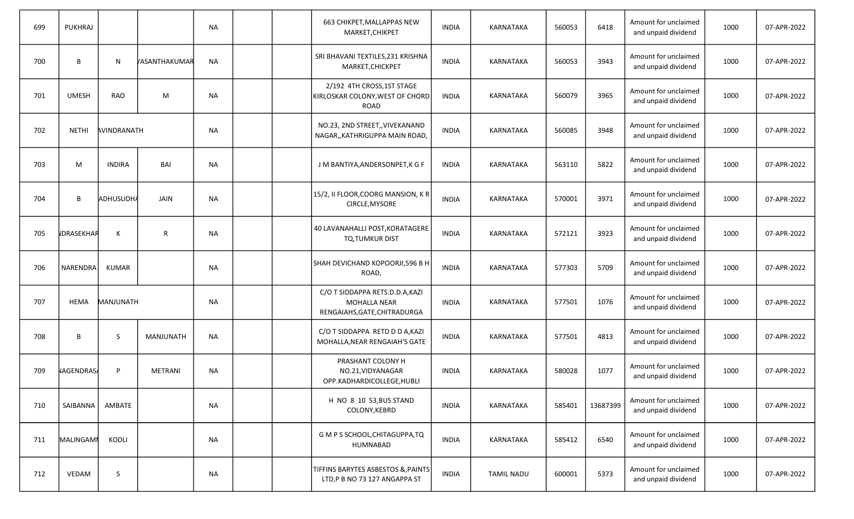| 699 | PUKHRAJ           |               |                | <b>NA</b> |  | 663 CHIKPET, MALLAPPAS NEW<br>MARKET, CHIKPET                                          | <b>INDIA</b> | KARNATAKA         | 560053 | 6418     | Amount for unclaimed<br>and unpaid dividend | 1000 | 07-APR-2022 |
|-----|-------------------|---------------|----------------|-----------|--|----------------------------------------------------------------------------------------|--------------|-------------------|--------|----------|---------------------------------------------|------|-------------|
| 700 | B                 | N             | VASANTHAKUMAR  | <b>NA</b> |  | SRI BHAVANI TEXTILES, 231 KRISHNA<br>MARKET, CHICKPET                                  | <b>INDIA</b> | KARNATAKA         | 560053 | 3943     | Amount for unclaimed<br>and unpaid dividend | 1000 | 07-APR-2022 |
| 701 | <b>UMESH</b>      | <b>RAO</b>    | M              | <b>NA</b> |  | 2/192 4TH CROSS, 1ST STAGE<br>KIRLOSKAR COLONY, WEST OF CHORD<br><b>ROAD</b>           | <b>INDIA</b> | KARNATAKA         | 560079 | 3965     | Amount for unclaimed<br>and unpaid dividend | 1000 | 07-APR-2022 |
| 702 | <b>NETHI</b>      | AVINDRANATH   |                | <b>NA</b> |  | NO.23, 2ND STREET,, VIVEKANAND<br>NAGAR,, KATHRIGUPPA MAIN ROAD,                       | <b>INDIA</b> | KARNATAKA         | 560085 | 3948     | Amount for unclaimed<br>and unpaid dividend | 1000 | 07-APR-2022 |
| 703 | M                 | <b>INDIRA</b> | BAI            | <b>NA</b> |  | J M BANTIYA, ANDERSONPET, K G F                                                        | <b>INDIA</b> | KARNATAKA         | 563110 | 5822     | Amount for unclaimed<br>and unpaid dividend | 1000 | 07-APR-2022 |
| 704 | B                 | ADHUSUDH/     | JAIN           | <b>NA</b> |  | 15/2, II FLOOR, COORG MANSION, KR<br>CIRCLE, MYSORE                                    | <b>INDIA</b> | KARNATAKA         | 570001 | 3971     | Amount for unclaimed<br>and unpaid dividend | 1000 | 07-APR-2022 |
| 705 | <b>IDRASEKHAR</b> | Κ             | $\mathsf{R}$   | ΝA        |  | 40 LAVANAHALLI POST, KORATAGERE<br>TQ,TUMKUR DIST                                      | <b>INDIA</b> | KARNATAKA         | 572121 | 3923     | Amount for unclaimed<br>and unpaid dividend | 1000 | 07-APR-2022 |
| 706 | NARENDRA          | <b>KUMAR</b>  |                | <b>NA</b> |  | SHAH DEVICHAND KOPOORJI,596 B H<br>ROAD,                                               | <b>INDIA</b> | <b>KARNATAKA</b>  | 577303 | 5709     | Amount for unclaimed<br>and unpaid dividend | 1000 | 07-APR-2022 |
| 707 | <b>HEMA</b>       | MANJUNATH     |                | <b>NA</b> |  | C/O T SIDDAPPA RETS.D.D.A, KAZI<br><b>MOHALLA NEAR</b><br>RENGAIAHS, GATE, CHITRADURGA | <b>INDIA</b> | <b>KARNATAKA</b>  | 577501 | 1076     | Amount for unclaimed<br>and unpaid dividend | 1000 | 07-APR-2022 |
| 708 | B                 | <sub>S</sub>  | MANJUNATH      | <b>NA</b> |  | C/O T SIDDAPPA RETD D D A, KAZI<br>MOHALLA, NEAR RENGAIAH'S GATE                       | <b>INDIA</b> | KARNATAKA         | 577501 | 4813     | Amount for unclaimed<br>and unpaid dividend | 1000 | 07-APR-2022 |
| 709 | NAGENDRAS/        | P             | <b>METRANI</b> | <b>NA</b> |  | PRASHANT COLONY H<br>NO.21, VIDYANAGAR<br>OPP.KADHARDICOLLEGE, HUBLI                   | <b>INDIA</b> | KARNATAKA         | 580028 | 1077     | Amount for unclaimed<br>and unpaid dividend | 1000 | 07-APR-2022 |
| 710 | SAIBANNA          | AMBATE        |                | <b>NA</b> |  | H NO 8 10 53, BUS STAND<br>COLONY, KEBRD                                               | <b>INDIA</b> | <b>KARNATAKA</b>  | 585401 | 13687399 | Amount for unclaimed<br>and unpaid dividend | 1000 | 07-APR-2022 |
| 711 | MALINGAMI         | KODLI         |                | <b>NA</b> |  | G M P S SCHOOL, CHITAGUPPA, TQ<br>HUMNABAD                                             | <b>INDIA</b> | KARNATAKA         | 585412 | 6540     | Amount for unclaimed<br>and unpaid dividend | 1000 | 07-APR-2022 |
| 712 | VEDAM             | S             |                | <b>NA</b> |  | TIFFINS BARYTES ASBESTOS & PAINTS<br>LTD,P B NO 73 127 ANGAPPA ST                      | <b>INDIA</b> | <b>TAMIL NADU</b> | 600001 | 5373     | Amount for unclaimed<br>and unpaid dividend | 1000 | 07-APR-2022 |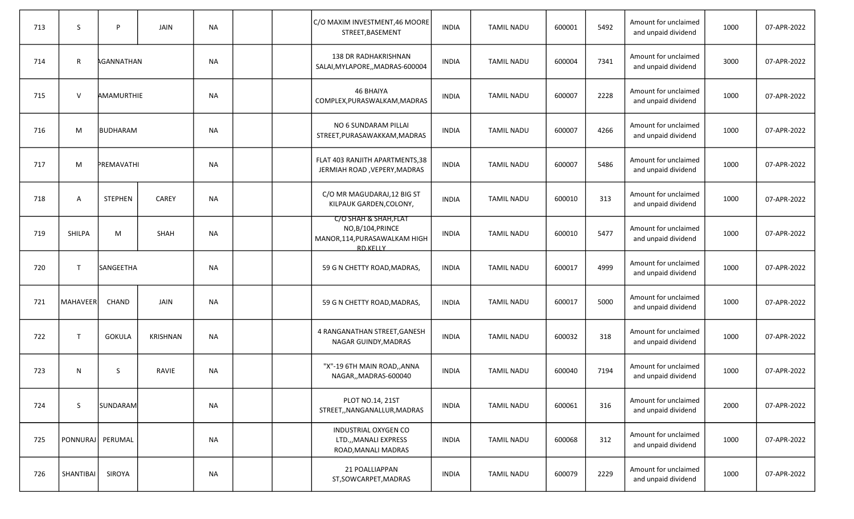| 713 | S                | P               | <b>JAIN</b>     | <b>NA</b> |  | C/O MAXIM INVESTMENT, 46 MOORE<br>STREET, BASEMENT                                            | <b>INDIA</b> | <b>TAMIL NADU</b> | 600001 | 5492 | Amount for unclaimed<br>and unpaid dividend | 1000 | 07-APR-2022 |
|-----|------------------|-----------------|-----------------|-----------|--|-----------------------------------------------------------------------------------------------|--------------|-------------------|--------|------|---------------------------------------------|------|-------------|
| 714 | R                | AGANNATHAN      |                 | <b>NA</b> |  | 138 DR RADHAKRISHNAN<br>SALAI, MYLAPORE, , MADRAS-600004                                      | <b>INDIA</b> | <b>TAMIL NADU</b> | 600004 | 7341 | Amount for unclaimed<br>and unpaid dividend | 3000 | 07-APR-2022 |
| 715 | $\vee$           | AMAMURTHIE      |                 | <b>NA</b> |  | <b>46 BHAIYA</b><br>COMPLEX, PURASWALKAM, MADRAS                                              | <b>INDIA</b> | <b>TAMIL NADU</b> | 600007 | 2228 | Amount for unclaimed<br>and unpaid dividend | 1000 | 07-APR-2022 |
| 716 | M                | <b>BUDHARAM</b> |                 | <b>NA</b> |  | NO 6 SUNDARAM PILLAI<br>STREET, PURASAWAKKAM, MADRAS                                          | <b>INDIA</b> | <b>TAMIL NADU</b> | 600007 | 4266 | Amount for unclaimed<br>and unpaid dividend | 1000 | 07-APR-2022 |
| 717 | M                | PREMAVATHI      |                 | <b>NA</b> |  | FLAT 403 RANJITH APARTMENTS, 38<br>JERMIAH ROAD, VEPERY, MADRAS                               | <b>INDIA</b> | <b>TAMIL NADU</b> | 600007 | 5486 | Amount for unclaimed<br>and unpaid dividend | 1000 | 07-APR-2022 |
| 718 | Α                | <b>STEPHEN</b>  | <b>CAREY</b>    | <b>NA</b> |  | C/O MR MAGUDARAJ, 12 BIG ST<br>KILPAUK GARDEN, COLONY,                                        | <b>INDIA</b> | <b>TAMIL NADU</b> | 600010 | 313  | Amount for unclaimed<br>and unpaid dividend | 1000 | 07-APR-2022 |
| 719 | SHILPA           | M               | <b>SHAH</b>     | <b>NA</b> |  | C/O SHAH & SHAH, FLAT<br>NO,B/104, PRINCE<br>MANOR, 114, PURASAWALKAM HIGH<br><b>RD KFLLY</b> | <b>INDIA</b> | <b>TAMIL NADU</b> | 600010 | 5477 | Amount for unclaimed<br>and unpaid dividend | 1000 | 07-APR-2022 |
| 720 | $\mathsf{T}$     | SANGEETHA       |                 | <b>NA</b> |  | 59 G N CHETTY ROAD, MADRAS,                                                                   | <b>INDIA</b> | <b>TAMIL NADU</b> | 600017 | 4999 | Amount for unclaimed<br>and unpaid dividend | 1000 | 07-APR-2022 |
| 721 | <b>MAHAVEER</b>  | <b>CHAND</b>    | <b>JAIN</b>     | <b>NA</b> |  | 59 G N CHETTY ROAD, MADRAS,                                                                   | <b>INDIA</b> | <b>TAMIL NADU</b> | 600017 | 5000 | Amount for unclaimed<br>and unpaid dividend | 1000 | 07-APR-2022 |
| 722 | $\mathsf{T}$     | <b>GOKULA</b>   | <b>KRISHNAN</b> | <b>NA</b> |  | 4 RANGANATHAN STREET, GANESH<br>NAGAR GUINDY, MADRAS                                          | <b>INDIA</b> | <b>TAMIL NADU</b> | 600032 | 318  | Amount for unclaimed<br>and unpaid dividend | 1000 | 07-APR-2022 |
| 723 | N                | S               | RAVIE           | <b>NA</b> |  | "X"-19 6TH MAIN ROAD,, ANNA<br>NAGAR,, MADRAS-600040                                          | <b>INDIA</b> | <b>TAMIL NADU</b> | 600040 | 7194 | Amount for unclaimed<br>and unpaid dividend | 1000 | 07-APR-2022 |
| 724 | S                | <b>SUNDARAM</b> |                 | <b>NA</b> |  | PLOT NO.14, 21ST<br>STREET,, NANGANALLUR, MADRAS                                              | <b>INDIA</b> | <b>TAMIL NADU</b> | 600061 | 316  | Amount for unclaimed<br>and unpaid dividend | 2000 | 07-APR-2022 |
| 725 | PONNURAJ PERUMAL |                 |                 | <b>NA</b> |  | INDUSTRIAL OXYGEN CO<br>LTD.,, MANALI EXPRESS<br>ROAD, MANALI MADRAS                          | <b>INDIA</b> | <b>TAMIL NADU</b> | 600068 | 312  | Amount for unclaimed<br>and unpaid dividend | 1000 | 07-APR-2022 |
| 726 | SHANTIBAI        | SIROYA          |                 | <b>NA</b> |  | 21 POALLIAPPAN<br>ST, SOWCARPET, MADRAS                                                       | INDIA        | <b>TAMIL NADU</b> | 600079 | 2229 | Amount for unclaimed<br>and unpaid dividend | 1000 | 07-APR-2022 |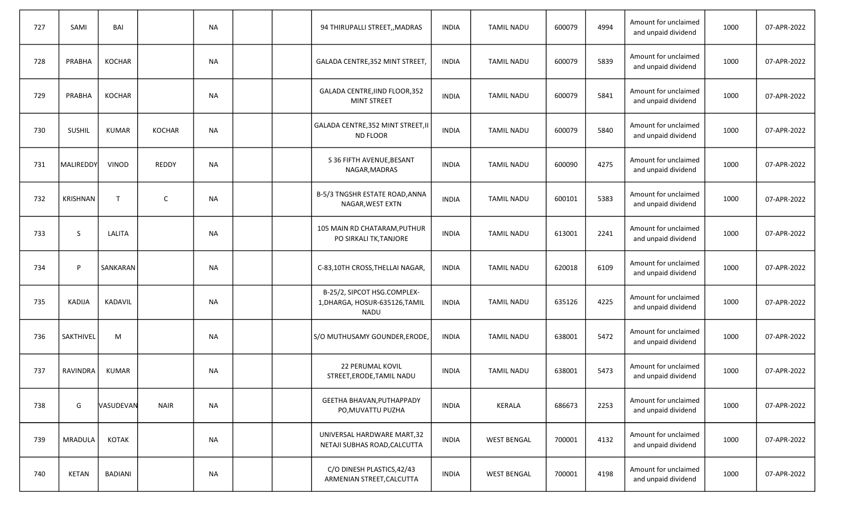| 727 | SAMI            | BAI          |               | <b>NA</b> |  | 94 THIRUPALLI STREET,, MADRAS                                                | <b>INDIA</b> | <b>TAMIL NADU</b>  | 600079 | 4994 | Amount for unclaimed<br>and unpaid dividend | 1000 | 07-APR-2022 |
|-----|-----------------|--------------|---------------|-----------|--|------------------------------------------------------------------------------|--------------|--------------------|--------|------|---------------------------------------------|------|-------------|
| 728 | PRABHA          | KOCHAR       |               | <b>NA</b> |  | GALADA CENTRE, 352 MINT STREET                                               | <b>INDIA</b> | <b>TAMIL NADU</b>  | 600079 | 5839 | Amount for unclaimed<br>and unpaid dividend | 1000 | 07-APR-2022 |
| 729 | PRABHA          | KOCHAR       |               | NА        |  | GALADA CENTRE, IIND FLOOR, 352<br>MINT STREET                                | <b>INDIA</b> | <b>TAMIL NADU</b>  | 600079 | 5841 | Amount for unclaimed<br>and unpaid dividend | 1000 | 07-APR-2022 |
| 730 | <b>SUSHIL</b>   | <b>KUMAR</b> | <b>KOCHAR</b> | <b>NA</b> |  | GALADA CENTRE, 352 MINT STREET, II<br>ND FLOOR                               | <b>INDIA</b> | <b>TAMIL NADU</b>  | 600079 | 5840 | Amount for unclaimed<br>and unpaid dividend | 1000 | 07-APR-2022 |
| 731 | MALIREDDY       | <b>VINOD</b> | <b>REDDY</b>  | <b>NA</b> |  | S 36 FIFTH AVENUE, BESANT<br>NAGAR, MADRAS                                   | INDIA        | <b>TAMIL NADU</b>  | 600090 | 4275 | Amount for unclaimed<br>and unpaid dividend | 1000 | 07-APR-2022 |
| 732 | <b>KRISHNAN</b> | T            | $\mathsf{C}$  | <b>NA</b> |  | B-5/3 TNGSHR ESTATE ROAD, ANNA<br>NAGAR, WEST EXTN                           | <b>INDIA</b> | <b>TAMIL NADU</b>  | 600101 | 5383 | Amount for unclaimed<br>and unpaid dividend | 1000 | 07-APR-2022 |
| 733 | S               | LALITA       |               | <b>NA</b> |  | 105 MAIN RD CHATARAM, PUTHUR<br>PO SIRKALI TK, TANJORE                       | <b>INDIA</b> | <b>TAMIL NADU</b>  | 613001 | 2241 | Amount for unclaimed<br>and unpaid dividend | 1000 | 07-APR-2022 |
| 734 | P               | SANKARAN     |               | <b>NA</b> |  | C-83,10TH CROSS, THELLAI NAGAR,                                              | <b>INDIA</b> | <b>TAMIL NADU</b>  | 620018 | 6109 | Amount for unclaimed<br>and unpaid dividend | 1000 | 07-APR-2022 |
| 735 | <b>KADIJA</b>   | KADAVIL      |               | <b>NA</b> |  | B-25/2, SIPCOT HSG.COMPLEX-<br>1, DHARGA, HOSUR-635126, TAMIL<br><b>NADU</b> | <b>INDIA</b> | <b>TAMIL NADU</b>  | 635126 | 4225 | Amount for unclaimed<br>and unpaid dividend | 1000 | 07-APR-2022 |
| 736 | SAKTHIVEL       | M            |               | <b>NA</b> |  | S/O MUTHUSAMY GOUNDER, ERODE,                                                | <b>INDIA</b> | <b>TAMIL NADU</b>  | 638001 | 5472 | Amount for unclaimed<br>and unpaid dividend | 1000 | 07-APR-2022 |
| 737 | <b>RAVINDRA</b> | <b>KUMAR</b> |               | NA        |  | <b>22 PERUMAL KOVIL</b><br>STREET, ERODE, TAMIL NADU                         | <b>INDIA</b> | <b>TAMIL NADU</b>  | 638001 | 5473 | Amount for unclaimed<br>and unpaid dividend | 1000 | 07-APR-2022 |
| 738 | G               | VASUDEVAN    | <b>NAIR</b>   | <b>NA</b> |  | GEETHA BHAVAN, PUTHAPPADY<br>PO, MUVATTU PUZHA                               | <b>INDIA</b> | <b>KERALA</b>      | 686673 | 2253 | Amount for unclaimed<br>and unpaid dividend | 1000 | 07-APR-2022 |
| 739 | MRADULA         | KOTAK        |               | <b>NA</b> |  | UNIVERSAL HARDWARE MART, 32<br>NETAJI SUBHAS ROAD, CALCUTTA                  | <b>INDIA</b> | <b>WEST BENGAL</b> | 700001 | 4132 | Amount for unclaimed<br>and unpaid dividend | 1000 | 07-APR-2022 |
| 740 | KETAN           | BADIANI      |               | <b>NA</b> |  | C/O DINESH PLASTICS, 42/43<br>ARMENIAN STREET, CALCUTTA                      | INDIA        | <b>WEST BENGAL</b> | 700001 | 4198 | Amount for unclaimed<br>and unpaid dividend | 1000 | 07-APR-2022 |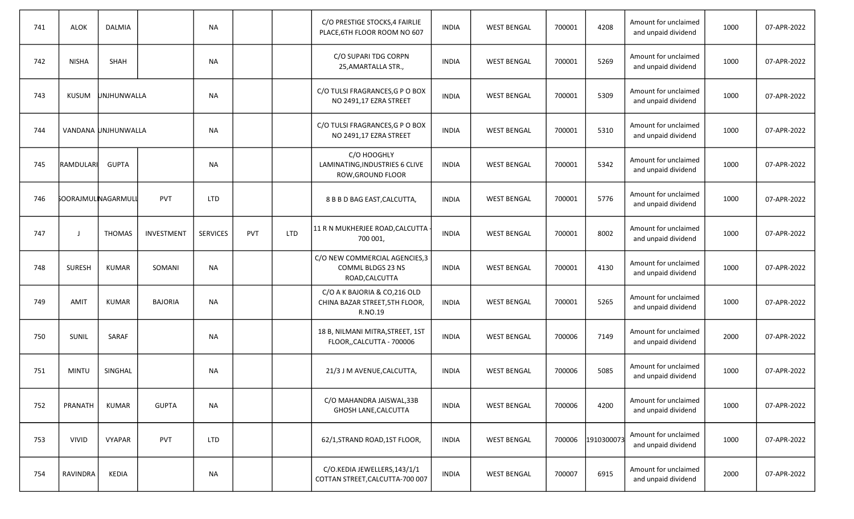| 741 | <b>ALOK</b>                | <b>DALMIA</b>       |                | <b>NA</b>       |            |            | C/O PRESTIGE STOCKS, 4 FAIRLIE<br>PLACE, 6TH FLOOR ROOM NO 607             | <b>INDIA</b> | <b>WEST BENGAL</b> | 700001 | 4208       | Amount for unclaimed<br>and unpaid dividend | 1000 | 07-APR-2022 |
|-----|----------------------------|---------------------|----------------|-----------------|------------|------------|----------------------------------------------------------------------------|--------------|--------------------|--------|------------|---------------------------------------------|------|-------------|
| 742 | <b>NISHA</b>               | <b>SHAH</b>         |                | NА              |            |            | C/O SUPARI TDG CORPN<br>25, AMARTALLA STR.,                                | <b>INDIA</b> | <b>WEST BENGAL</b> | 700001 | 5269       | Amount for unclaimed<br>and unpaid dividend | 1000 | 07-APR-2022 |
| 743 | <b>KUSUM</b>               | UNJHUNWALLA         |                | <b>NA</b>       |            |            | C/O TULSI FRAGRANCES, G P O BOX<br>NO 2491,17 EZRA STREET                  | <b>INDIA</b> | <b>WEST BENGAL</b> | 700001 | 5309       | Amount for unclaimed<br>and unpaid dividend | 1000 | 07-APR-2022 |
| 744 |                            | VANDANA UNJHUNWALLA |                | <b>NA</b>       |            |            | C/O TULSI FRAGRANCES, G P O BOX<br>NO 2491,17 EZRA STREET                  | <b>INDIA</b> | <b>WEST BENGAL</b> | 700001 | 5310       | Amount for unclaimed<br>and unpaid dividend | 1000 | 07-APR-2022 |
| 745 | RAMDULARI                  | <b>GUPTA</b>        |                | <b>NA</b>       |            |            | C/O HOOGHLY<br>LAMINATING, INDUSTRIES 6 CLIVE<br>ROW, GROUND FLOOR         | <b>INDIA</b> | <b>WEST BENGAL</b> | 700001 | 5342       | Amount for unclaimed<br>and unpaid dividend | 1000 | 07-APR-2022 |
| 746 | <b>SOORAJMULINAGARMULI</b> |                     | <b>PVT</b>     | <b>LTD</b>      |            |            | 8 B B D BAG EAST, CALCUTTA,                                                | <b>INDIA</b> | <b>WEST BENGAL</b> | 700001 | 5776       | Amount for unclaimed<br>and unpaid dividend | 1000 | 07-APR-2022 |
| 747 | $\mathbf{J}$               | <b>THOMAS</b>       | INVESTMENT     | <b>SERVICES</b> | <b>PVT</b> | <b>LTD</b> | 11 R N MUKHERJEE ROAD, CALCUTTA ·<br>700 001,                              | <b>INDIA</b> | <b>WEST BENGAL</b> | 700001 | 8002       | Amount for unclaimed<br>and unpaid dividend | 1000 | 07-APR-2022 |
| 748 | <b>SURESH</b>              | <b>KUMAR</b>        | SOMANI         | <b>NA</b>       |            |            | C/O NEW COMMERCIAL AGENCIES,3<br>COMML BLDGS 23 NS<br>ROAD, CALCUTTA       | <b>INDIA</b> | <b>WEST BENGAL</b> | 700001 | 4130       | Amount for unclaimed<br>and unpaid dividend | 1000 | 07-APR-2022 |
| 749 | AMIT                       | <b>KUMAR</b>        | <b>BAJORIA</b> | <b>NA</b>       |            |            | C/O A K BAJORIA & CO, 216 OLD<br>CHINA BAZAR STREET, 5TH FLOOR,<br>R.NO.19 | <b>INDIA</b> | <b>WEST BENGAL</b> | 700001 | 5265       | Amount for unclaimed<br>and unpaid dividend | 1000 | 07-APR-2022 |
| 750 | SUNIL                      | SARAF               |                | <b>NA</b>       |            |            | 18 B, NILMANI MITRA, STREET, 1ST<br>FLOOR, CALCUTTA - 700006               | <b>INDIA</b> | <b>WEST BENGAL</b> | 700006 | 7149       | Amount for unclaimed<br>and unpaid dividend | 2000 | 07-APR-2022 |
| 751 | <b>MINTU</b>               | SINGHAL             |                | NА              |            |            | 21/3 J M AVENUE, CALCUTTA,                                                 | <b>INDIA</b> | <b>WEST BENGAL</b> | 700006 | 5085       | Amount for unclaimed<br>and unpaid dividend | 1000 | 07-APR-2022 |
| 752 | PRANATH                    | <b>KUMAR</b>        | <b>GUPTA</b>   | $\sf NA$        |            |            | C/O MAHANDRA JAISWAL, 33B<br>GHOSH LANE, CALCUTTA                          | <b>INDIA</b> | <b>WEST BENGAL</b> | 700006 | 4200       | Amount for unclaimed<br>and unpaid dividend | 1000 | 07-APR-2022 |
| 753 | <b>VIVID</b>               | <b>VYAPAR</b>       | <b>PVT</b>     | <b>LTD</b>      |            |            | 62/1, STRAND ROAD, 1ST FLOOR,                                              | <b>INDIA</b> | <b>WEST BENGAL</b> | 700006 | 1910300073 | Amount for unclaimed<br>and unpaid dividend | 1000 | 07-APR-2022 |
| 754 | RAVINDRA                   | <b>KEDIA</b>        |                | <b>NA</b>       |            |            | C/O.KEDIA JEWELLERS, 143/1/1<br>COTTAN STREET, CALCUTTA-700 007            | <b>INDIA</b> | <b>WEST BENGAL</b> | 700007 | 6915       | Amount for unclaimed<br>and unpaid dividend | 2000 | 07-APR-2022 |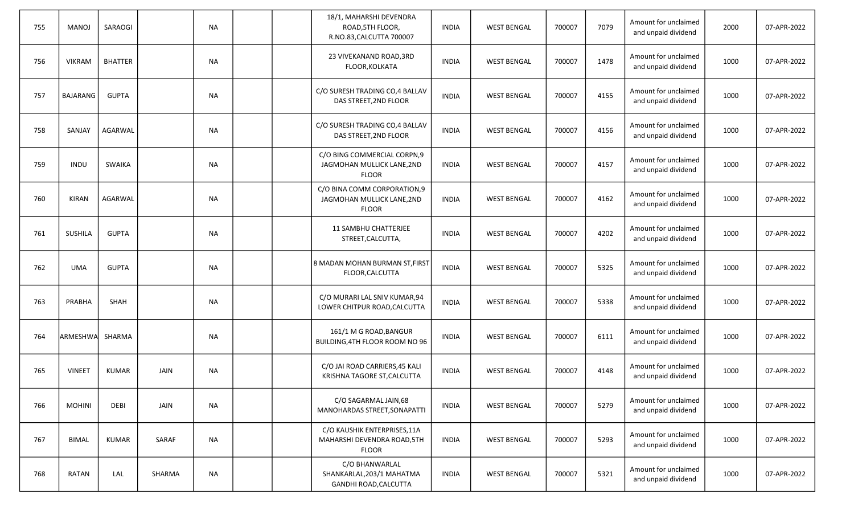| 755 | <b>MANOJ</b>    | SARAOGI        |             | <b>NA</b> |  | 18/1, MAHARSHI DEVENDRA<br>ROAD, 5TH FLOOR,<br>R.NO.83, CALCUTTA 700007     | <b>INDIA</b> | <b>WEST BENGAL</b> | 700007 | 7079 | Amount for unclaimed<br>and unpaid dividend | 2000 | 07-APR-2022 |
|-----|-----------------|----------------|-------------|-----------|--|-----------------------------------------------------------------------------|--------------|--------------------|--------|------|---------------------------------------------|------|-------------|
| 756 | <b>VIKRAM</b>   | <b>BHATTER</b> |             | <b>NA</b> |  | 23 VIVEKANAND ROAD, 3RD<br>FLOOR, KOLKATA                                   | <b>INDIA</b> | <b>WEST BENGAL</b> | 700007 | 1478 | Amount for unclaimed<br>and unpaid dividend | 1000 | 07-APR-2022 |
| 757 | BAJARANG        | <b>GUPTA</b>   |             | <b>NA</b> |  | C/O SURESH TRADING CO,4 BALLAV<br>DAS STREET, 2ND FLOOR                     | <b>INDIA</b> | <b>WEST BENGAL</b> | 700007 | 4155 | Amount for unclaimed<br>and unpaid dividend | 1000 | 07-APR-2022 |
| 758 | SANJAY          | AGARWAL        |             | <b>NA</b> |  | C/O SURESH TRADING CO,4 BALLAV<br>DAS STREET, 2ND FLOOR                     | <b>INDIA</b> | <b>WEST BENGAL</b> | 700007 | 4156 | Amount for unclaimed<br>and unpaid dividend | 1000 | 07-APR-2022 |
| 759 | INDU            | <b>SWAIKA</b>  |             | <b>NA</b> |  | C/O BING COMMERCIAL CORPN,9<br>JAGMOHAN MULLICK LANE, 2ND<br><b>FLOOR</b>   | <b>INDIA</b> | <b>WEST BENGAL</b> | 700007 | 4157 | Amount for unclaimed<br>and unpaid dividend | 1000 | 07-APR-2022 |
| 760 | <b>KIRAN</b>    | AGARWAL        |             | <b>NA</b> |  | C/O BINA COMM CORPORATION, 9<br>JAGMOHAN MULLICK LANE, 2ND<br><b>FLOOR</b>  | <b>INDIA</b> | <b>WEST BENGAL</b> | 700007 | 4162 | Amount for unclaimed<br>and unpaid dividend | 1000 | 07-APR-2022 |
| 761 | SUSHILA         | <b>GUPTA</b>   |             | <b>NA</b> |  | 11 SAMBHU CHATTERJEE<br>STREET, CALCUTTA,                                   | <b>INDIA</b> | <b>WEST BENGAL</b> | 700007 | 4202 | Amount for unclaimed<br>and unpaid dividend | 1000 | 07-APR-2022 |
| 762 | <b>UMA</b>      | <b>GUPTA</b>   |             | <b>NA</b> |  | 8 MADAN MOHAN BURMAN ST, FIRST<br>FLOOR, CALCUTTA                           | <b>INDIA</b> | <b>WEST BENGAL</b> | 700007 | 5325 | Amount for unclaimed<br>and unpaid dividend | 1000 | 07-APR-2022 |
| 763 | PRABHA          | <b>SHAH</b>    |             | <b>NA</b> |  | C/O MURARI LAL SNIV KUMAR,94<br>LOWER CHITPUR ROAD, CALCUTTA                | <b>INDIA</b> | <b>WEST BENGAL</b> | 700007 | 5338 | Amount for unclaimed<br>and unpaid dividend | 1000 | 07-APR-2022 |
| 764 | ARMESHWA SHARMA |                |             | <b>NA</b> |  | 161/1 M G ROAD, BANGUR<br>BUILDING, 4TH FLOOR ROOM NO 96                    | <b>INDIA</b> | <b>WEST BENGAL</b> | 700007 | 6111 | Amount for unclaimed<br>and unpaid dividend | 1000 | 07-APR-2022 |
| 765 | <b>VINEET</b>   | KUMAR          | <b>JAIN</b> | <b>NA</b> |  | C/O JAI ROAD CARRIERS, 45 KALI<br>KRISHNA TAGORE ST, CALCUTTA               | <b>INDIA</b> | <b>WEST BENGAL</b> | 700007 | 4148 | Amount for unclaimed<br>and unpaid dividend | 1000 | 07-APR-2022 |
| 766 | <b>MOHINI</b>   | <b>DEBI</b>    | <b>JAIN</b> | <b>NA</b> |  | C/O SAGARMAL JAIN, 68<br>MANOHARDAS STREET, SONAPATTI                       | <b>INDIA</b> | <b>WEST BENGAL</b> | 700007 | 5279 | Amount for unclaimed<br>and unpaid dividend | 1000 | 07-APR-2022 |
| 767 | <b>BIMAL</b>    | <b>KUMAR</b>   | SARAF       | <b>NA</b> |  | C/O KAUSHIK ENTERPRISES, 11A<br>MAHARSHI DEVENDRA ROAD, 5TH<br><b>FLOOR</b> | <b>INDIA</b> | <b>WEST BENGAL</b> | 700007 | 5293 | Amount for unclaimed<br>and unpaid dividend | 1000 | 07-APR-2022 |
| 768 | <b>RATAN</b>    | LAL            | SHARMA      | NA        |  | C/O BHANWARLAL<br>SHANKARLAL, 203/1 MAHATMA<br>GANDHI ROAD, CALCUTTA        | <b>INDIA</b> | <b>WEST BENGAL</b> | 700007 | 5321 | Amount for unclaimed<br>and unpaid dividend | 1000 | 07-APR-2022 |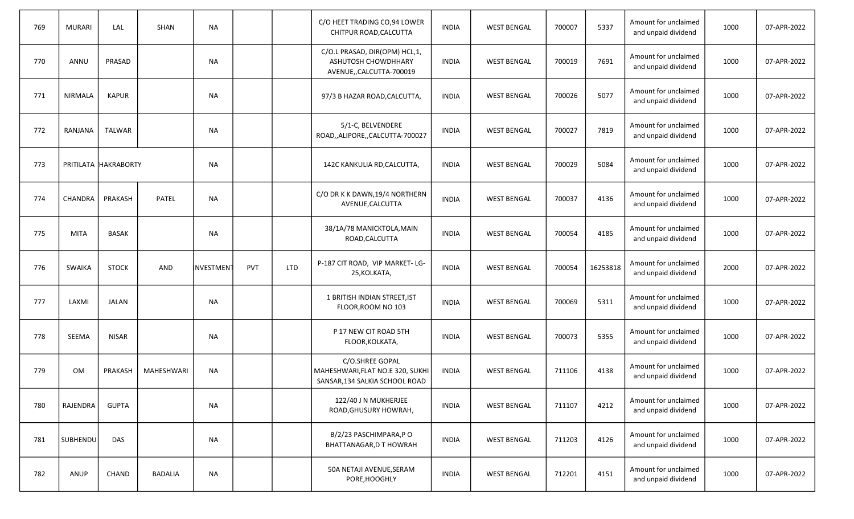| 769 | <b>MURARI</b>   | LAL                  | <b>SHAN</b>       | <b>NA</b>       |            |            | C/O HEET TRADING CO,94 LOWER<br>CHITPUR ROAD, CALCUTTA                                | <b>INDIA</b> | <b>WEST BENGAL</b> | 700007 | 5337     | Amount for unclaimed<br>and unpaid dividend | 1000 | 07-APR-2022 |
|-----|-----------------|----------------------|-------------------|-----------------|------------|------------|---------------------------------------------------------------------------------------|--------------|--------------------|--------|----------|---------------------------------------------|------|-------------|
| 770 | ANNU            | PRASAD               |                   | <b>NA</b>       |            |            | C/O.L PRASAD, DIR(OPM) HCL,1,<br>ASHUTOSH CHOWDHHARY<br>AVENUE,, CALCUTTA-700019      | <b>INDIA</b> | <b>WEST BENGAL</b> | 700019 | 7691     | Amount for unclaimed<br>and unpaid dividend | 1000 | 07-APR-2022 |
| 771 | NIRMALA         | <b>KAPUR</b>         |                   | <b>NA</b>       |            |            | 97/3 B HAZAR ROAD, CALCUTTA,                                                          | <b>INDIA</b> | <b>WEST BENGAL</b> | 700026 | 5077     | Amount for unclaimed<br>and unpaid dividend | 1000 | 07-APR-2022 |
| 772 | RANJANA         | <b>TALWAR</b>        |                   | <b>NA</b>       |            |            | 5/1-C, BELVENDERE<br>ROAD,,ALIPORE,,CALCUTTA-700027                                   | <b>INDIA</b> | <b>WEST BENGAL</b> | 700027 | 7819     | Amount for unclaimed<br>and unpaid dividend | 1000 | 07-APR-2022 |
| 773 |                 | PRITILATA HAKRABORTY |                   | <b>NA</b>       |            |            | 142C KANKULIA RD, CALCUTTA,                                                           | <b>INDIA</b> | <b>WEST BENGAL</b> | 700029 | 5084     | Amount for unclaimed<br>and unpaid dividend | 1000 | 07-APR-2022 |
| 774 | CHANDRA         | PRAKASH              | PATEL             | <b>NA</b>       |            |            | C/O DR K K DAWN, 19/4 NORTHERN<br>AVENUE, CALCUTTA                                    | <b>INDIA</b> | <b>WEST BENGAL</b> | 700037 | 4136     | Amount for unclaimed<br>and unpaid dividend | 1000 | 07-APR-2022 |
| 775 | <b>MITA</b>     | <b>BASAK</b>         |                   | NА              |            |            | 38/1A/78 MANICKTOLA, MAIN<br>ROAD, CALCUTTA                                           | <b>INDIA</b> | <b>WEST BENGAL</b> | 700054 | 4185     | Amount for unclaimed<br>and unpaid dividend | 1000 | 07-APR-2022 |
| 776 | SWAIKA          | <b>STOCK</b>         | <b>AND</b>        | <b>NVESTMEN</b> | <b>PVT</b> | <b>LTD</b> | P-187 CIT ROAD, VIP MARKET-LG-<br>25, KOLKATA,                                        | <b>INDIA</b> | <b>WEST BENGAL</b> | 700054 | 16253818 | Amount for unclaimed<br>and unpaid dividend | 2000 | 07-APR-2022 |
| 777 | LAXMI           | <b>JALAN</b>         |                   | <b>NA</b>       |            |            | 1 BRITISH INDIAN STREET, IST<br>FLOOR, ROOM NO 103                                    | <b>INDIA</b> | <b>WEST BENGAL</b> | 700069 | 5311     | Amount for unclaimed<br>and unpaid dividend | 1000 | 07-APR-2022 |
| 778 | SEEMA           | <b>NISAR</b>         |                   | NА              |            |            | P 17 NEW CIT ROAD 5TH<br>FLOOR, KOLKATA,                                              | <b>INDIA</b> | <b>WEST BENGAL</b> | 700073 | 5355     | Amount for unclaimed<br>and unpaid dividend | 1000 | 07-APR-2022 |
| 779 | <b>OM</b>       | PRAKASH              | <b>MAHESHWARI</b> | <b>NA</b>       |            |            | C/O.SHREE GOPAL<br>MAHESHWARI, FLAT NO.E 320, SUKHI<br>SANSAR, 134 SALKIA SCHOOL ROAD | <b>INDIA</b> | <b>WEST BENGAL</b> | 711106 | 4138     | Amount for unclaimed<br>and unpaid dividend | 1000 | 07-APR-2022 |
| 780 | RAJENDRA        | <b>GUPTA</b>         |                   | <b>NA</b>       |            |            | 122/40 J N MUKHERJEE<br>ROAD, GHUSURY HOWRAH,                                         | <b>INDIA</b> | <b>WEST BENGAL</b> | 711107 | 4212     | Amount for unclaimed<br>and unpaid dividend | 1000 | 07-APR-2022 |
| 781 | <b>SUBHENDU</b> | <b>DAS</b>           |                   | <b>NA</b>       |            |            | B/2/23 PASCHIMPARA, PO<br>BHATTANAGAR, D T HOWRAH                                     | <b>INDIA</b> | <b>WEST BENGAL</b> | 711203 | 4126     | Amount for unclaimed<br>and unpaid dividend | 1000 | 07-APR-2022 |
| 782 | <b>ANUP</b>     | CHAND                | <b>BADALIA</b>    | <b>NA</b>       |            |            | 50A NETAJI AVENUE, SERAM<br>PORE, HOOGHLY                                             | <b>INDIA</b> | <b>WEST BENGAL</b> | 712201 | 4151     | Amount for unclaimed<br>and unpaid dividend | 1000 | 07-APR-2022 |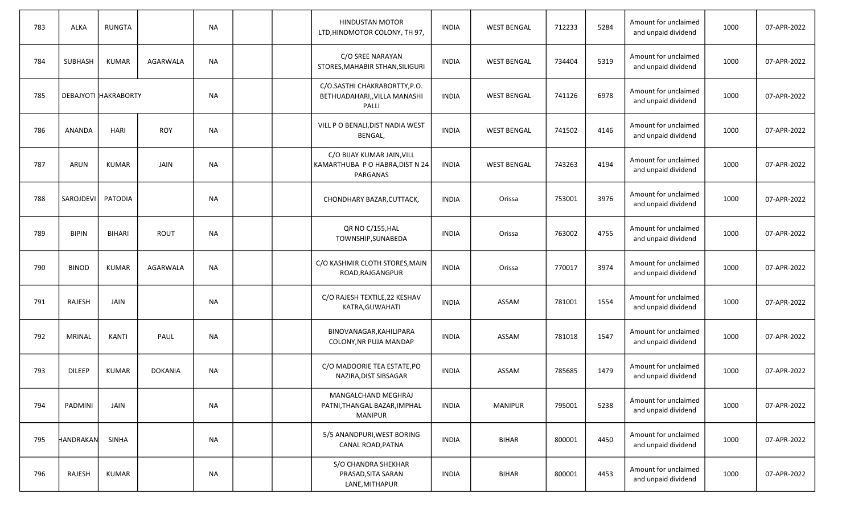| 783 | ALKA                | <b>RUNGTA</b>        |                | <b>NA</b> |  | <b>HINDUSTAN MOTOR</b><br>LTD, HINDMOTOR COLONY, TH 97,                   | <b>INDIA</b> | <b>WEST BENGAL</b> | 712233 | 5284 | Amount for unclaimed<br>and unpaid dividend | 1000 | 07-APR-2022 |
|-----|---------------------|----------------------|----------------|-----------|--|---------------------------------------------------------------------------|--------------|--------------------|--------|------|---------------------------------------------|------|-------------|
| 784 | <b>SUBHASH</b>      | <b>KUMAR</b>         | AGARWALA       | <b>NA</b> |  | C/O SREE NARAYAN<br>STORES, MAHABIR STHAN, SILIGURI                       | <b>INDIA</b> | <b>WEST BENGAL</b> | 734404 | 5319 | Amount for unclaimed<br>and unpaid dividend | 1000 | 07-APR-2022 |
| 785 |                     | DEBAJYOTI HAKRABORTY |                | <b>NA</b> |  | C/O.SASTHI CHAKRABORTTY, P.O.<br>BETHUADAHARI,, VILLA MANASHI<br>PALLI    | <b>INDIA</b> | <b>WEST BENGAL</b> | 741126 | 6978 | Amount for unclaimed<br>and unpaid dividend | 1000 | 07-APR-2022 |
| 786 | ANANDA              | <b>HARI</b>          | <b>ROY</b>     | <b>NA</b> |  | VILL P O BENALI, DIST NADIA WEST<br>BENGAL,                               | <b>INDIA</b> | <b>WEST BENGAL</b> | 741502 | 4146 | Amount for unclaimed<br>and unpaid dividend | 1000 | 07-APR-2022 |
| 787 | ARUN                | <b>KUMAR</b>         | JAIN           | <b>NA</b> |  | C/O BIJAY KUMAR JAIN, VILL<br>KAMARTHUBA P O HABRA, DIST N 24<br>PARGANAS | <b>INDIA</b> | <b>WEST BENGAL</b> | 743263 | 4194 | Amount for unclaimed<br>and unpaid dividend | 1000 | 07-APR-2022 |
| 788 | SAROJDEVI   PATODIA |                      |                | <b>NA</b> |  | CHONDHARY BAZAR, CUTTACK,                                                 | <b>INDIA</b> | Orissa             | 753001 | 3976 | Amount for unclaimed<br>and unpaid dividend | 1000 | 07-APR-2022 |
| 789 | <b>BIPIN</b>        | BIHARI               | ROUT           | <b>NA</b> |  | QR NO C/155, HAL<br>TOWNSHIP, SUNABEDA                                    | <b>INDIA</b> | Orissa             | 763002 | 4755 | Amount for unclaimed<br>and unpaid dividend | 1000 | 07-APR-2022 |
| 790 | <b>BINOD</b>        | <b>KUMAR</b>         | AGARWALA       | <b>NA</b> |  | C/O KASHMIR CLOTH STORES, MAIN<br>ROAD, RAJGANGPUR                        | <b>INDIA</b> | Orissa             | 770017 | 3974 | Amount for unclaimed<br>and unpaid dividend | 1000 | 07-APR-2022 |
| 791 | RAJESH              | <b>JAIN</b>          |                | <b>NA</b> |  | C/O RAJESH TEXTILE, 22 KESHAV<br>KATRA, GUWAHATI                          | <b>INDIA</b> | ASSAM              | 781001 | 1554 | Amount for unclaimed<br>and unpaid dividend | 1000 | 07-APR-2022 |
| 792 | <b>MRINAL</b>       | KANTI                | PAUL           | <b>NA</b> |  | BINOVANAGAR, KAHILIPARA<br>COLONY, NR PUJA MANDAP                         | <b>INDIA</b> | ASSAM              | 781018 | 1547 | Amount for unclaimed<br>and unpaid dividend | 1000 | 07-APR-2022 |
| 793 | <b>DILEEP</b>       | <b>KUMAR</b>         | <b>DOKANIA</b> | NА        |  | C/O MADOORIE TEA ESTATE, PO<br>NAZIRA, DIST SIBSAGAR                      | <b>INDIA</b> | ASSAM              | 785685 | 1479 | Amount for unclaimed<br>and unpaid dividend | 1000 | 07-APR-2022 |
| 794 | PADMINI             | <b>JAIN</b>          |                | <b>NA</b> |  | MANGALCHAND MEGHRAJ<br>PATNI, THANGAL BAZAR, IMPHAL<br>MANIPUR            | <b>INDIA</b> | <b>MANIPUR</b>     | 795001 | 5238 | Amount for unclaimed<br>and unpaid dividend | 1000 | 07-APR-2022 |
| 795 | HANDRAKAN           | SINHA                |                | <b>NA</b> |  | 5/5 ANANDPURI, WEST BORING<br>CANAL ROAD, PATNA                           | <b>INDIA</b> | <b>BIHAR</b>       | 800001 | 4450 | Amount for unclaimed<br>and unpaid dividend | 1000 | 07-APR-2022 |
| 796 | RAJESH              | <b>KUMAR</b>         |                | NA        |  | S/O CHANDRA SHEKHAR<br>PRASAD, SITA SARAN<br>LANE, MITHAPUR               | <b>INDIA</b> | <b>BIHAR</b>       | 800001 | 4453 | Amount for unclaimed<br>and unpaid dividend | 1000 | 07-APR-2022 |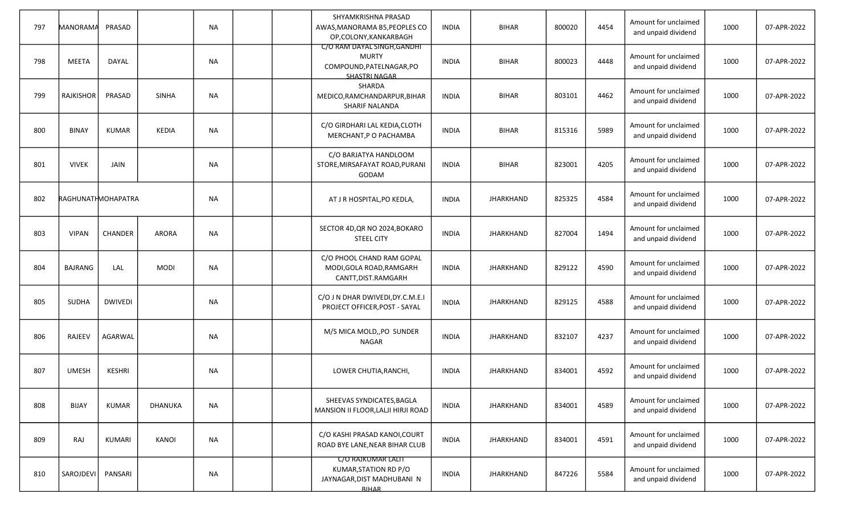| 797 | MANORAMA           | PRASAD         |              | <b>NA</b> | SHYAMKRISHNA PRASAD<br>AWAS, MANORAMA B5, PEOPLES CO<br>OP,COLONY,KANKARBAGH                     | <b>INDIA</b> | <b>BIHAR</b>     | 800020 | 4454 | Amount for unclaimed<br>and unpaid dividend | 1000 | 07-APR-2022 |
|-----|--------------------|----------------|--------------|-----------|--------------------------------------------------------------------------------------------------|--------------|------------------|--------|------|---------------------------------------------|------|-------------|
| 798 | <b>MEETA</b>       | <b>DAYAL</b>   |              | <b>NA</b> | C/O RAM DAYAL SINGH, GANDHI<br><b>MURTY</b><br>COMPOUND, PATELNAGAR, PO<br><b>SHASTRI NAGAR</b>  | <b>INDIA</b> | <b>BIHAR</b>     | 800023 | 4448 | Amount for unclaimed<br>and unpaid dividend | 1000 | 07-APR-2022 |
| 799 | RAJKISHOR          | PRASAD         | <b>SINHA</b> | <b>NA</b> | SHARDA<br>MEDICO, RAMCHANDARPUR, BIHAR<br><b>SHARIF NALANDA</b>                                  | <b>INDIA</b> | <b>BIHAR</b>     | 803101 | 4462 | Amount for unclaimed<br>and unpaid dividend | 1000 | 07-APR-2022 |
| 800 | <b>BINAY</b>       | <b>KUMAR</b>   | <b>KEDIA</b> | <b>NA</b> | C/O GIRDHARI LAL KEDIA, CLOTH<br>MERCHANT, P O PACHAMBA                                          | INDIA        | <b>BIHAR</b>     | 815316 | 5989 | Amount for unclaimed<br>and unpaid dividend | 1000 | 07-APR-2022 |
| 801 | <b>VIVEK</b>       | <b>JAIN</b>    |              | <b>NA</b> | C/O BARJATYA HANDLOOM<br>STORE, MIRSAFAYAT ROAD, PURANI<br>GODAM                                 | <b>INDIA</b> | <b>BIHAR</b>     | 823001 | 4205 | Amount for unclaimed<br>and unpaid dividend | 1000 | 07-APR-2022 |
| 802 | RAGHUNATHMOHAPATRA |                |              | <b>NA</b> | AT J R HOSPITAL, PO KEDLA,                                                                       | <b>INDIA</b> | <b>JHARKHAND</b> | 825325 | 4584 | Amount for unclaimed<br>and unpaid dividend | 1000 | 07-APR-2022 |
| 803 | <b>VIPAN</b>       | CHANDER        | ARORA        | <b>NA</b> | SECTOR 4D, QR NO 2024, BOKARO<br><b>STEEL CITY</b>                                               | <b>INDIA</b> | <b>JHARKHAND</b> | 827004 | 1494 | Amount for unclaimed<br>and unpaid dividend | 1000 | 07-APR-2022 |
| 804 | <b>BAJRANG</b>     | LAL            | <b>MODI</b>  | <b>NA</b> | C/O PHOOL CHAND RAM GOPAL<br>MODI, GOLA ROAD, RAMGARH<br>CANTT, DIST.RAMGARH                     | INDIA        | <b>JHARKHAND</b> | 829122 | 4590 | Amount for unclaimed<br>and unpaid dividend | 1000 | 07-APR-2022 |
| 805 | <b>SUDHA</b>       | <b>DWIVEDI</b> |              | <b>NA</b> | C/O J N DHAR DWIVEDI, DY.C.M.E.I<br>PROJECT OFFICER, POST - SAYAL                                | <b>INDIA</b> | <b>JHARKHAND</b> | 829125 | 4588 | Amount for unclaimed<br>and unpaid dividend | 1000 | 07-APR-2022 |
| 806 | RAJEEV             | <b>AGARWAL</b> |              | <b>NA</b> | M/S MICA MOLD,, PO SUNDER<br>NAGAR                                                               | <b>INDIA</b> | <b>JHARKHAND</b> | 832107 | 4237 | Amount for unclaimed<br>and unpaid dividend | 1000 | 07-APR-2022 |
| 807 | <b>UMESH</b>       | <b>KESHRI</b>  |              | NA        | LOWER CHUTIA, RANCHI,                                                                            | INDIA        | <b>JHARKHAND</b> | 834001 | 4592 | Amount for unclaimed<br>and unpaid dividend | 1000 | 07-APR-2022 |
| 808 | <b>BIJAY</b>       | <b>KUMAR</b>   | DHANUKA      | <b>NA</b> | SHEEVAS SYNDICATES, BAGLA<br>MANSION II FLOOR, LALJI HIRJI ROAD                                  | <b>INDIA</b> | <b>JHARKHAND</b> | 834001 | 4589 | Amount for unclaimed<br>and unpaid dividend | 1000 | 07-APR-2022 |
| 809 | RAJ                | KUMARI         | KANOI        | <b>NA</b> | C/O KASHI PRASAD KANOI, COURT<br>ROAD BYE LANE, NEAR BIHAR CLUB                                  | <b>INDIA</b> | <b>JHARKHAND</b> | 834001 | 4591 | Amount for unclaimed<br>and unpaid dividend | 1000 | 07-APR-2022 |
| 810 | SAROJDEVI          | PANSARI        |              | <b>NA</b> | <b>C/O RAJKUMAR LALIT</b><br>KUMAR, STATION RD P/O<br>JAYNAGAR, DIST MADHUBANI N<br><b>BIHAR</b> | <b>INDIA</b> | <b>JHARKHAND</b> | 847226 | 5584 | Amount for unclaimed<br>and unpaid dividend | 1000 | 07-APR-2022 |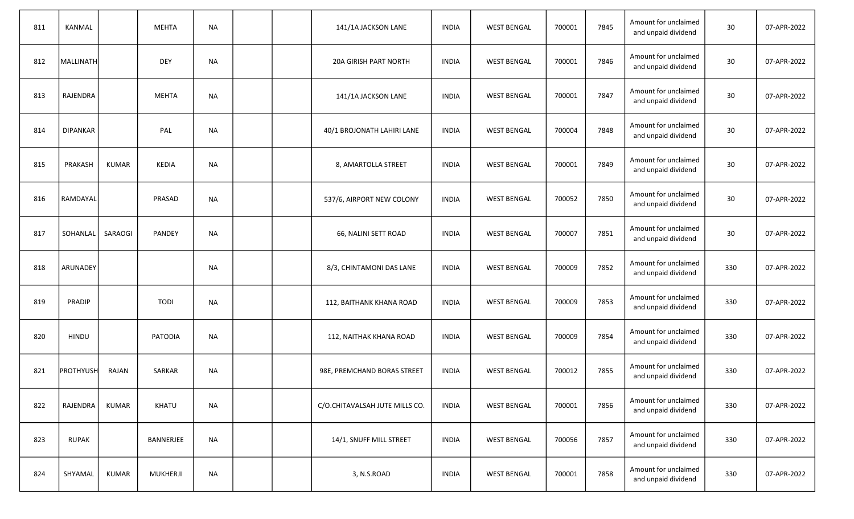| 811 | <b>KANMAL</b>    |              | <b>MEHTA</b>  | <b>NA</b> |  | 141/1A JACKSON LANE            | <b>INDIA</b> | <b>WEST BENGAL</b> | 700001 | 7845 | Amount for unclaimed<br>and unpaid dividend | 30  | 07-APR-2022 |
|-----|------------------|--------------|---------------|-----------|--|--------------------------------|--------------|--------------------|--------|------|---------------------------------------------|-----|-------------|
| 812 | MALLINATH        |              | <b>DEY</b>    | <b>NA</b> |  | 20A GIRISH PART NORTH          | <b>INDIA</b> | <b>WEST BENGAL</b> | 700001 | 7846 | Amount for unclaimed<br>and unpaid dividend | 30  | 07-APR-2022 |
| 813 | RAJENDRA         |              | <b>MEHTA</b>  | <b>NA</b> |  | 141/1A JACKSON LANE            | <b>INDIA</b> | <b>WEST BENGAL</b> | 700001 | 7847 | Amount for unclaimed<br>and unpaid dividend | 30  | 07-APR-2022 |
| 814 | <b>DIPANKAR</b>  |              | PAL           | <b>NA</b> |  | 40/1 BROJONATH LAHIRI LANE     | <b>INDIA</b> | <b>WEST BENGAL</b> | 700004 | 7848 | Amount for unclaimed<br>and unpaid dividend | 30  | 07-APR-2022 |
| 815 | PRAKASH          | <b>KUMAR</b> | <b>KEDIA</b>  | <b>NA</b> |  | 8, AMARTOLLA STREET            | <b>INDIA</b> | <b>WEST BENGAL</b> | 700001 | 7849 | Amount for unclaimed<br>and unpaid dividend | 30  | 07-APR-2022 |
| 816 | RAMDAYAL         |              | PRASAD        | <b>NA</b> |  | 537/6, AIRPORT NEW COLONY      | <b>INDIA</b> | <b>WEST BENGAL</b> | 700052 | 7850 | Amount for unclaimed<br>and unpaid dividend | 30  | 07-APR-2022 |
| 817 | SOHANLAL         | SARAOGI      | <b>PANDEY</b> | <b>NA</b> |  | 66, NALINI SETT ROAD           | <b>INDIA</b> | <b>WEST BENGAL</b> | 700007 | 7851 | Amount for unclaimed<br>and unpaid dividend | 30  | 07-APR-2022 |
| 818 | ARUNADEY         |              |               | <b>NA</b> |  | 8/3, CHINTAMONI DAS LANE       | <b>INDIA</b> | <b>WEST BENGAL</b> | 700009 | 7852 | Amount for unclaimed<br>and unpaid dividend | 330 | 07-APR-2022 |
| 819 | <b>PRADIP</b>    |              | <b>TODI</b>   | <b>NA</b> |  | 112, BAITHANK KHANA ROAD       | <b>INDIA</b> | <b>WEST BENGAL</b> | 700009 | 7853 | Amount for unclaimed<br>and unpaid dividend | 330 | 07-APR-2022 |
| 820 | <b>HINDU</b>     |              | PATODIA       | <b>NA</b> |  | 112, NAITHAK KHANA ROAD        | <b>INDIA</b> | <b>WEST BENGAL</b> | 700009 | 7854 | Amount for unclaimed<br>and unpaid dividend | 330 | 07-APR-2022 |
| 821 | <b>PROTHYUSH</b> | RAJAN        | <b>SARKAR</b> | <b>NA</b> |  | 98E, PREMCHAND BORAS STREET    | <b>INDIA</b> | <b>WEST BENGAL</b> | 700012 | 7855 | Amount for unclaimed<br>and unpaid dividend | 330 | 07-APR-2022 |
| 822 | RAJENDRA         | <b>KUMAR</b> | KHATU         | <b>NA</b> |  | C/O.CHITAVALSAH JUTE MILLS CO. | <b>INDIA</b> | <b>WEST BENGAL</b> | 700001 | 7856 | Amount for unclaimed<br>and unpaid dividend | 330 | 07-APR-2022 |
| 823 | <b>RUPAK</b>     |              | BANNERJEE     | <b>NA</b> |  | 14/1, SNUFF MILL STREET        | <b>INDIA</b> | <b>WEST BENGAL</b> | 700056 | 7857 | Amount for unclaimed<br>and unpaid dividend | 330 | 07-APR-2022 |
| 824 | SHYAMAL          | <b>KUMAR</b> | MUKHERJI      | NA        |  | 3, N.S.ROAD                    | <b>INDIA</b> | <b>WEST BENGAL</b> | 700001 | 7858 | Amount for unclaimed<br>and unpaid dividend | 330 | 07-APR-2022 |